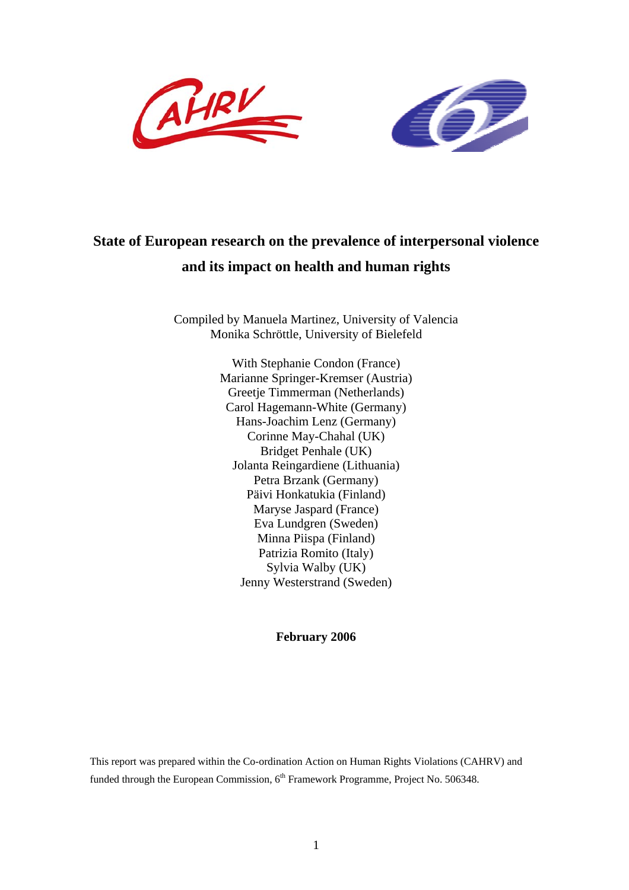



# **State of European research on the prevalence of interpersonal violence and its impact on health and human rights**

Compiled by Manuela Martinez, University of Valencia Monika Schröttle, University of Bielefeld

> With Stephanie Condon (France) Marianne Springer-Kremser (Austria) Greetje Timmerman (Netherlands) Carol Hagemann-White (Germany) Hans-Joachim Lenz (Germany) Corinne May-Chahal (UK) Bridget Penhale (UK) Jolanta Reingardiene (Lithuania) Petra Brzank (Germany) Päivi Honkatukia (Finland) Maryse Jaspard (France) Eva Lundgren (Sweden) Minna Piispa (Finland) Patrizia Romito (Italy) Sylvia Walby (UK) Jenny Westerstrand (Sweden)

> > **February 2006**

This report was prepared within the Co-ordination Action on Human Rights Violations (CAHRV) and funded through the European Commission,  $6<sup>th</sup>$  Framework Programme, Project No. 506348.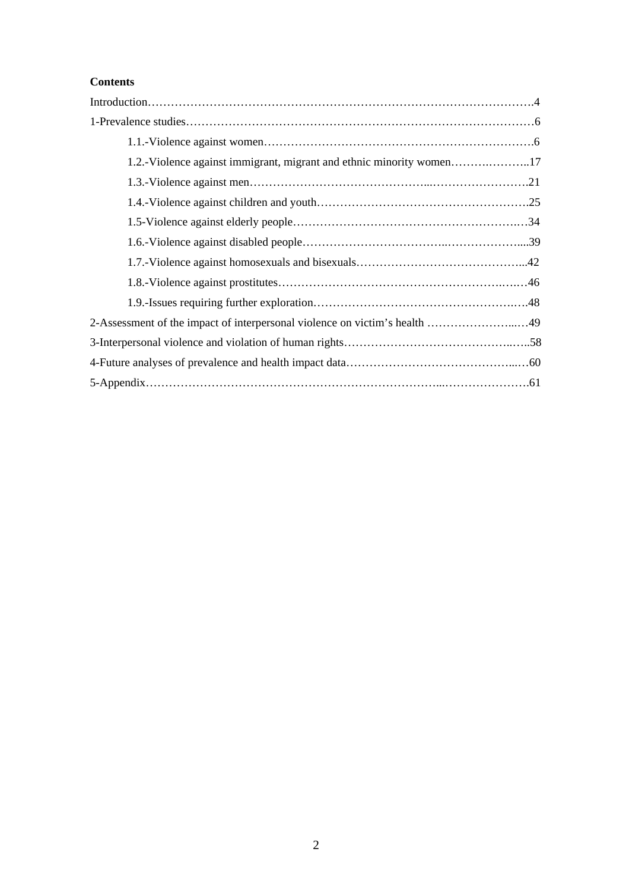## **Contents**

| 2-Assessment of the impact of interpersonal violence on victim's health 49 |
|----------------------------------------------------------------------------|
|                                                                            |
|                                                                            |
|                                                                            |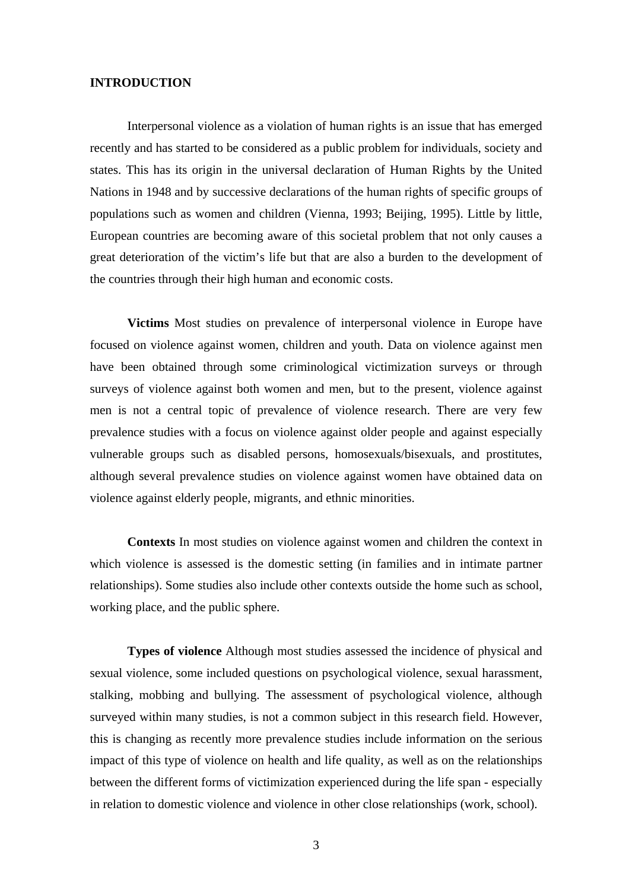## **INTRODUCTION**

Interpersonal violence as a violation of human rights is an issue that has emerged recently and has started to be considered as a public problem for individuals, society and states. This has its origin in the universal declaration of Human Rights by the United Nations in 1948 and by successive declarations of the human rights of specific groups of populations such as women and children (Vienna, 1993; Beijing, 1995). Little by little, European countries are becoming aware of this societal problem that not only causes a great deterioration of the victim's life but that are also a burden to the development of the countries through their high human and economic costs.

**Victims** Most studies on prevalence of interpersonal violence in Europe have focused on violence against women, children and youth. Data on violence against men have been obtained through some criminological victimization surveys or through surveys of violence against both women and men, but to the present, violence against men is not a central topic of prevalence of violence research. There are very few prevalence studies with a focus on violence against older people and against especially vulnerable groups such as disabled persons, homosexuals/bisexuals, and prostitutes, although several prevalence studies on violence against women have obtained data on violence against elderly people, migrants, and ethnic minorities.

**Contexts** In most studies on violence against women and children the context in which violence is assessed is the domestic setting (in families and in intimate partner relationships). Some studies also include other contexts outside the home such as school, working place, and the public sphere.

**Types of violence** Although most studies assessed the incidence of physical and sexual violence, some included questions on psychological violence, sexual harassment, stalking, mobbing and bullying. The assessment of psychological violence, although surveyed within many studies, is not a common subject in this research field. However, this is changing as recently more prevalence studies include information on the serious impact of this type of violence on health and life quality, as well as on the relationships between the different forms of victimization experienced during the life span - especially in relation to domestic violence and violence in other close relationships (work, school).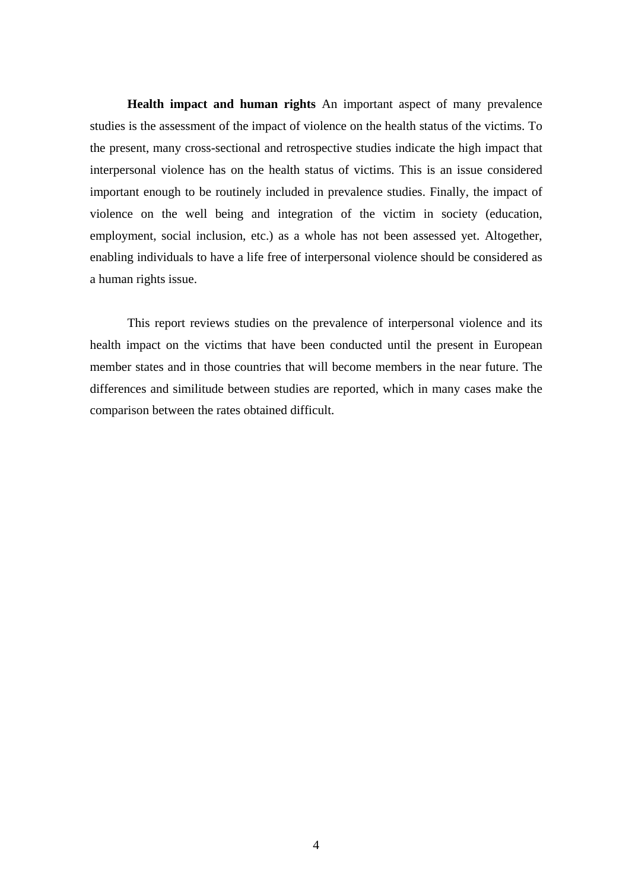**Health impact and human rights** An important aspect of many prevalence studies is the assessment of the impact of violence on the health status of the victims. To the present, many cross-sectional and retrospective studies indicate the high impact that interpersonal violence has on the health status of victims. This is an issue considered important enough to be routinely included in prevalence studies. Finally, the impact of violence on the well being and integration of the victim in society (education, employment, social inclusion, etc.) as a whole has not been assessed yet. Altogether, enabling individuals to have a life free of interpersonal violence should be considered as a human rights issue.

This report reviews studies on the prevalence of interpersonal violence and its health impact on the victims that have been conducted until the present in European member states and in those countries that will become members in the near future. The differences and similitude between studies are reported, which in many cases make the comparison between the rates obtained difficult.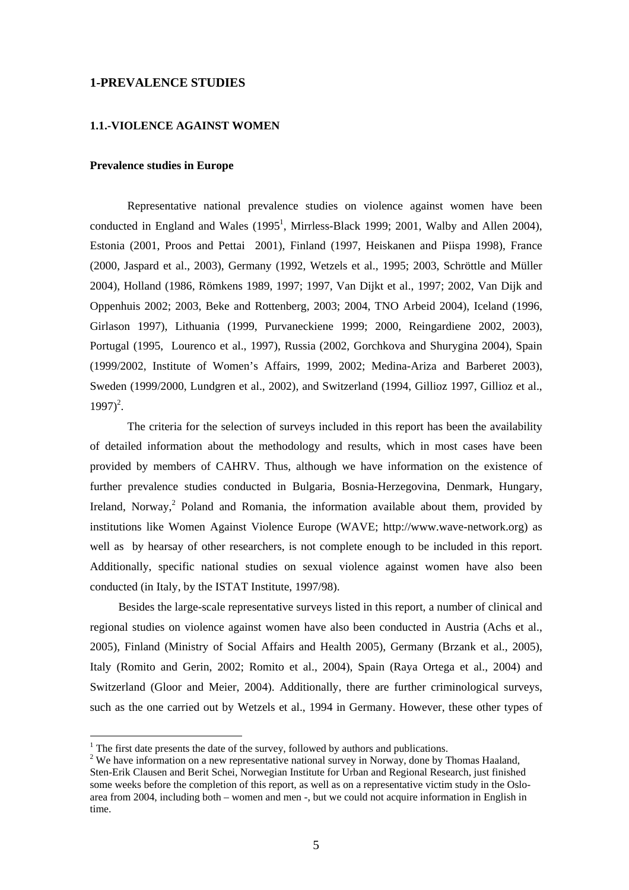## **1-PREVALENCE STUDIES**

## **1.1.-VIOLENCE AGAINST WOMEN**

#### **Prevalence studies in Europe**

Representative national prevalence studies on violence against women have been conducted in England and Wales  $(1995^1, \text{Mirrless-Black } 1999; 2001, \text{ Walby and Allen } 2004),$ Estonia (2001, Proos and Pettai 2001), Finland (1997, Heiskanen and Piispa 1998), France (2000, Jaspard et al., 2003), Germany (1992, Wetzels et al., 1995; 2003, Schröttle and Müller 2004), Holland (1986, Römkens 1989, 1997; 1997, Van Dijkt et al., 1997; 2002, Van Dijk and Oppenhuis 2002; 2003, Beke and Rottenberg, 2003; 2004, TNO Arbeid 2004), Iceland (1996, Girlason 1997), Lithuania (1999, Purvaneckiene 1999; 2000, Reingardiene 2002, 2003), Portugal (1995, Lourenco et al., 1997), Russia (2002, Gorchkova and Shurygina 2004), Spain (1999/2002, Institute of Women's Affairs, 1999, 2002; Medina-Ariza and Barberet 2003), Sweden (1999/2000, Lundgren et al., 2002), and Switzerland (1994, Gillioz 1997, Gillioz et al.,  $1997)^2$ .

The criteria for the selection of surveys included in this report has been the availability of detailed information about the methodology and results, which in most cases have been provided by members of CAHRV. Thus, although we have information on the existence of further prevalence studies conducted in Bulgaria, Bosnia-Herzegovina, Denmark, Hungary, Ireland, Norway,<sup>2</sup> Poland and Romania, the information available about them, provided by institutions like Women Against Violence Europe (WAVE; http://www.wave-network.org) as well as by hearsay of other researchers, is not complete enough to be included in this report. Additionally, specific national studies on sexual violence against women have also been conducted (in Italy, by the ISTAT Institute, 1997/98).

Besides the large-scale representative surveys listed in this report, a number of clinical and regional studies on violence against women have also been conducted in Austria (Achs et al., 2005), Finland (Ministry of Social Affairs and Health 2005), Germany (Brzank et al., 2005), Italy (Romito and Gerin, 2002; Romito et al., 2004), Spain (Raya Ortega et al., 2004) and Switzerland (Gloor and Meier, 2004). Additionally, there are further criminological surveys, such as the one carried out by Wetzels et al., 1994 in Germany. However, these other types of

 $\overline{a}$ 

 $<sup>1</sup>$  The first date presents the date of the survey, followed by authors and publications.</sup>

<sup>&</sup>lt;sup>2</sup> We have information on a new representative national survey in Norway, done by Thomas Haaland, Sten-Erik Clausen and Berit Schei, Norwegian Institute for Urban and Regional Research, just finished some weeks before the completion of this report, as well as on a representative victim study in the Osloarea from 2004, including both – women and men -, but we could not acquire information in English in time.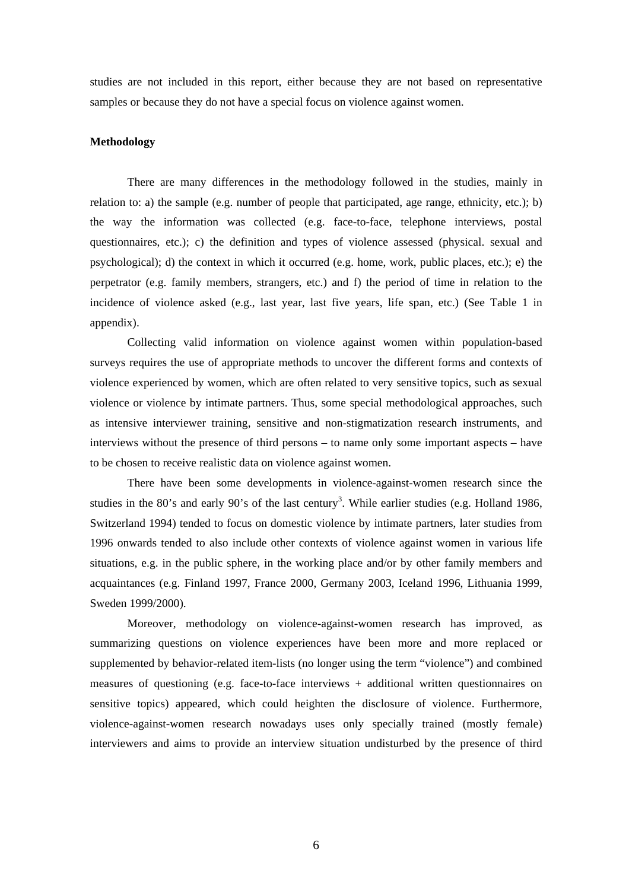studies are not included in this report, either because they are not based on representative samples or because they do not have a special focus on violence against women.

#### **Methodology**

There are many differences in the methodology followed in the studies, mainly in relation to: a) the sample (e.g. number of people that participated, age range, ethnicity, etc.); b) the way the information was collected (e.g. face-to-face, telephone interviews, postal questionnaires, etc.); c) the definition and types of violence assessed (physical. sexual and psychological); d) the context in which it occurred (e.g. home, work, public places, etc.); e) the perpetrator (e.g. family members, strangers, etc.) and f) the period of time in relation to the incidence of violence asked (e.g., last year, last five years, life span, etc.) (See Table 1 in appendix).

Collecting valid information on violence against women within population-based surveys requires the use of appropriate methods to uncover the different forms and contexts of violence experienced by women, which are often related to very sensitive topics, such as sexual violence or violence by intimate partners. Thus, some special methodological approaches, such as intensive interviewer training, sensitive and non-stigmatization research instruments, and interviews without the presence of third persons – to name only some important aspects – have to be chosen to receive realistic data on violence against women.

There have been some developments in violence-against-women research since the studies in the 80's and early 90's of the last century<sup>3</sup>. While earlier studies (e.g. Holland 1986, Switzerland 1994) tended to focus on domestic violence by intimate partners, later studies from 1996 onwards tended to also include other contexts of violence against women in various life situations, e.g. in the public sphere, in the working place and/or by other family members and acquaintances (e.g. Finland 1997, France 2000, Germany 2003, Iceland 1996, Lithuania 1999, Sweden 1999/2000).

Moreover, methodology on violence-against-women research has improved, as summarizing questions on violence experiences have been more and more replaced or supplemented by behavior-related item-lists (no longer using the term "violence") and combined measures of questioning (e.g. face-to-face interviews + additional written questionnaires on sensitive topics) appeared, which could heighten the disclosure of violence. Furthermore, violence-against-women research nowadays uses only specially trained (mostly female) interviewers and aims to provide an interview situation undisturbed by the presence of third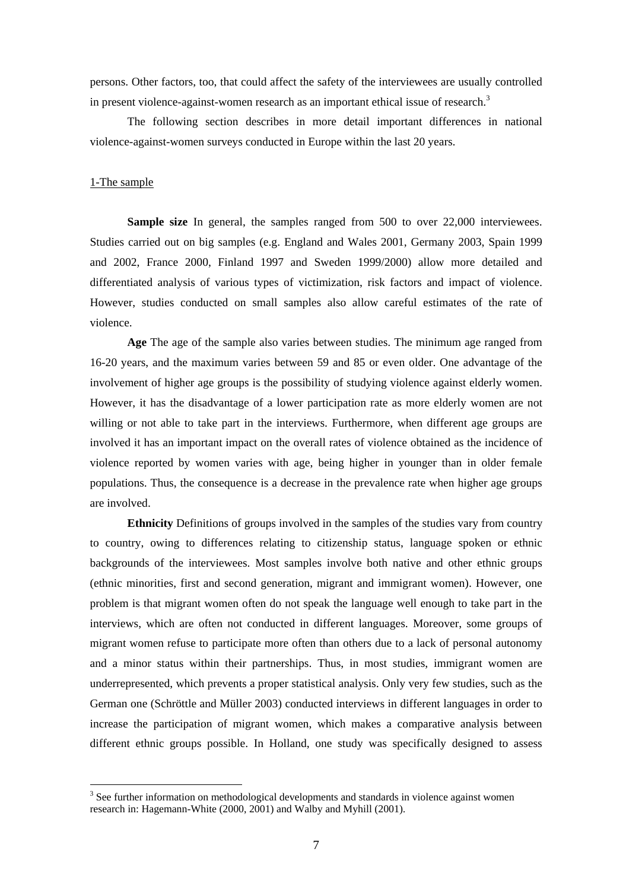persons. Other factors, too, that could affect the safety of the interviewees are usually controlled in present violence-against-women research as an important ethical issue of research.<sup>3</sup>

The following section describes in more detail important differences in national violence-against-women surveys conducted in Europe within the last 20 years.

## 1-The sample

 $\overline{a}$ 

**Sample size** In general, the samples ranged from 500 to over 22,000 interviewees. Studies carried out on big samples (e.g. England and Wales 2001, Germany 2003, Spain 1999 and 2002, France 2000, Finland 1997 and Sweden 1999/2000) allow more detailed and differentiated analysis of various types of victimization, risk factors and impact of violence. However, studies conducted on small samples also allow careful estimates of the rate of violence.

**Age** The age of the sample also varies between studies. The minimum age ranged from 16-20 years, and the maximum varies between 59 and 85 or even older. One advantage of the involvement of higher age groups is the possibility of studying violence against elderly women. However, it has the disadvantage of a lower participation rate as more elderly women are not willing or not able to take part in the interviews. Furthermore, when different age groups are involved it has an important impact on the overall rates of violence obtained as the incidence of violence reported by women varies with age, being higher in younger than in older female populations. Thus, the consequence is a decrease in the prevalence rate when higher age groups are involved.

**Ethnicity** Definitions of groups involved in the samples of the studies vary from country to country, owing to differences relating to citizenship status, language spoken or ethnic backgrounds of the interviewees. Most samples involve both native and other ethnic groups (ethnic minorities, first and second generation, migrant and immigrant women). However, one problem is that migrant women often do not speak the language well enough to take part in the interviews, which are often not conducted in different languages. Moreover, some groups of migrant women refuse to participate more often than others due to a lack of personal autonomy and a minor status within their partnerships. Thus, in most studies, immigrant women are underrepresented, which prevents a proper statistical analysis. Only very few studies, such as the German one (Schröttle and Müller 2003) conducted interviews in different languages in order to increase the participation of migrant women, which makes a comparative analysis between different ethnic groups possible. In Holland, one study was specifically designed to assess

<sup>&</sup>lt;sup>3</sup> See further information on methodological developments and standards in violence against women research in: Hagemann-White (2000, 2001) and Walby and Myhill (2001).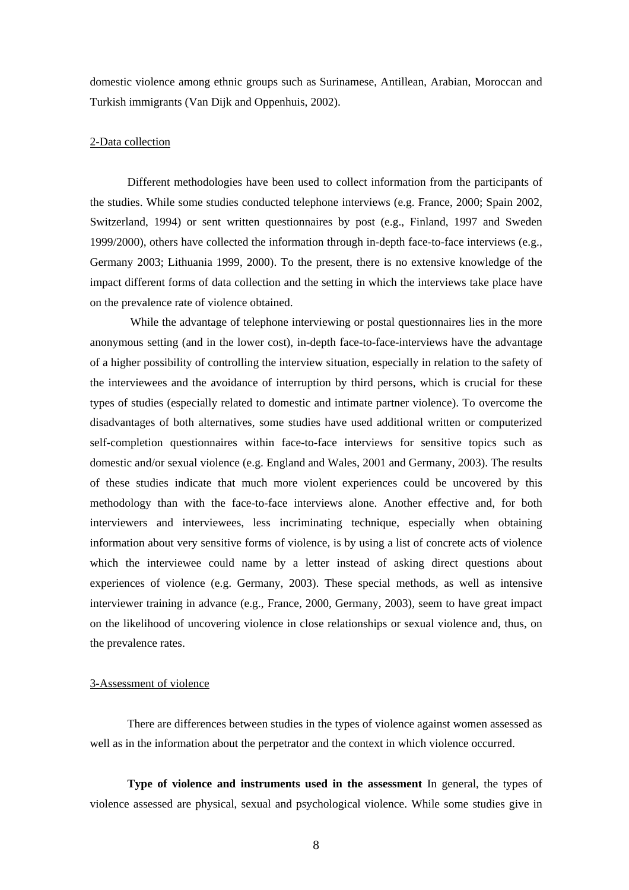domestic violence among ethnic groups such as Surinamese, Antillean, Arabian, Moroccan and Turkish immigrants (Van Dijk and Oppenhuis, 2002).

#### 2-Data collection

Different methodologies have been used to collect information from the participants of the studies. While some studies conducted telephone interviews (e.g. France, 2000; Spain 2002, Switzerland, 1994) or sent written questionnaires by post (e.g., Finland, 1997 and Sweden 1999/2000), others have collected the information through in-depth face-to-face interviews (e.g., Germany 2003; Lithuania 1999, 2000). To the present, there is no extensive knowledge of the impact different forms of data collection and the setting in which the interviews take place have on the prevalence rate of violence obtained.

While the advantage of telephone interviewing or postal questionnaires lies in the more anonymous setting (and in the lower cost), in-depth face-to-face-interviews have the advantage of a higher possibility of controlling the interview situation, especially in relation to the safety of the interviewees and the avoidance of interruption by third persons, which is crucial for these types of studies (especially related to domestic and intimate partner violence). To overcome the disadvantages of both alternatives, some studies have used additional written or computerized self-completion questionnaires within face-to-face interviews for sensitive topics such as domestic and/or sexual violence (e.g. England and Wales, 2001 and Germany, 2003). The results of these studies indicate that much more violent experiences could be uncovered by this methodology than with the face-to-face interviews alone. Another effective and, for both interviewers and interviewees, less incriminating technique, especially when obtaining information about very sensitive forms of violence, is by using a list of concrete acts of violence which the interviewee could name by a letter instead of asking direct questions about experiences of violence (e.g. Germany, 2003). These special methods, as well as intensive interviewer training in advance (e.g., France, 2000, Germany, 2003), seem to have great impact on the likelihood of uncovering violence in close relationships or sexual violence and, thus, on the prevalence rates.

#### 3-Assessment of violence

There are differences between studies in the types of violence against women assessed as well as in the information about the perpetrator and the context in which violence occurred.

**Type of violence and instruments used in the assessment** In general, the types of violence assessed are physical, sexual and psychological violence. While some studies give in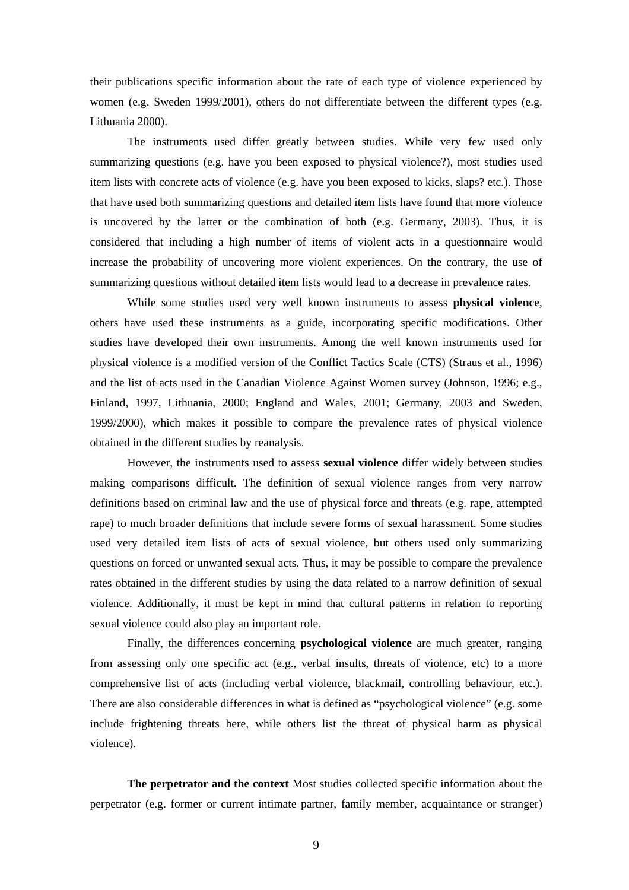their publications specific information about the rate of each type of violence experienced by women (e.g. Sweden 1999/2001), others do not differentiate between the different types (e.g. Lithuania 2000).

The instruments used differ greatly between studies. While very few used only summarizing questions (e.g. have you been exposed to physical violence?), most studies used item lists with concrete acts of violence (e.g. have you been exposed to kicks, slaps? etc.). Those that have used both summarizing questions and detailed item lists have found that more violence is uncovered by the latter or the combination of both (e.g. Germany, 2003). Thus, it is considered that including a high number of items of violent acts in a questionnaire would increase the probability of uncovering more violent experiences. On the contrary, the use of summarizing questions without detailed item lists would lead to a decrease in prevalence rates.

While some studies used very well known instruments to assess **physical violence**, others have used these instruments as a guide, incorporating specific modifications. Other studies have developed their own instruments. Among the well known instruments used for physical violence is a modified version of the Conflict Tactics Scale (CTS) (Straus et al., 1996) and the list of acts used in the Canadian Violence Against Women survey (Johnson, 1996; e.g., Finland, 1997, Lithuania, 2000; England and Wales, 2001; Germany, 2003 and Sweden, 1999/2000), which makes it possible to compare the prevalence rates of physical violence obtained in the different studies by reanalysis.

However, the instruments used to assess **sexual violence** differ widely between studies making comparisons difficult. The definition of sexual violence ranges from very narrow definitions based on criminal law and the use of physical force and threats (e.g. rape, attempted rape) to much broader definitions that include severe forms of sexual harassment. Some studies used very detailed item lists of acts of sexual violence, but others used only summarizing questions on forced or unwanted sexual acts. Thus, it may be possible to compare the prevalence rates obtained in the different studies by using the data related to a narrow definition of sexual violence. Additionally, it must be kept in mind that cultural patterns in relation to reporting sexual violence could also play an important role.

Finally, the differences concerning **psychological violence** are much greater, ranging from assessing only one specific act (e.g., verbal insults, threats of violence, etc) to a more comprehensive list of acts (including verbal violence, blackmail, controlling behaviour, etc.). There are also considerable differences in what is defined as "psychological violence" (e.g. some include frightening threats here, while others list the threat of physical harm as physical violence).

**The perpetrator and the context** Most studies collected specific information about the perpetrator (e.g. former or current intimate partner, family member, acquaintance or stranger)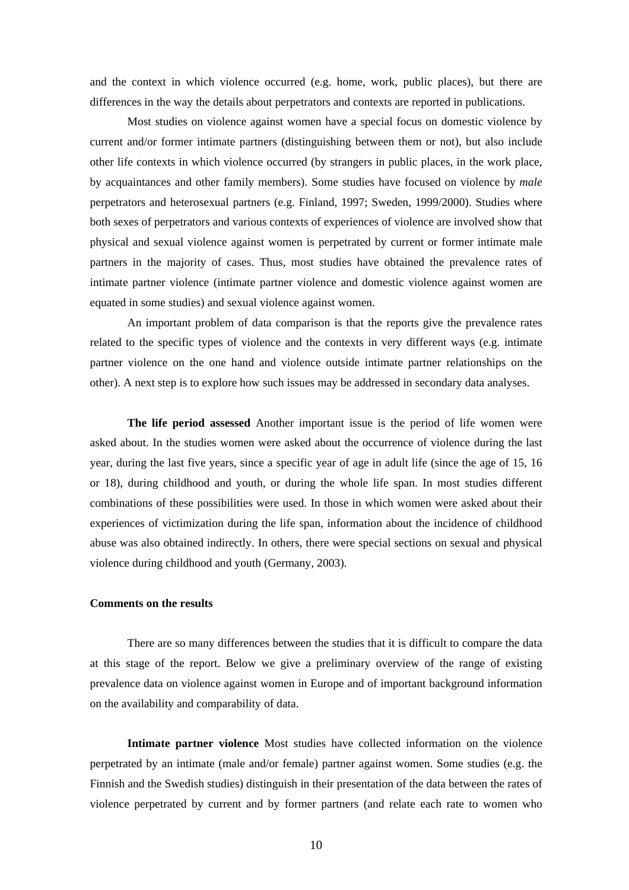and the context in which violence occurred (e.g. home, work, public places), but there are differences in the way the details about perpetrators and contexts are reported in publications.

Most studies on violence against women have a special focus on domestic violence by current and/or former intimate partners (distinguishing between them or not), but also include other life contexts in which violence occurred (by strangers in public places, in the work place, by acquaintances and other family members). Some studies have focused on violence by *male* perpetrators and heterosexual partners (e.g. Finland, 1997; Sweden, 1999/2000). Studies where both sexes of perpetrators and various contexts of experiences of violence are involved show that physical and sexual violence against women is perpetrated by current or former intimate male partners in the majority of cases. Thus, most studies have obtained the prevalence rates of intimate partner violence (intimate partner violence and domestic violence against women are equated in some studies) and sexual violence against women.

An important problem of data comparison is that the reports give the prevalence rates related to the specific types of violence and the contexts in very different ways (e.g. intimate partner violence on the one hand and violence outside intimate partner relationships on the other). A next step is to explore how such issues may be addressed in secondary data analyses.

**The life period assessed** Another important issue is the period of life women were asked about. In the studies women were asked about the occurrence of violence during the last year, during the last five years, since a specific year of age in adult life (since the age of 15, 16 or 18), during childhood and youth, or during the whole life span. In most studies different combinations of these possibilities were used. In those in which women were asked about their experiences of victimization during the life span, information about the incidence of childhood abuse was also obtained indirectly. In others, there were special sections on sexual and physical violence during childhood and youth (Germany, 2003).

#### **Comments on the results**

There are so many differences between the studies that it is difficult to compare the data at this stage of the report. Below we give a preliminary overview of the range of existing prevalence data on violence against women in Europe and of important background information on the availability and comparability of data.

**Intimate partner violence** Most studies have collected information on the violence perpetrated by an intimate (male and/or female) partner against women. Some studies (e.g. the Finnish and the Swedish studies) distinguish in their presentation of the data between the rates of violence perpetrated by current and by former partners (and relate each rate to women who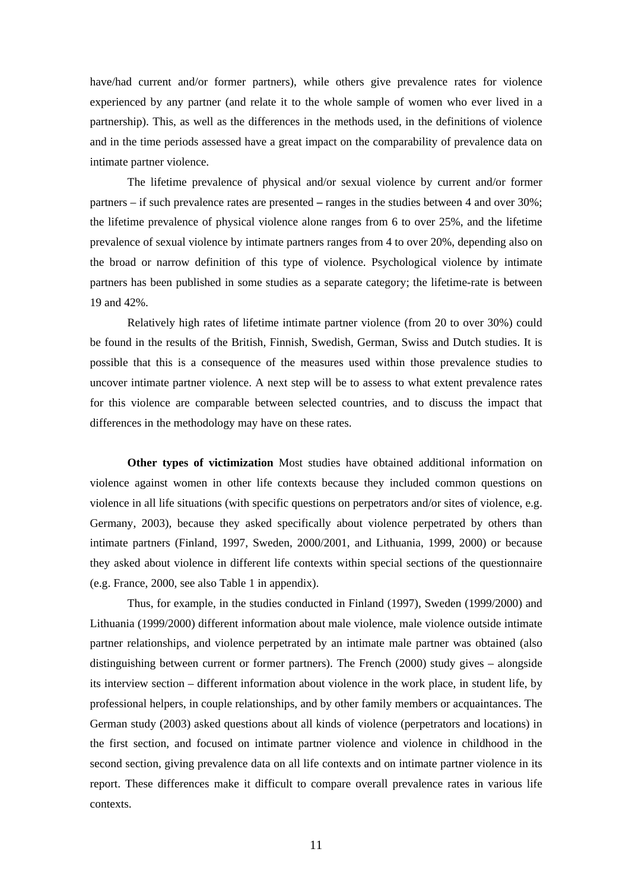have/had current and/or former partners), while others give prevalence rates for violence experienced by any partner (and relate it to the whole sample of women who ever lived in a partnership). This, as well as the differences in the methods used, in the definitions of violence and in the time periods assessed have a great impact on the comparability of prevalence data on intimate partner violence.

The lifetime prevalence of physical and/or sexual violence by current and/or former partners – if such prevalence rates are presented **–** ranges in the studies between 4 and over 30%; the lifetime prevalence of physical violence alone ranges from 6 to over 25%, and the lifetime prevalence of sexual violence by intimate partners ranges from 4 to over 20%, depending also on the broad or narrow definition of this type of violence. Psychological violence by intimate partners has been published in some studies as a separate category; the lifetime-rate is between 19 and 42%.

Relatively high rates of lifetime intimate partner violence (from 20 to over 30%) could be found in the results of the British, Finnish, Swedish, German, Swiss and Dutch studies. It is possible that this is a consequence of the measures used within those prevalence studies to uncover intimate partner violence. A next step will be to assess to what extent prevalence rates for this violence are comparable between selected countries, and to discuss the impact that differences in the methodology may have on these rates.

**Other types of victimization** Most studies have obtained additional information on violence against women in other life contexts because they included common questions on violence in all life situations (with specific questions on perpetrators and/or sites of violence, e.g. Germany, 2003), because they asked specifically about violence perpetrated by others than intimate partners (Finland, 1997, Sweden, 2000/2001, and Lithuania, 1999, 2000) or because they asked about violence in different life contexts within special sections of the questionnaire (e.g. France, 2000, see also Table 1 in appendix).

Thus, for example, in the studies conducted in Finland (1997), Sweden (1999/2000) and Lithuania (1999/2000) different information about male violence, male violence outside intimate partner relationships, and violence perpetrated by an intimate male partner was obtained (also distinguishing between current or former partners). The French (2000) study gives – alongside its interview section – different information about violence in the work place, in student life, by professional helpers, in couple relationships, and by other family members or acquaintances. The German study (2003) asked questions about all kinds of violence (perpetrators and locations) in the first section, and focused on intimate partner violence and violence in childhood in the second section, giving prevalence data on all life contexts and on intimate partner violence in its report. These differences make it difficult to compare overall prevalence rates in various life contexts.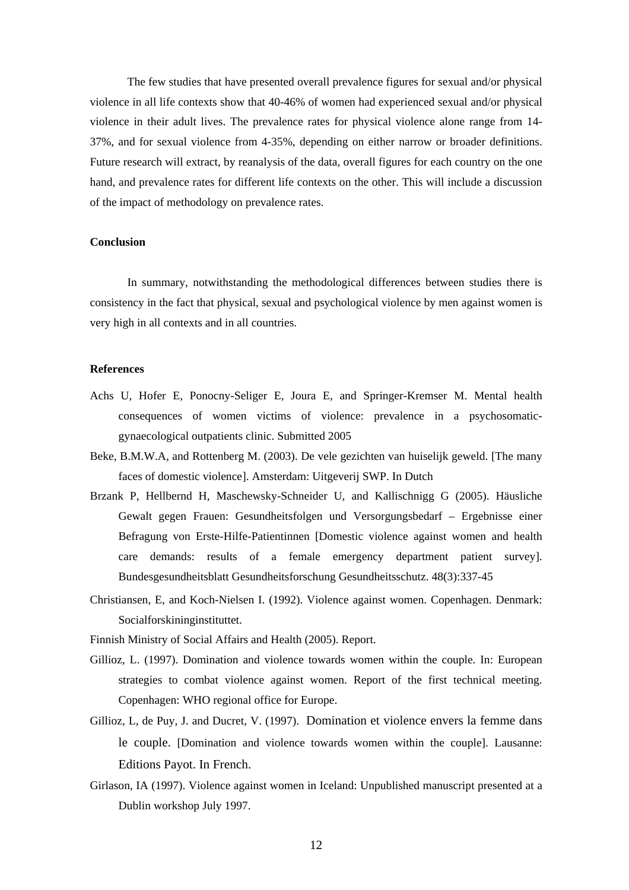The few studies that have presented overall prevalence figures for sexual and/or physical violence in all life contexts show that 40-46% of women had experienced sexual and/or physical violence in their adult lives. The prevalence rates for physical violence alone range from 14- 37%, and for sexual violence from 4-35%, depending on either narrow or broader definitions. Future research will extract, by reanalysis of the data, overall figures for each country on the one hand, and prevalence rates for different life contexts on the other. This will include a discussion of the impact of methodology on prevalence rates.

#### **Conclusion**

In summary, notwithstanding the methodological differences between studies there is consistency in the fact that physical, sexual and psychological violence by men against women is very high in all contexts and in all countries.

## **References**

- Achs U, Hofer E, Ponocny-Seliger E, Joura E, and Springer-Kremser M. Mental health consequences of women victims of violence: prevalence in a psychosomaticgynaecological outpatients clinic. Submitted 2005
- Beke, B.M.W.A, and Rottenberg M. (2003). De vele gezichten van huiselijk geweld. [The many faces of domestic violence]. Amsterdam: Uitgeverij SWP. In Dutch
- Brzank P, Hellbernd H, Maschewsky-Schneider U, and Kallischnigg G (2005). Häusliche Gewalt gegen Frauen: Gesundheitsfolgen und Versorgungsbedarf – Ergebnisse einer Befragung von Erste-Hilfe-Patientinnen [Domestic violence against women and health care demands: results of a female emergency department patient survey]. Bundesgesundheitsblatt Gesundheitsforschung Gesundheitsschutz. 48(3):337-45
- Christiansen, E, and Koch-Nielsen I. (1992). Violence against women. Copenhagen. Denmark: Socialforskininginstituttet.
- Finnish Ministry of Social Affairs and Health (2005). Report.
- Gillioz, L. (1997). Domination and violence towards women within the couple. In: European strategies to combat violence against women. Report of the first technical meeting. Copenhagen: WHO regional office for Europe.
- Gillioz, L, de Puy, J. and Ducret, V. (1997). Domination et violence envers la femme dans le couple. [Domination and violence towards women within the couple]. Lausanne: Editions Payot. In French.
- Girlason, IA (1997). Violence against women in Iceland: Unpublished manuscript presented at a Dublin workshop July 1997.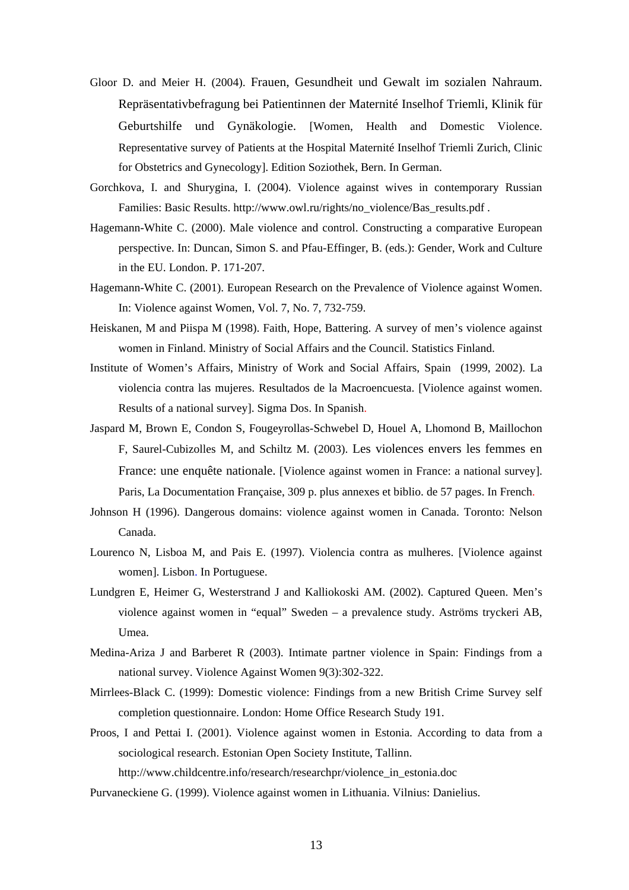- Gloor D. and Meier H. (2004). Frauen, Gesundheit und Gewalt im sozialen Nahraum. Repräsentativbefragung bei Patientinnen der Maternité Inselhof Triemli, Klinik für Geburtshilfe und Gynäkologie. [Women, Health and Domestic Violence. Representative survey of Patients at the Hospital Maternité Inselhof Triemli Zurich, Clinic for Obstetrics and Gynecology]. Edition Soziothek, Bern. In German.
- Gorchkova, I. and Shurygina, I. (2004). Violence against wives in contemporary Russian Families: Basic Results. http://www.owl.ru/rights/no\_violence/Bas\_results.pdf .
- Hagemann-White C. (2000). Male violence and control. Constructing a comparative European perspective. In: Duncan, Simon S. and Pfau-Effinger, B. (eds.): Gender, Work and Culture in the EU. London. P. 171-207.
- Hagemann-White C. (2001). European Research on the Prevalence of Violence against Women. In: Violence against Women, Vol. 7, No. 7, 732-759.
- Heiskanen, M and Piispa M (1998). Faith, Hope, Battering. A survey of men's violence against women in Finland. Ministry of Social Affairs and the Council. Statistics Finland.
- Institute of Women's Affairs, Ministry of Work and Social Affairs, Spain (1999, 2002). La violencia contra las mujeres. Resultados de la Macroencuesta. [Violence against women. Results of a national survey]. Sigma Dos. In Spanish.
- Jaspard M, Brown E, Condon S, Fougeyrollas-Schwebel D, Houel A, Lhomond B, Maillochon F, Saurel-Cubizolles M, and Schiltz M. (2003). Les violences envers les femmes en France: une enquête nationale. [Violence against women in France: a national survey]. Paris, La Documentation Française, 309 p. plus annexes et biblio. de 57 pages. In French.
- Johnson H (1996). Dangerous domains: violence against women in Canada. Toronto: Nelson Canada.
- Lourenco N, Lisboa M, and Pais E. (1997). Violencia contra as mulheres. [Violence against women]. Lisbon. In Portuguese.
- Lundgren E, Heimer G, Westerstrand J and Kalliokoski AM. (2002). Captured Queen. Men's violence against women in "equal" Sweden – a prevalence study. Aströms tryckeri AB, Umea.
- Medina-Ariza J and Barberet R (2003). Intimate partner violence in Spain: Findings from a national survey. Violence Against Women 9(3):302-322.
- Mirrlees-Black C. (1999): Domestic violence: Findings from a new British Crime Survey self completion questionnaire. London: Home Office Research Study 191.
- Proos, I and Pettai I. (2001). Violence against women in Estonia. According to data from a sociological research. Estonian Open Society Institute, Tallinn. http://www.childcentre.info/research/researchpr/violence\_in\_estonia.doc

Purvaneckiene G. (1999). Violence against women in Lithuania. Vilnius: Danielius.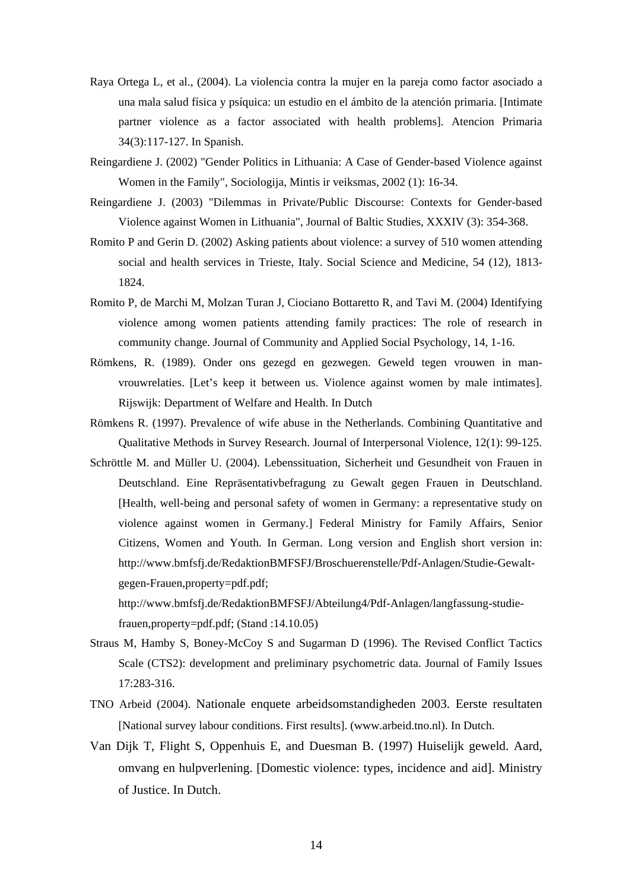- Raya Ortega L, et al., (2004). La violencia contra la mujer en la pareja como factor asociado a una mala salud física y psíquica: un estudio en el ámbito de la atención primaria. [Intimate partner violence as a factor associated with health problems]. Atencion Primaria 34(3):117-127. In Spanish.
- Reingardiene J. (2002) "Gender Politics in Lithuania: A Case of Gender-based Violence against Women in the Family", Sociologija, Mintis ir veiksmas, 2002 (1): 16-34.
- Reingardiene J. (2003) "Dilemmas in Private/Public Discourse: Contexts for Gender-based Violence against Women in Lithuania", Journal of Baltic Studies, XXXIV (3): 354-368.
- Romito P and Gerin D. (2002) Asking patients about violence: a survey of 510 women attending social and health services in Trieste, Italy. Social Science and Medicine, 54 (12), 1813- 1824.
- Romito P, de Marchi M, Molzan Turan J, Ciociano Bottaretto R, and Tavi M. (2004) Identifying violence among women patients attending family practices: The role of research in community change. Journal of Community and Applied Social Psychology, 14, 1-16.
- Römkens, R. (1989). Onder ons gezegd en gezwegen. Geweld tegen vrouwen in manvrouwrelaties. [Let's keep it between us. Violence against women by male intimates]. Rijswijk: Department of Welfare and Health. In Dutch
- Römkens R. (1997). Prevalence of wife abuse in the Netherlands. Combining Quantitative and Qualitative Methods in Survey Research. Journal of Interpersonal Violence, 12(1): 99-125.
- Schröttle M. and Müller U. (2004). Lebenssituation, Sicherheit und Gesundheit von Frauen in Deutschland. Eine Repräsentativbefragung zu Gewalt gegen Frauen in Deutschland. [Health, well-being and personal safety of women in Germany: a representative study on violence against women in Germany.] Federal Ministry for Family Affairs, Senior Citizens, Women and Youth. In German. Long version and English short version in: http://www.bmfsfj.de/RedaktionBMFSFJ/Broschuerenstelle/Pdf-Anlagen/Studie-Gewaltgegen-Frauen,property=pdf.pdf;

http://www.bmfsfj.de/RedaktionBMFSFJ/Abteilung4/Pdf-Anlagen/langfassung-studiefrauen,property=pdf.pdf; (Stand :14.10.05)

- Straus M, Hamby S, Boney-McCoy S and Sugarman D (1996). The Revised Conflict Tactics Scale (CTS2): development and preliminary psychometric data. Journal of Family Issues 17:283-316.
- TNO Arbeid (2004). Nationale enquete arbeidsomstandigheden 2003. Eerste resultaten [National survey labour conditions. First results]. (www.arbeid.tno.nl). In Dutch.
- Van Dijk T, Flight S, Oppenhuis E, and Duesman B. (1997) Huiselijk geweld. Aard, omvang en hulpverlening. [Domestic violence: types, incidence and aid]. Ministry of Justice. In Dutch.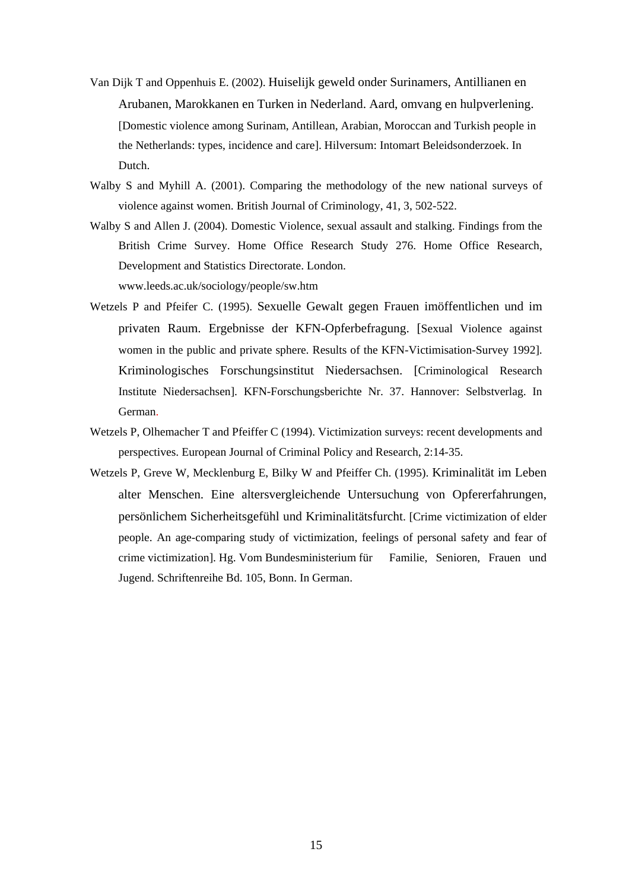- Van Dijk T and Oppenhuis E. (2002). Huiselijk geweld onder Surinamers, Antillianen en Arubanen, Marokkanen en Turken in Nederland. Aard, omvang en hulpverlening. [Domestic violence among Surinam, Antillean, Arabian, Moroccan and Turkish people in the Netherlands: types, incidence and care]. Hilversum: Intomart Beleidsonderzoek. In Dutch.
- Walby S and Myhill A. (2001). Comparing the methodology of the new national surveys of violence against women. British Journal of Criminology, 41, 3, 502-522.
- Walby S and Allen J. (2004). Domestic Violence, sexual assault and stalking. Findings from the British Crime Survey. Home Office Research Study 276. Home Office Research, Development and Statistics Directorate. London. www.leeds.ac.uk/sociology/people/sw.htm
- Wetzels P and Pfeifer C. (1995). Sexuelle Gewalt gegen Frauen imöffentlichen und im privaten Raum. Ergebnisse der KFN-Opferbefragung. [Sexual Violence against women in the public and private sphere. Results of the KFN-Victimisation-Survey 1992]. Kriminologisches Forschungsinstitut Niedersachsen. [Criminological Research Institute Niedersachsen]. KFN-Forschungsberichte Nr. 37. Hannover: Selbstverlag. In German.
- Wetzels P, Olhemacher T and Pfeiffer C (1994). Victimization surveys: recent developments and perspectives. European Journal of Criminal Policy and Research, 2:14-35.
- Wetzels P, Greve W, Mecklenburg E, Bilky W and Pfeiffer Ch. (1995). Kriminalität im Leben alter Menschen. Eine altersvergleichende Untersuchung von Opfererfahrungen, persönlichem Sicherheitsgefühl und Kriminalitätsfurcht. [Crime victimization of elder people. An age-comparing study of victimization, feelings of personal safety and fear of crime victimization]. Hg. Vom Bundesministerium für Familie, Senioren, Frauen und Jugend. Schriftenreihe Bd. 105, Bonn. In German.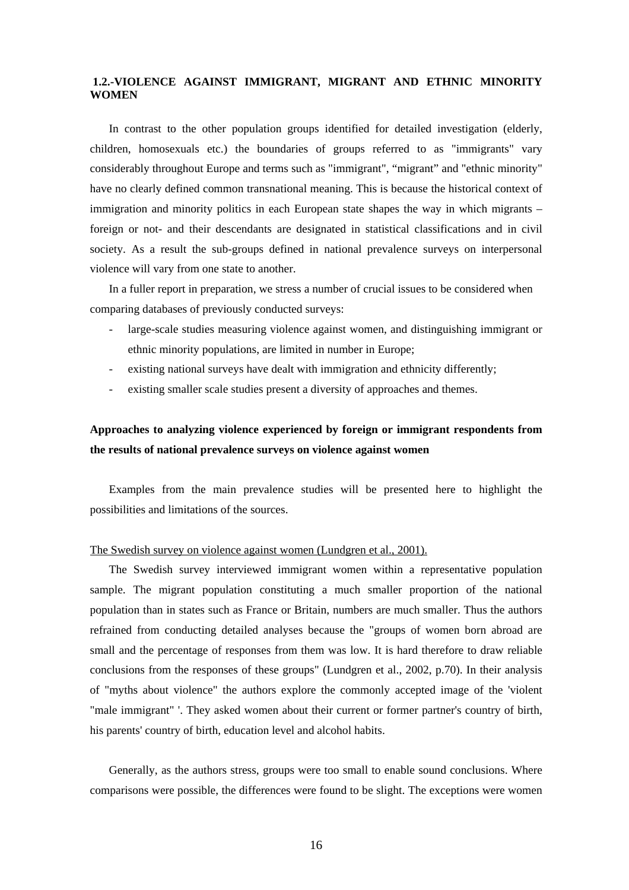## **1.2.-VIOLENCE AGAINST IMMIGRANT, MIGRANT AND ETHNIC MINORITY WOMEN**

In contrast to the other population groups identified for detailed investigation (elderly, children, homosexuals etc.) the boundaries of groups referred to as "immigrants" vary considerably throughout Europe and terms such as "immigrant", "migrant" and "ethnic minority" have no clearly defined common transnational meaning. This is because the historical context of immigration and minority politics in each European state shapes the way in which migrants – foreign or not- and their descendants are designated in statistical classifications and in civil society. As a result the sub-groups defined in national prevalence surveys on interpersonal violence will vary from one state to another.

In a fuller report in preparation, we stress a number of crucial issues to be considered when comparing databases of previously conducted surveys:

- large-scale studies measuring violence against women, and distinguishing immigrant or ethnic minority populations, are limited in number in Europe;
- existing national surveys have dealt with immigration and ethnicity differently;
- existing smaller scale studies present a diversity of approaches and themes.

## **Approaches to analyzing violence experienced by foreign or immigrant respondents from the results of national prevalence surveys on violence against women**

Examples from the main prevalence studies will be presented here to highlight the possibilities and limitations of the sources.

## The Swedish survey on violence against women (Lundgren et al., 2001).

The Swedish survey interviewed immigrant women within a representative population sample. The migrant population constituting a much smaller proportion of the national population than in states such as France or Britain, numbers are much smaller. Thus the authors refrained from conducting detailed analyses because the "groups of women born abroad are small and the percentage of responses from them was low. It is hard therefore to draw reliable conclusions from the responses of these groups" (Lundgren et al., 2002, p.70). In their analysis of "myths about violence" the authors explore the commonly accepted image of the 'violent "male immigrant" '. They asked women about their current or former partner's country of birth, his parents' country of birth, education level and alcohol habits.

Generally, as the authors stress, groups were too small to enable sound conclusions. Where comparisons were possible, the differences were found to be slight. The exceptions were women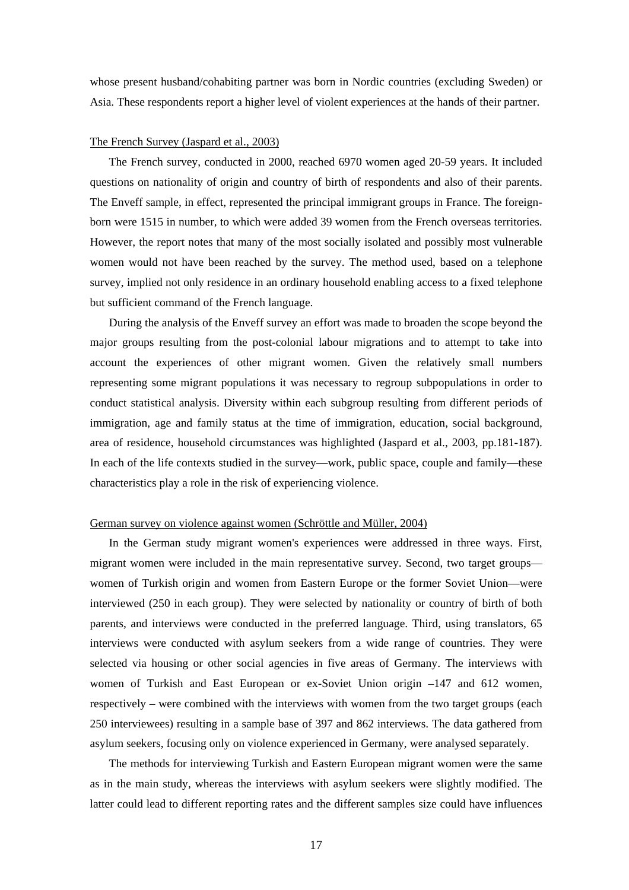whose present husband/cohabiting partner was born in Nordic countries (excluding Sweden) or Asia. These respondents report a higher level of violent experiences at the hands of their partner.

#### The French Survey (Jaspard et al., 2003)

The French survey, conducted in 2000, reached 6970 women aged 20-59 years. It included questions on nationality of origin and country of birth of respondents and also of their parents. The Enveff sample, in effect, represented the principal immigrant groups in France. The foreignborn were 1515 in number, to which were added 39 women from the French overseas territories. However, the report notes that many of the most socially isolated and possibly most vulnerable women would not have been reached by the survey. The method used, based on a telephone survey, implied not only residence in an ordinary household enabling access to a fixed telephone but sufficient command of the French language.

During the analysis of the Enveff survey an effort was made to broaden the scope beyond the major groups resulting from the post-colonial labour migrations and to attempt to take into account the experiences of other migrant women. Given the relatively small numbers representing some migrant populations it was necessary to regroup subpopulations in order to conduct statistical analysis. Diversity within each subgroup resulting from different periods of immigration, age and family status at the time of immigration, education, social background, area of residence, household circumstances was highlighted (Jaspard et al., 2003, pp.181-187). In each of the life contexts studied in the survey—work, public space, couple and family—these characteristics play a role in the risk of experiencing violence.

#### German survey on violence against women (Schröttle and Müller, 2004)

In the German study migrant women's experiences were addressed in three ways. First, migrant women were included in the main representative survey. Second, two target groups women of Turkish origin and women from Eastern Europe or the former Soviet Union—were interviewed (250 in each group). They were selected by nationality or country of birth of both parents, and interviews were conducted in the preferred language. Third, using translators, 65 interviews were conducted with asylum seekers from a wide range of countries. They were selected via housing or other social agencies in five areas of Germany. The interviews with women of Turkish and East European or ex-Soviet Union origin –147 and 612 women, respectively – were combined with the interviews with women from the two target groups (each 250 interviewees) resulting in a sample base of 397 and 862 interviews. The data gathered from asylum seekers, focusing only on violence experienced in Germany, were analysed separately.

The methods for interviewing Turkish and Eastern European migrant women were the same as in the main study, whereas the interviews with asylum seekers were slightly modified. The latter could lead to different reporting rates and the different samples size could have influences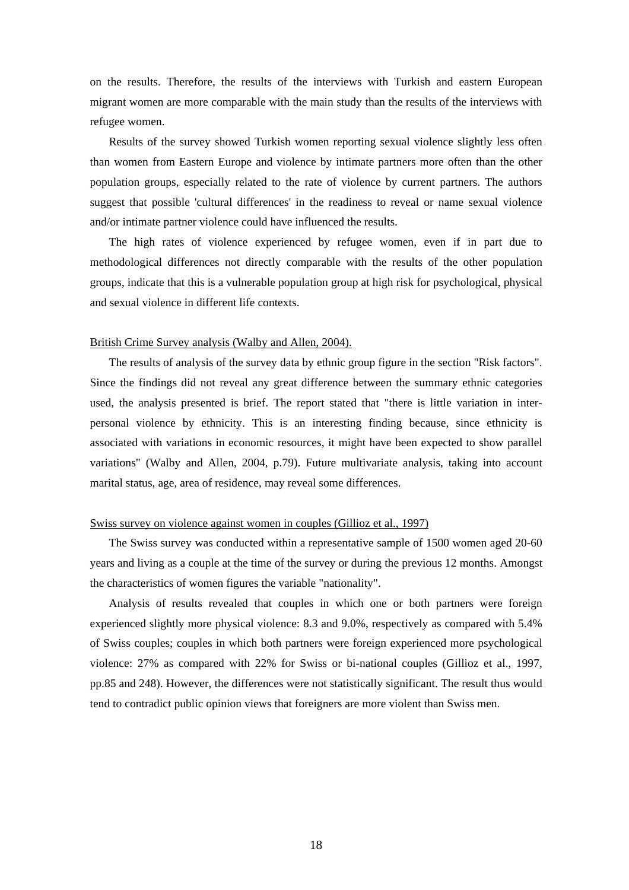on the results. Therefore, the results of the interviews with Turkish and eastern European migrant women are more comparable with the main study than the results of the interviews with refugee women.

Results of the survey showed Turkish women reporting sexual violence slightly less often than women from Eastern Europe and violence by intimate partners more often than the other population groups, especially related to the rate of violence by current partners. The authors suggest that possible 'cultural differences' in the readiness to reveal or name sexual violence and/or intimate partner violence could have influenced the results.

The high rates of violence experienced by refugee women, even if in part due to methodological differences not directly comparable with the results of the other population groups, indicate that this is a vulnerable population group at high risk for psychological, physical and sexual violence in different life contexts.

## British Crime Survey analysis (Walby and Allen, 2004).

The results of analysis of the survey data by ethnic group figure in the section "Risk factors". Since the findings did not reveal any great difference between the summary ethnic categories used, the analysis presented is brief. The report stated that "there is little variation in interpersonal violence by ethnicity. This is an interesting finding because, since ethnicity is associated with variations in economic resources, it might have been expected to show parallel variations" (Walby and Allen, 2004, p.79). Future multivariate analysis, taking into account marital status, age, area of residence, may reveal some differences.

## Swiss survey on violence against women in couples (Gillioz et al., 1997)

The Swiss survey was conducted within a representative sample of 1500 women aged 20-60 years and living as a couple at the time of the survey or during the previous 12 months. Amongst the characteristics of women figures the variable "nationality".

Analysis of results revealed that couples in which one or both partners were foreign experienced slightly more physical violence: 8.3 and 9.0%, respectively as compared with 5.4% of Swiss couples; couples in which both partners were foreign experienced more psychological violence: 27% as compared with 22% for Swiss or bi-national couples (Gillioz et al., 1997, pp.85 and 248). However, the differences were not statistically significant. The result thus would tend to contradict public opinion views that foreigners are more violent than Swiss men.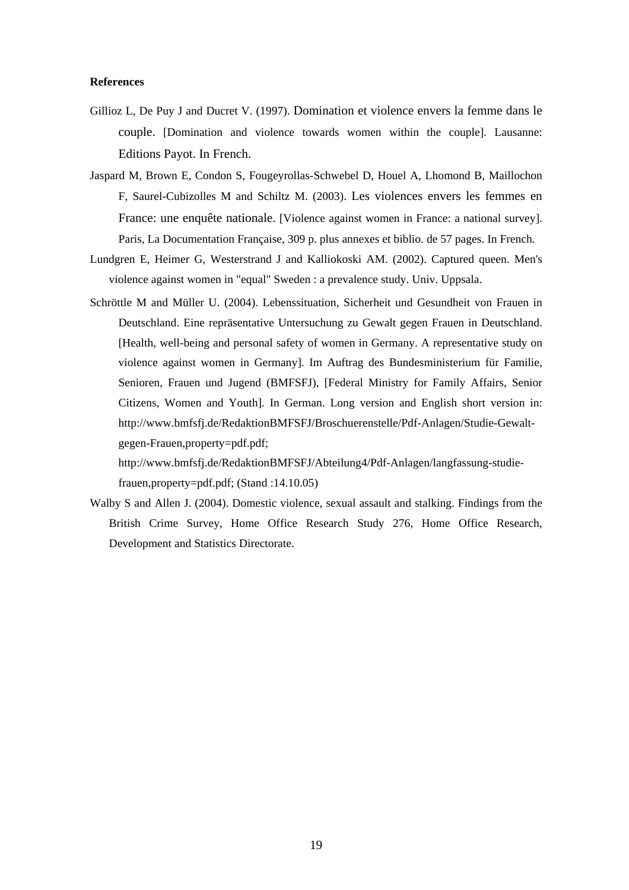### **References**

- Gillioz L, De Puy J and Ducret V. (1997). Domination et violence envers la femme dans le couple. [Domination and violence towards women within the couple]. Lausanne: Editions Payot. In French.
- Jaspard M, Brown E, Condon S, Fougeyrollas-Schwebel D, Houel A, Lhomond B, Maillochon F, Saurel-Cubizolles M and Schiltz M. (2003). Les violences envers les femmes en France: une enquête nationale. [Violence against women in France: a national survey]. Paris, La Documentation Française, 309 p. plus annexes et biblio. de 57 pages. In French.
- Lundgren E, Heimer G, Westerstrand J and Kalliokoski AM. (2002). Captured queen. Men's violence against women in "equal" Sweden : a prevalence study. Univ. Uppsala.
- Schröttle M and Müller U. (2004). Lebenssituation, Sicherheit und Gesundheit von Frauen in Deutschland. Eine repräsentative Untersuchung zu Gewalt gegen Frauen in Deutschland. [Health, well-being and personal safety of women in Germany. A representative study on violence against women in Germany]. Im Auftrag des Bundesministerium für Familie, Senioren, Frauen und Jugend (BMFSFJ), [Federal Ministry for Family Affairs, Senior Citizens, Women and Youth]. In German. Long version and English short version in: http://www.bmfsfj.de/RedaktionBMFSFJ/Broschuerenstelle/Pdf-Anlagen/Studie-Gewaltgegen-Frauen,property=pdf.pdf;

http://www.bmfsfj.de/RedaktionBMFSFJ/Abteilung4/Pdf-Anlagen/langfassung-studiefrauen,property=pdf.pdf; (Stand :14.10.05)

Walby S and Allen J. (2004). Domestic violence, sexual assault and stalking. Findings from the British Crime Survey, Home Office Research Study 276, Home Office Research, Development and Statistics Directorate.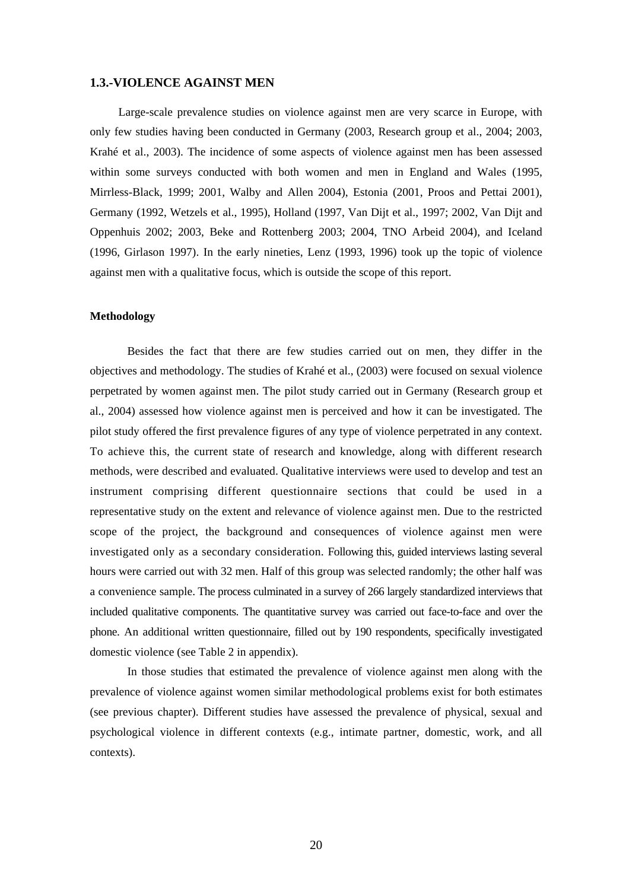## **1.3.-VIOLENCE AGAINST MEN**

Large-scale prevalence studies on violence against men are very scarce in Europe, with only few studies having been conducted in Germany (2003, Research group et al., 2004; 2003, Krahé et al., 2003). The incidence of some aspects of violence against men has been assessed within some surveys conducted with both women and men in England and Wales (1995, Mirrless-Black, 1999; 2001, Walby and Allen 2004), Estonia (2001, Proos and Pettai 2001), Germany (1992, Wetzels et al., 1995), Holland (1997, Van Dijt et al., 1997; 2002, Van Dijt and Oppenhuis 2002; 2003, Beke and Rottenberg 2003; 2004, TNO Arbeid 2004), and Iceland (1996, Girlason 1997). In the early nineties, Lenz (1993, 1996) took up the topic of violence against men with a qualitative focus, which is outside the scope of this report.

#### **Methodology**

Besides the fact that there are few studies carried out on men, they differ in the objectives and methodology. The studies of Krahé et al., (2003) were focused on sexual violence perpetrated by women against men. The pilot study carried out in Germany (Research group et al., 2004) assessed how violence against men is perceived and how it can be investigated. The pilot study offered the first prevalence figures of any type of violence perpetrated in any context. To achieve this, the current state of research and knowledge, along with different research methods, were described and evaluated. Qualitative interviews were used to develop and test an instrument comprising different questionnaire sections that could be used in a representative study on the extent and relevance of violence against men. Due to the restricted scope of the project, the background and consequences of violence against men were investigated only as a secondary consideration. Following this, guided interviews lasting several hours were carried out with 32 men. Half of this group was selected randomly; the other half was a convenience sample. The process culminated in a survey of 266 largely standardized interviews that included qualitative components. The quantitative survey was carried out face-to-face and over the phone. An additional written questionnaire, filled out by 190 respondents, specifically investigated domestic violence (see Table 2 in appendix).

In those studies that estimated the prevalence of violence against men along with the prevalence of violence against women similar methodological problems exist for both estimates (see previous chapter). Different studies have assessed the prevalence of physical, sexual and psychological violence in different contexts (e.g., intimate partner, domestic, work, and all contexts).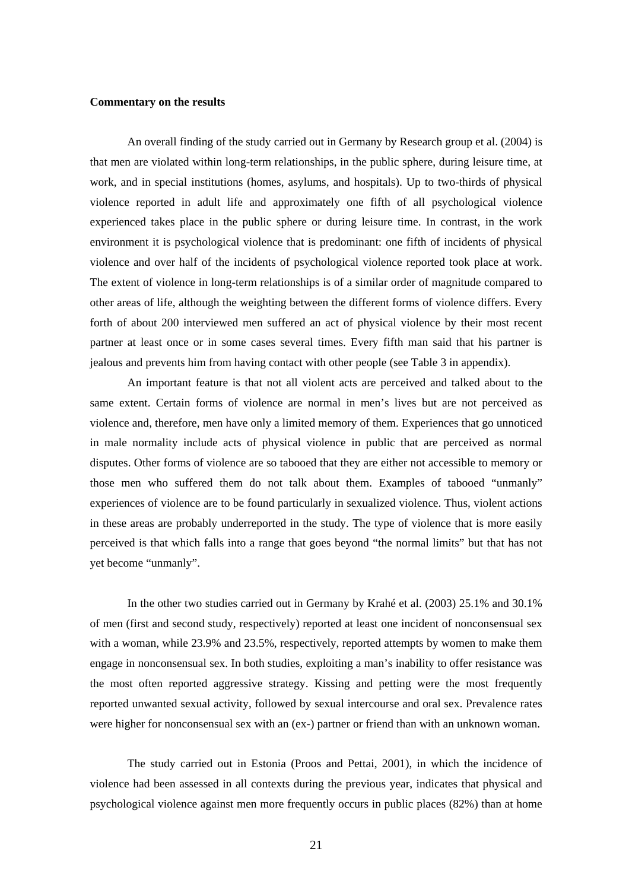## **Commentary on the results**

An overall finding of the study carried out in Germany by Research group et al. (2004) is that men are violated within long-term relationships, in the public sphere, during leisure time, at work, and in special institutions (homes, asylums, and hospitals). Up to two-thirds of physical violence reported in adult life and approximately one fifth of all psychological violence experienced takes place in the public sphere or during leisure time. In contrast, in the work environment it is psychological violence that is predominant: one fifth of incidents of physical violence and over half of the incidents of psychological violence reported took place at work. The extent of violence in long-term relationships is of a similar order of magnitude compared to other areas of life, although the weighting between the different forms of violence differs. Every forth of about 200 interviewed men suffered an act of physical violence by their most recent partner at least once or in some cases several times. Every fifth man said that his partner is jealous and prevents him from having contact with other people (see Table 3 in appendix).

An important feature is that not all violent acts are perceived and talked about to the same extent. Certain forms of violence are normal in men's lives but are not perceived as violence and, therefore, men have only a limited memory of them. Experiences that go unnoticed in male normality include acts of physical violence in public that are perceived as normal disputes. Other forms of violence are so tabooed that they are either not accessible to memory or those men who suffered them do not talk about them. Examples of tabooed "unmanly" experiences of violence are to be found particularly in sexualized violence. Thus, violent actions in these areas are probably underreported in the study. The type of violence that is more easily perceived is that which falls into a range that goes beyond "the normal limits" but that has not yet become "unmanly".

In the other two studies carried out in Germany by Krahé et al. (2003) 25.1% and 30.1% of men (first and second study, respectively) reported at least one incident of nonconsensual sex with a woman, while 23.9% and 23.5%, respectively, reported attempts by women to make them engage in nonconsensual sex. In both studies, exploiting a man's inability to offer resistance was the most often reported aggressive strategy. Kissing and petting were the most frequently reported unwanted sexual activity, followed by sexual intercourse and oral sex. Prevalence rates were higher for nonconsensual sex with an (ex-) partner or friend than with an unknown woman.

 The study carried out in Estonia (Proos and Pettai, 2001), in which the incidence of violence had been assessed in all contexts during the previous year, indicates that physical and psychological violence against men more frequently occurs in public places (82%) than at home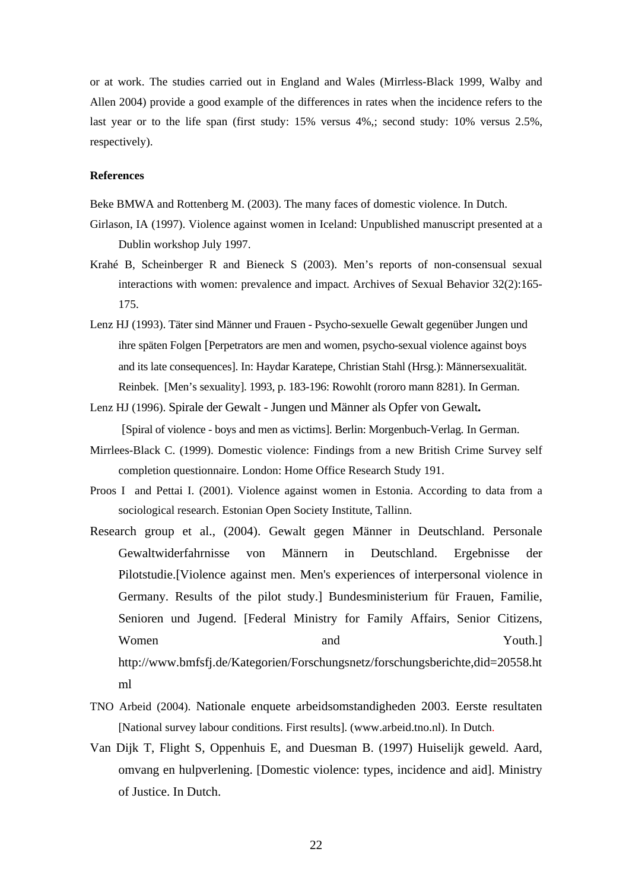or at work. The studies carried out in England and Wales (Mirrless-Black 1999, Walby and Allen 2004) provide a good example of the differences in rates when the incidence refers to the last year or to the life span (first study: 15% versus 4%,; second study: 10% versus 2.5%, respectively).

### **References**

Beke BMWA and Rottenberg M. (2003). The many faces of domestic violence. In Dutch.

- Girlason, IA (1997). Violence against women in Iceland: Unpublished manuscript presented at a Dublin workshop July 1997.
- Krahé B, Scheinberger R and Bieneck S (2003). Men's reports of non-consensual sexual interactions with women: prevalence and impact. Archives of Sexual Behavior 32(2):165- 175.
- Lenz HJ (1993). Täter sind Männer und Frauen Psycho-sexuelle Gewalt gegenüber Jungen und ihre späten Folgen [Perpetrators are men and women, psycho-sexual violence against boys and its late consequences]. In: Haydar Karatepe, Christian Stahl (Hrsg.): Männersexualität. Reinbek. [Men's sexuality]. 1993, p. 183-196: Rowohlt (rororo mann 8281). In German.
- Lenz HJ (1996). Spirale der Gewalt Jungen und Männer als Opfer von Gewalt**.**

[Spiral of violence - boys and men as victims]. Berlin: Morgenbuch-Verlag. In German.

- Mirrlees-Black C. (1999). Domestic violence: Findings from a new British Crime Survey self completion questionnaire. London: Home Office Research Study 191.
- Proos I and Pettai I. (2001). Violence against women in Estonia. According to data from a sociological research. Estonian Open Society Institute, Tallinn.
- Research group et al., (2004). Gewalt gegen Männer in Deutschland. Personale Gewaltwiderfahrnisse von Männern in Deutschland. Ergebnisse der Pilotstudie.[Violence against men. Men's experiences of interpersonal violence in Germany. Results of the pilot study.] Bundesministerium für Frauen, Familie, Senioren und Jugend. [Federal Ministry for Family Affairs, Senior Citizens, Women and Youth.] http://www.bmfsfj.de/Kategorien/Forschungsnetz/forschungsberichte,did=20558.ht ml
- TNO Arbeid (2004). Nationale enquete arbeidsomstandigheden 2003. Eerste resultaten [National survey labour conditions. First results]. (www.arbeid.tno.nl). In Dutch.
- Van Dijk T, Flight S, Oppenhuis E, and Duesman B. (1997) Huiselijk geweld. Aard, omvang en hulpverlening. [Domestic violence: types, incidence and aid]. Ministry of Justice. In Dutch.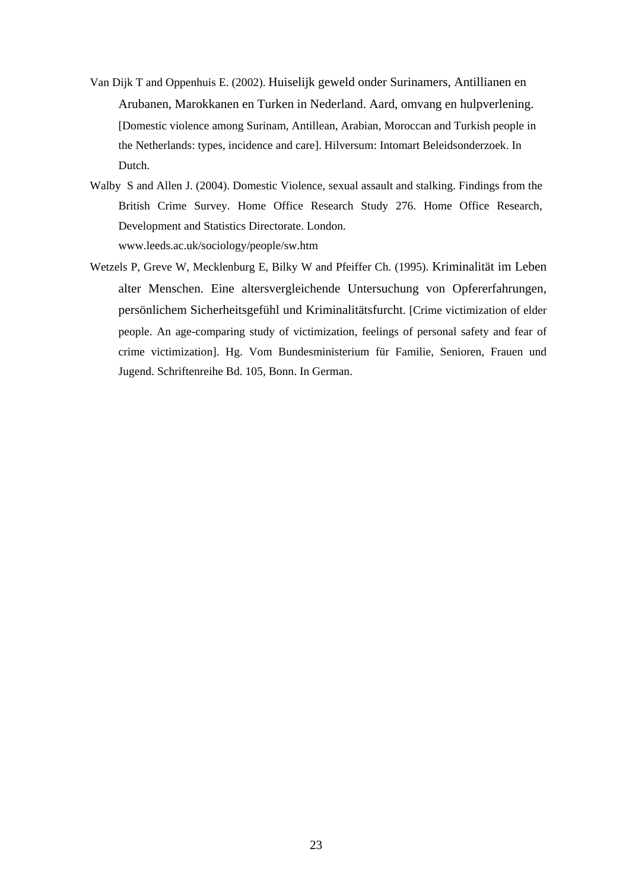- Van Dijk T and Oppenhuis E. (2002). Huiselijk geweld onder Surinamers, Antillianen en Arubanen, Marokkanen en Turken in Nederland. Aard, omvang en hulpverlening. [Domestic violence among Surinam, Antillean, Arabian, Moroccan and Turkish people in the Netherlands: types, incidence and care]. Hilversum: Intomart Beleidsonderzoek. In Dutch.
- Walby S and Allen J. (2004). Domestic Violence, sexual assault and stalking. Findings from the British Crime Survey. Home Office Research Study 276. Home Office Research, Development and Statistics Directorate. London. www.leeds.ac.uk/sociology/people/sw.htm
- Wetzels P, Greve W, Mecklenburg E, Bilky W and Pfeiffer Ch. (1995). Kriminalität im Leben alter Menschen. Eine altersvergleichende Untersuchung von Opfererfahrungen, persönlichem Sicherheitsgefühl und Kriminalitätsfurcht. [Crime victimization of elder people. An age-comparing study of victimization, feelings of personal safety and fear of crime victimization]. Hg. Vom Bundesministerium für Familie, Senioren, Frauen und Jugend. Schriftenreihe Bd. 105, Bonn. In German.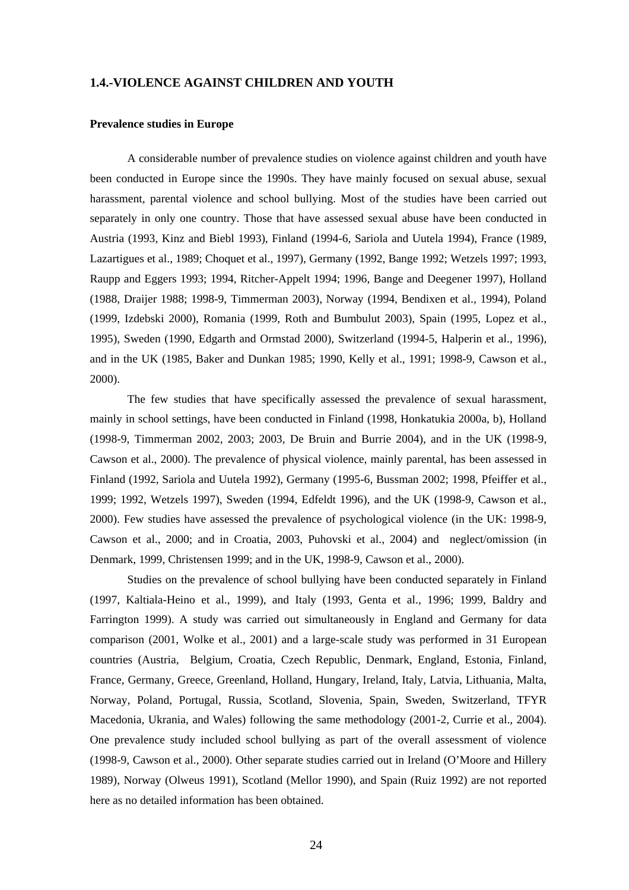## **1.4.-VIOLENCE AGAINST CHILDREN AND YOUTH**

#### **Prevalence studies in Europe**

A considerable number of prevalence studies on violence against children and youth have been conducted in Europe since the 1990s. They have mainly focused on sexual abuse, sexual harassment, parental violence and school bullying. Most of the studies have been carried out separately in only one country. Those that have assessed sexual abuse have been conducted in Austria (1993, Kinz and Biebl 1993), Finland (1994-6, Sariola and Uutela 1994), France (1989, Lazartigues et al., 1989; Choquet et al., 1997), Germany (1992, Bange 1992; Wetzels 1997; 1993, Raupp and Eggers 1993; 1994, Ritcher-Appelt 1994; 1996, Bange and Deegener 1997), Holland (1988, Draijer 1988; 1998-9, Timmerman 2003), Norway (1994, Bendixen et al., 1994), Poland (1999, Izdebski 2000), Romania (1999, Roth and Bumbulut 2003), Spain (1995, Lopez et al., 1995), Sweden (1990, Edgarth and Ormstad 2000), Switzerland (1994-5, Halperin et al., 1996), and in the UK (1985, Baker and Dunkan 1985; 1990, Kelly et al., 1991; 1998-9, Cawson et al., 2000).

The few studies that have specifically assessed the prevalence of sexual harassment, mainly in school settings, have been conducted in Finland (1998, Honkatukia 2000a, b), Holland (1998-9, Timmerman 2002, 2003; 2003, De Bruin and Burrie 2004), and in the UK (1998-9, Cawson et al., 2000). The prevalence of physical violence, mainly parental, has been assessed in Finland (1992, Sariola and Uutela 1992), Germany (1995-6, Bussman 2002; 1998, Pfeiffer et al., 1999; 1992, Wetzels 1997), Sweden (1994, Edfeldt 1996), and the UK (1998-9, Cawson et al., 2000). Few studies have assessed the prevalence of psychological violence (in the UK: 1998-9, Cawson et al., 2000; and in Croatia, 2003, Puhovski et al., 2004) and neglect/omission (in Denmark, 1999, Christensen 1999; and in the UK, 1998-9, Cawson et al., 2000).

Studies on the prevalence of school bullying have been conducted separately in Finland (1997, Kaltiala-Heino et al., 1999), and Italy (1993, Genta et al., 1996; 1999, Baldry and Farrington 1999). A study was carried out simultaneously in England and Germany for data comparison (2001, Wolke et al., 2001) and a large-scale study was performed in 31 European countries (Austria, Belgium, Croatia, Czech Republic, Denmark, England, Estonia, Finland, France, Germany, Greece, Greenland, Holland, Hungary, Ireland, Italy, Latvia, Lithuania, Malta, Norway, Poland, Portugal, Russia, Scotland, Slovenia, Spain, Sweden, Switzerland, TFYR Macedonia, Ukrania, and Wales) following the same methodology (2001-2, Currie et al., 2004). One prevalence study included school bullying as part of the overall assessment of violence (1998-9, Cawson et al., 2000). Other separate studies carried out in Ireland (O'Moore and Hillery 1989), Norway (Olweus 1991), Scotland (Mellor 1990), and Spain (Ruiz 1992) are not reported here as no detailed information has been obtained.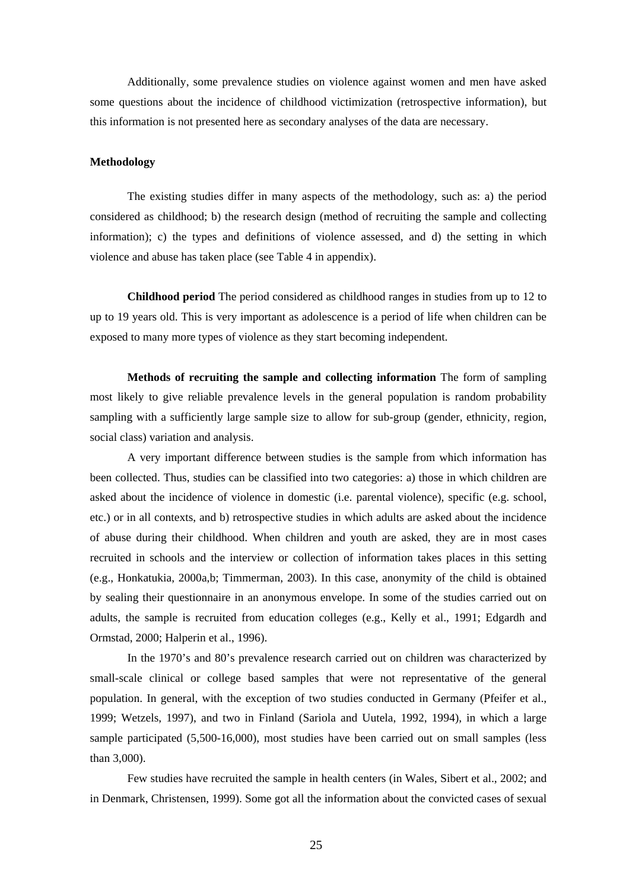Additionally, some prevalence studies on violence against women and men have asked some questions about the incidence of childhood victimization (retrospective information), but this information is not presented here as secondary analyses of the data are necessary.

#### **Methodology**

The existing studies differ in many aspects of the methodology, such as: a) the period considered as childhood; b) the research design (method of recruiting the sample and collecting information); c) the types and definitions of violence assessed, and d) the setting in which violence and abuse has taken place (see Table 4 in appendix).

**Childhood period** The period considered as childhood ranges in studies from up to 12 to up to 19 years old. This is very important as adolescence is a period of life when children can be exposed to many more types of violence as they start becoming independent.

**Methods of recruiting the sample and collecting information** The form of sampling most likely to give reliable prevalence levels in the general population is random probability sampling with a sufficiently large sample size to allow for sub-group (gender, ethnicity, region, social class) variation and analysis.

A very important difference between studies is the sample from which information has been collected. Thus, studies can be classified into two categories: a) those in which children are asked about the incidence of violence in domestic (i.e. parental violence), specific (e.g. school, etc.) or in all contexts, and b) retrospective studies in which adults are asked about the incidence of abuse during their childhood. When children and youth are asked, they are in most cases recruited in schools and the interview or collection of information takes places in this setting (e.g., Honkatukia, 2000a,b; Timmerman, 2003). In this case, anonymity of the child is obtained by sealing their questionnaire in an anonymous envelope. In some of the studies carried out on adults, the sample is recruited from education colleges (e.g., Kelly et al., 1991; Edgardh and Ormstad, 2000; Halperin et al., 1996).

In the 1970's and 80's prevalence research carried out on children was characterized by small-scale clinical or college based samples that were not representative of the general population. In general, with the exception of two studies conducted in Germany (Pfeifer et al., 1999; Wetzels, 1997), and two in Finland (Sariola and Uutela, 1992, 1994), in which a large sample participated (5,500-16,000), most studies have been carried out on small samples (less than 3,000).

Few studies have recruited the sample in health centers (in Wales, Sibert et al., 2002; and in Denmark, Christensen, 1999). Some got all the information about the convicted cases of sexual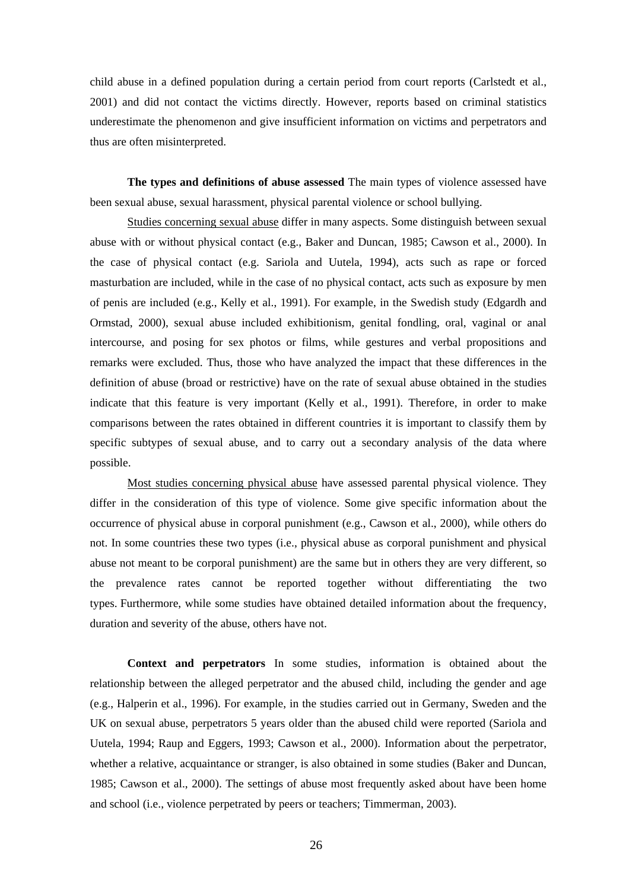child abuse in a defined population during a certain period from court reports (Carlstedt et al., 2001) and did not contact the victims directly. However, reports based on criminal statistics underestimate the phenomenon and give insufficient information on victims and perpetrators and thus are often misinterpreted.

**The types and definitions of abuse assessed** The main types of violence assessed have been sexual abuse, sexual harassment, physical parental violence or school bullying.

Studies concerning sexual abuse differ in many aspects. Some distinguish between sexual abuse with or without physical contact (e.g., Baker and Duncan, 1985; Cawson et al., 2000). In the case of physical contact (e.g. Sariola and Uutela, 1994), acts such as rape or forced masturbation are included, while in the case of no physical contact, acts such as exposure by men of penis are included (e.g., Kelly et al., 1991). For example, in the Swedish study (Edgardh and Ormstad, 2000), sexual abuse included exhibitionism, genital fondling, oral, vaginal or anal intercourse, and posing for sex photos or films, while gestures and verbal propositions and remarks were excluded. Thus, those who have analyzed the impact that these differences in the definition of abuse (broad or restrictive) have on the rate of sexual abuse obtained in the studies indicate that this feature is very important (Kelly et al., 1991). Therefore, in order to make comparisons between the rates obtained in different countries it is important to classify them by specific subtypes of sexual abuse, and to carry out a secondary analysis of the data where possible.

Most studies concerning physical abuse have assessed parental physical violence. They differ in the consideration of this type of violence. Some give specific information about the occurrence of physical abuse in corporal punishment (e.g., Cawson et al., 2000), while others do not. In some countries these two types (i.e., physical abuse as corporal punishment and physical abuse not meant to be corporal punishment) are the same but in others they are very different, so the prevalence rates cannot be reported together without differentiating the two types. Furthermore, while some studies have obtained detailed information about the frequency, duration and severity of the abuse, others have not.

**Context and perpetrators** In some studies, information is obtained about the relationship between the alleged perpetrator and the abused child, including the gender and age (e.g., Halperin et al., 1996). For example, in the studies carried out in Germany, Sweden and the UK on sexual abuse, perpetrators 5 years older than the abused child were reported (Sariola and Uutela, 1994; Raup and Eggers, 1993; Cawson et al., 2000). Information about the perpetrator, whether a relative, acquaintance or stranger, is also obtained in some studies (Baker and Duncan, 1985; Cawson et al., 2000). The settings of abuse most frequently asked about have been home and school (i.e., violence perpetrated by peers or teachers; Timmerman, 2003).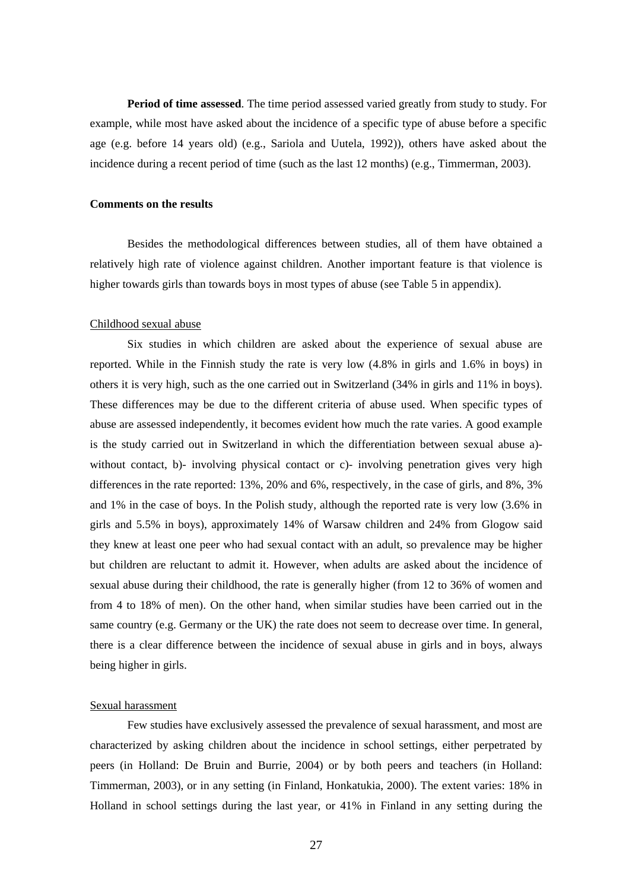**Period of time assessed**. The time period assessed varied greatly from study to study. For example, while most have asked about the incidence of a specific type of abuse before a specific age (e.g. before 14 years old) (e.g., Sariola and Uutela, 1992)), others have asked about the incidence during a recent period of time (such as the last 12 months) (e.g., Timmerman, 2003).

#### **Comments on the results**

Besides the methodological differences between studies, all of them have obtained a relatively high rate of violence against children. Another important feature is that violence is higher towards girls than towards boys in most types of abuse (see Table 5 in appendix).

#### Childhood sexual abuse

Six studies in which children are asked about the experience of sexual abuse are reported. While in the Finnish study the rate is very low (4.8% in girls and 1.6% in boys) in others it is very high, such as the one carried out in Switzerland (34% in girls and 11% in boys). These differences may be due to the different criteria of abuse used. When specific types of abuse are assessed independently, it becomes evident how much the rate varies. A good example is the study carried out in Switzerland in which the differentiation between sexual abuse a) without contact, b)- involving physical contact or c)- involving penetration gives very high differences in the rate reported: 13%, 20% and 6%, respectively, in the case of girls, and 8%, 3% and 1% in the case of boys. In the Polish study, although the reported rate is very low (3.6% in girls and 5.5% in boys), approximately 14% of Warsaw children and 24% from Glogow said they knew at least one peer who had sexual contact with an adult, so prevalence may be higher but children are reluctant to admit it. However, when adults are asked about the incidence of sexual abuse during their childhood, the rate is generally higher (from 12 to 36% of women and from 4 to 18% of men). On the other hand, when similar studies have been carried out in the same country (e.g. Germany or the UK) the rate does not seem to decrease over time. In general, there is a clear difference between the incidence of sexual abuse in girls and in boys, always being higher in girls.

#### Sexual harassment

Few studies have exclusively assessed the prevalence of sexual harassment, and most are characterized by asking children about the incidence in school settings, either perpetrated by peers (in Holland: De Bruin and Burrie, 2004) or by both peers and teachers (in Holland: Timmerman, 2003), or in any setting (in Finland, Honkatukia, 2000). The extent varies: 18% in Holland in school settings during the last year, or 41% in Finland in any setting during the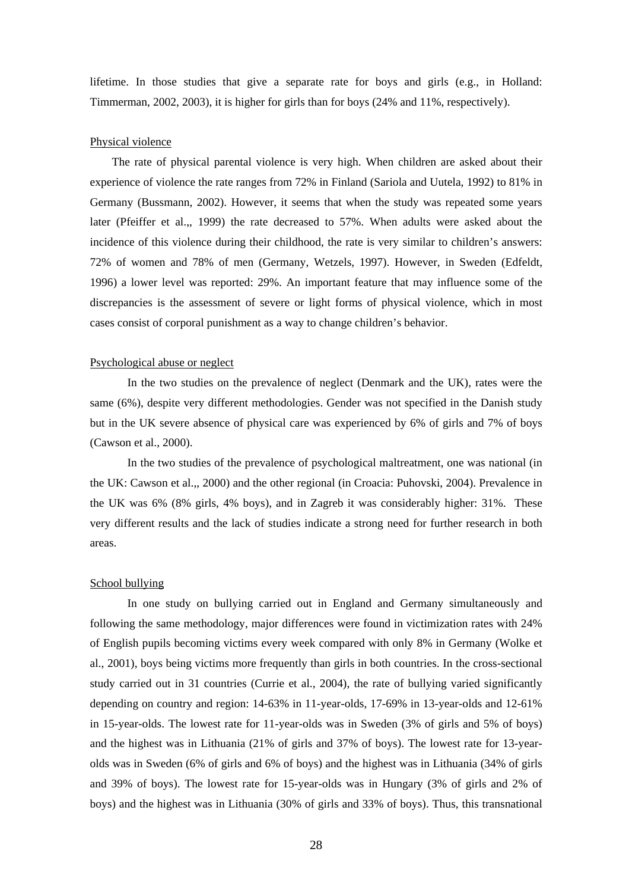lifetime. In those studies that give a separate rate for boys and girls (e.g., in Holland: Timmerman, 2002, 2003), it is higher for girls than for boys (24% and 11%, respectively).

#### Physical violence

 The rate of physical parental violence is very high. When children are asked about their experience of violence the rate ranges from 72% in Finland (Sariola and Uutela, 1992) to 81% in Germany (Bussmann, 2002). However, it seems that when the study was repeated some years later (Pfeiffer et al.,, 1999) the rate decreased to 57%. When adults were asked about the incidence of this violence during their childhood, the rate is very similar to children's answers: 72% of women and 78% of men (Germany, Wetzels, 1997). However, in Sweden (Edfeldt, 1996) a lower level was reported: 29%. An important feature that may influence some of the discrepancies is the assessment of severe or light forms of physical violence, which in most cases consist of corporal punishment as a way to change children's behavior.

#### Psychological abuse or neglect

In the two studies on the prevalence of neglect (Denmark and the UK), rates were the same (6%), despite very different methodologies. Gender was not specified in the Danish study but in the UK severe absence of physical care was experienced by 6% of girls and 7% of boys (Cawson et al., 2000).

In the two studies of the prevalence of psychological maltreatment, one was national (in the UK: Cawson et al.,, 2000) and the other regional (in Croacia: Puhovski, 2004). Prevalence in the UK was 6% (8% girls, 4% boys), and in Zagreb it was considerably higher: 31%. These very different results and the lack of studies indicate a strong need for further research in both areas.

### School bullying

In one study on bullying carried out in England and Germany simultaneously and following the same methodology, major differences were found in victimization rates with 24% of English pupils becoming victims every week compared with only 8% in Germany (Wolke et al., 2001), boys being victims more frequently than girls in both countries. In the cross-sectional study carried out in 31 countries (Currie et al., 2004), the rate of bullying varied significantly depending on country and region: 14-63% in 11-year-olds, 17-69% in 13-year-olds and 12-61% in 15-year-olds. The lowest rate for 11-year-olds was in Sweden (3% of girls and 5% of boys) and the highest was in Lithuania (21% of girls and 37% of boys). The lowest rate for 13-yearolds was in Sweden (6% of girls and 6% of boys) and the highest was in Lithuania (34% of girls and 39% of boys). The lowest rate for 15-year-olds was in Hungary (3% of girls and 2% of boys) and the highest was in Lithuania (30% of girls and 33% of boys). Thus, this transnational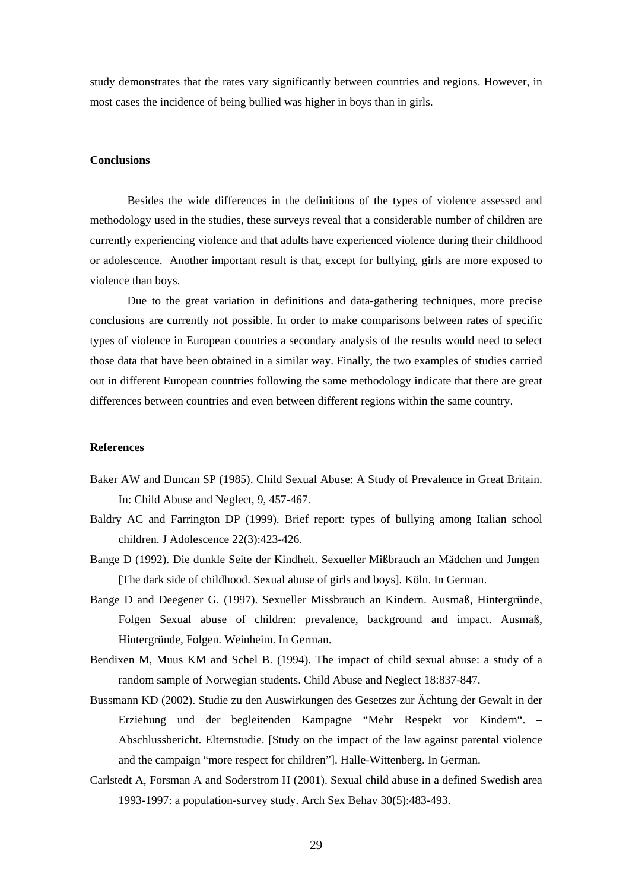study demonstrates that the rates vary significantly between countries and regions. However, in most cases the incidence of being bullied was higher in boys than in girls.

## **Conclusions**

Besides the wide differences in the definitions of the types of violence assessed and methodology used in the studies, these surveys reveal that a considerable number of children are currently experiencing violence and that adults have experienced violence during their childhood or adolescence. Another important result is that, except for bullying, girls are more exposed to violence than boys.

Due to the great variation in definitions and data-gathering techniques, more precise conclusions are currently not possible. In order to make comparisons between rates of specific types of violence in European countries a secondary analysis of the results would need to select those data that have been obtained in a similar way. Finally, the two examples of studies carried out in different European countries following the same methodology indicate that there are great differences between countries and even between different regions within the same country.

#### **References**

- Baker AW and Duncan SP (1985). Child Sexual Abuse: A Study of Prevalence in Great Britain. In: Child Abuse and Neglect, 9, 457-467.
- Baldry AC and Farrington DP (1999). Brief report: types of bullying among Italian school children. J Adolescence 22(3):423-426.
- Bange D (1992). Die dunkle Seite der Kindheit. Sexueller Mißbrauch an Mädchen und Jungen [The dark side of childhood. Sexual abuse of girls and boys]. Köln. In German.
- Bange D and Deegener G. (1997). Sexueller Missbrauch an Kindern. Ausmaß, Hintergründe, Folgen Sexual abuse of children: prevalence, background and impact. Ausmaß, Hintergründe, Folgen. Weinheim. In German.
- Bendixen M, Muus KM and Schel B. (1994). The impact of child sexual abuse: a study of a random sample of Norwegian students. Child Abuse and Neglect 18:837-847.
- Bussmann KD (2002). Studie zu den Auswirkungen des Gesetzes zur Ächtung der Gewalt in der Erziehung und der begleitenden Kampagne "Mehr Respekt vor Kindern". – Abschlussbericht. Elternstudie. [Study on the impact of the law against parental violence and the campaign "more respect for children"]. Halle-Wittenberg. In German.
- Carlstedt A, Forsman A and Soderstrom H (2001). Sexual child abuse in a defined Swedish area 1993-1997: a population-survey study. Arch Sex Behav 30(5):483-493.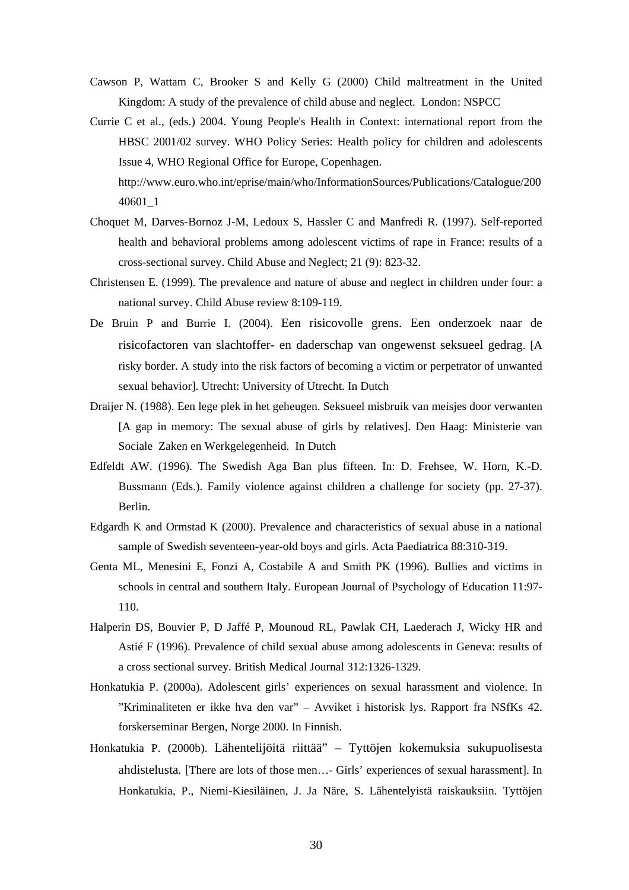- Cawson P, Wattam C, Brooker S and Kelly G (2000) Child maltreatment in the United Kingdom: A study of the prevalence of child abuse and neglect. London: NSPCC
- Currie C et al., (eds.) 2004. Young People's Health in Context: international report from the HBSC 2001/02 survey. WHO Policy Series: Health policy for children and adolescents Issue 4, WHO Regional Office for Europe, Copenhagen. http://www.euro.who.int/eprise/main/who/InformationSources/Publications/Catalogue/200 40601\_1
- Choquet M, Darves-Bornoz J-M, Ledoux S, Hassler C and Manfredi R. (1997). Self-reported health and behavioral problems among adolescent victims of rape in France: results of a cross-sectional survey. Child Abuse and Neglect; 21 (9): 823-32.
- Christensen E. (1999). The prevalence and nature of abuse and neglect in children under four: a national survey. Child Abuse review 8:109-119.
- De Bruin P and Burrie I. (2004). Een risicovolle grens. Een onderzoek naar de risicofactoren van slachtoffer- en daderschap van ongewenst seksueel gedrag. [A risky border. A study into the risk factors of becoming a victim or perpetrator of unwanted sexual behavior]. Utrecht: University of Utrecht. In Dutch
- Draijer N. (1988). Een lege plek in het geheugen. Seksueel misbruik van meisjes door verwanten [A gap in memory: The sexual abuse of girls by relatives]. Den Haag: Ministerie van Sociale Zaken en Werkgelegenheid. In Dutch
- Edfeldt AW. (1996). The Swedish Aga Ban plus fifteen. In: D. Frehsee, W. Horn, K.-D. Bussmann (Eds.). Family violence against children a challenge for society (pp. 27-37). Berlin.
- Edgardh K and Ormstad K (2000). Prevalence and characteristics of sexual abuse in a national sample of Swedish seventeen-year-old boys and girls. Acta Paediatrica 88:310-319.
- Genta ML, Menesini E, Fonzi A, Costabile A and Smith PK (1996). Bullies and victims in schools in central and southern Italy. European Journal of Psychology of Education 11:97- 110.
- Halperin DS, Bouvier P, D Jaffé P, Mounoud RL, Pawlak CH, Laederach J, Wicky HR and Astié F (1996). Prevalence of child sexual abuse among adolescents in Geneva: results of a cross sectional survey. British Medical Journal 312:1326-1329.
- Honkatukia P. (2000a). Adolescent girls' experiences on sexual harassment and violence. In "Kriminaliteten er ikke hva den var" – Avviket i historisk lys. Rapport fra NSfKs 42. forskerseminar Bergen, Norge 2000. In Finnish.
- Honkatukia P. (2000b). Lähentelijöitä riittää" Tyttöjen kokemuksia sukupuolisesta ahdistelusta*.* [There are lots of those men…- Girls' experiences of sexual harassment]. In Honkatukia, P., Niemi-Kiesiläinen, J. Ja Näre, S. Lähentelyistä raiskauksiin. Tyttöjen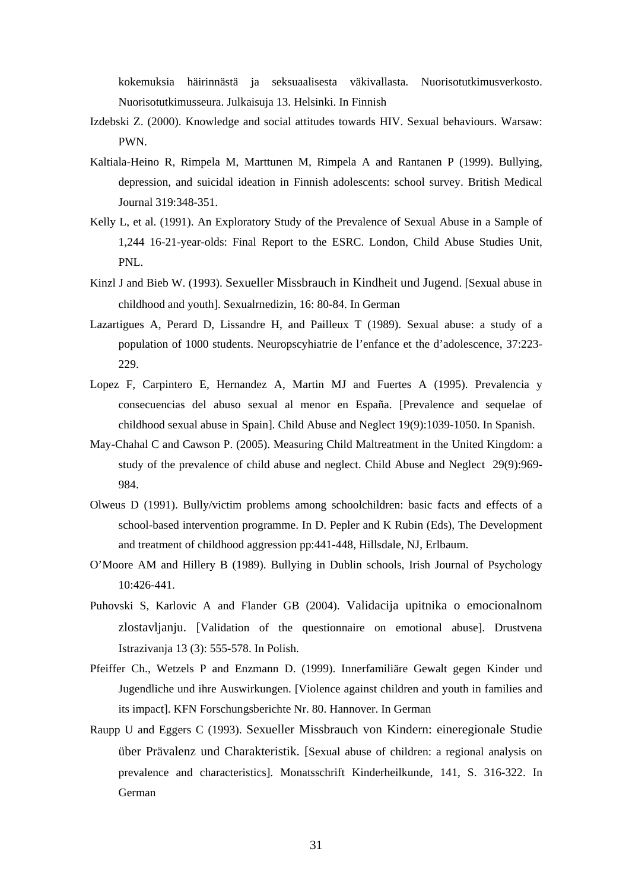kokemuksia häirinnästä ja seksuaalisesta väkivallasta. Nuorisotutkimusverkosto. Nuorisotutkimusseura. Julkaisuja 13. Helsinki. In Finnish

- Izdebski Z. (2000). Knowledge and social attitudes towards HIV. Sexual behaviours. Warsaw: PWN.
- Kaltiala-Heino R, Rimpela M, Marttunen M, Rimpela A and Rantanen P (1999). Bullying, depression, and suicidal ideation in Finnish adolescents: school survey. British Medical Journal 319:348-351.
- Kelly L, et al. (1991). An Exploratory Study of the Prevalence of Sexual Abuse in a Sample of 1,244 16-21-year-olds: Final Report to the ESRC. London, Child Abuse Studies Unit, PNL.
- Kinzl J and Bieb W. (1993). Sexueller Missbrauch in Kindheit und Jugend. [Sexual abuse in childhood and youth]. Sexualrnedizin, 16: 80-84. In German
- Lazartigues A, Perard D, Lissandre H, and Pailleux T (1989). Sexual abuse: a study of a population of 1000 students. Neuropscyhiatrie de l'enfance et the d'adolescence, 37:223- 229.
- Lopez F, Carpintero E, Hernandez A, Martin MJ and Fuertes A (1995). Prevalencia y consecuencias del abuso sexual al menor en España. [Prevalence and sequelae of childhood sexual abuse in Spain]. Child Abuse and Neglect 19(9):1039-1050. In Spanish.
- May-Chahal C and Cawson P. (2005). Measuring Child Maltreatment in the United Kingdom: a study of the prevalence of child abuse and neglect. Child Abuse and Neglect 29(9):969- 984.
- Olweus D (1991). Bully/victim problems among schoolchildren: basic facts and effects of a school-based intervention programme. In D. Pepler and K Rubin (Eds), The Development and treatment of childhood aggression pp:441-448, Hillsdale, NJ, Erlbaum.
- O'Moore AM and Hillery B (1989). Bullying in Dublin schools, Irish Journal of Psychology 10:426-441.
- Puhovski S, Karlovic A and Flander GB (2004). Validacija upitnika o emocionalnom zlostavljanju. [Validation of the questionnaire on emotional abuse]. Drustvena Istrazivanja 13 (3): 555-578. In Polish.
- Pfeiffer Ch., Wetzels P and Enzmann D. (1999). Innerfamiliäre Gewalt gegen Kinder und Jugendliche und ihre Auswirkungen. [Violence against children and youth in families and its impact]. KFN Forschungsberichte Nr. 80. Hannover. In German
- Raupp U and Eggers C (1993). Sexueller Missbrauch von Kindern: eineregionale Studie über Prävalenz und Charakteristik. [Sexual abuse of children: a regional analysis on prevalence and characteristics]. Monatsschrift Kinderheilkunde, 141, S. 316-322. In German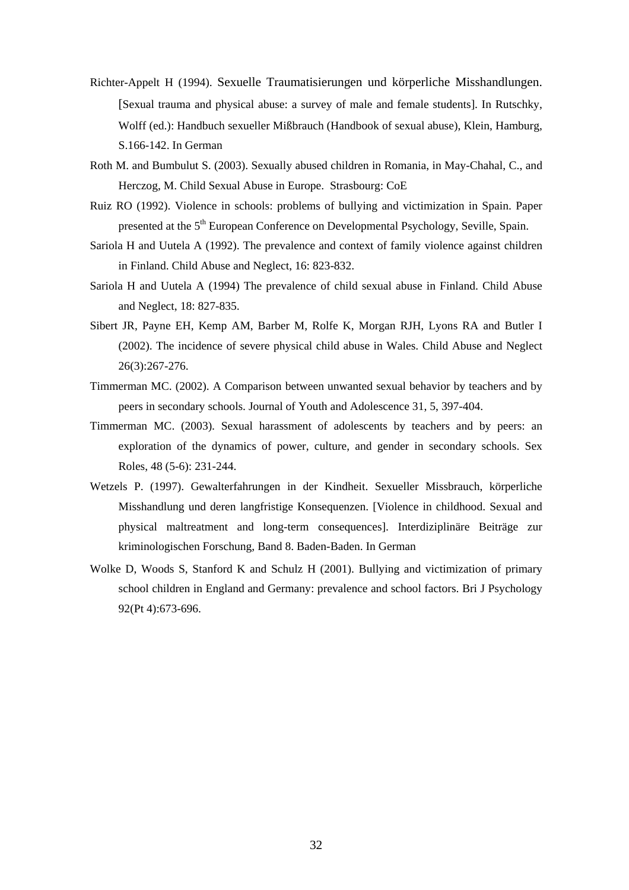- Richter-Appelt H (1994). Sexuelle Traumatisierungen und körperliche Misshandlungen. [Sexual trauma and physical abuse: a survey of male and female students]. In Rutschky, Wolff (ed.): Handbuch sexueller Mißbrauch (Handbook of sexual abuse), Klein, Hamburg, S.166-142. In German
- Roth M. and Bumbulut S. (2003). Sexually abused children in Romania, in May-Chahal, C., and Herczog, M. Child Sexual Abuse in Europe. Strasbourg: CoE
- Ruiz RO (1992). Violence in schools: problems of bullying and victimization in Spain. Paper presented at the 5<sup>th</sup> European Conference on Developmental Psychology, Seville, Spain.
- Sariola H and Uutela A (1992). The prevalence and context of family violence against children in Finland. Child Abuse and Neglect, 16: 823-832.
- Sariola H and Uutela A (1994) The prevalence of child sexual abuse in Finland. Child Abuse and Neglect, 18: 827-835.
- Sibert JR, Payne EH, Kemp AM, Barber M, Rolfe K, Morgan RJH, Lyons RA and Butler I (2002). The incidence of severe physical child abuse in Wales. Child Abuse and Neglect 26(3):267-276.
- Timmerman MC. (2002). A Comparison between unwanted sexual behavior by teachers and by peers in secondary schools. Journal of Youth and Adolescence 31, 5, 397-404.
- Timmerman MC. (2003). Sexual harassment of adolescents by teachers and by peers: an exploration of the dynamics of power, culture, and gender in secondary schools. Sex Roles, 48 (5-6): 231-244.
- Wetzels P. (1997). Gewalterfahrungen in der Kindheit. Sexueller Missbrauch, körperliche Misshandlung und deren langfristige Konsequenzen. [Violence in childhood. Sexual and physical maltreatment and long-term consequences]. Interdiziplinäre Beiträge zur kriminologischen Forschung, Band 8. Baden-Baden. In German
- Wolke D, Woods S, Stanford K and Schulz H (2001). Bullying and victimization of primary school children in England and Germany: prevalence and school factors. Bri J Psychology 92(Pt 4):673-696.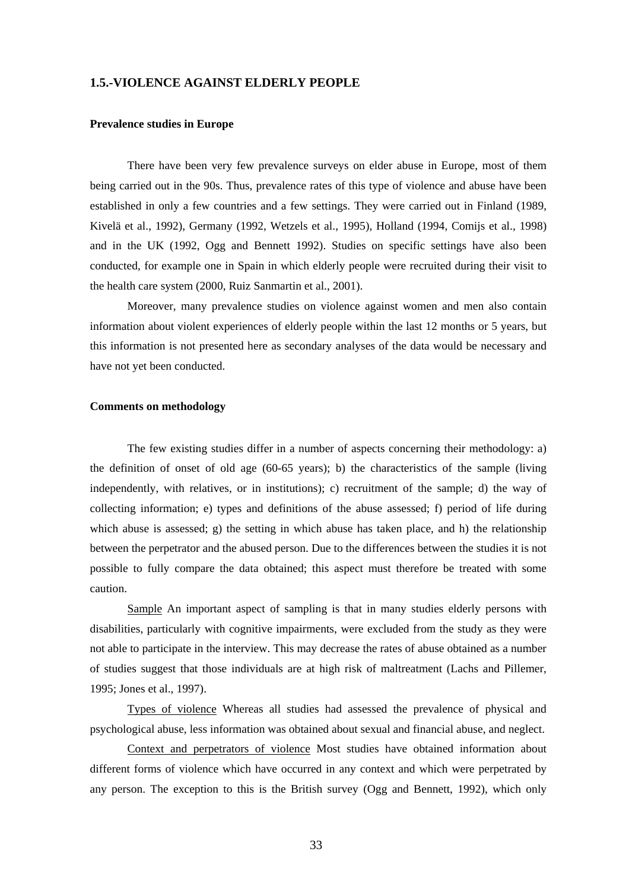## **1.5.-VIOLENCE AGAINST ELDERLY PEOPLE**

#### **Prevalence studies in Europe**

There have been very few prevalence surveys on elder abuse in Europe, most of them being carried out in the 90s. Thus, prevalence rates of this type of violence and abuse have been established in only a few countries and a few settings. They were carried out in Finland (1989, Kivelä et al., 1992), Germany (1992, Wetzels et al., 1995), Holland (1994, Comijs et al., 1998) and in the UK (1992, Ogg and Bennett 1992). Studies on specific settings have also been conducted, for example one in Spain in which elderly people were recruited during their visit to the health care system (2000, Ruiz Sanmartin et al., 2001).

Moreover, many prevalence studies on violence against women and men also contain information about violent experiences of elderly people within the last 12 months or 5 years, but this information is not presented here as secondary analyses of the data would be necessary and have not yet been conducted.

#### **Comments on methodology**

The few existing studies differ in a number of aspects concerning their methodology: a) the definition of onset of old age (60-65 years); b) the characteristics of the sample (living independently, with relatives, or in institutions); c) recruitment of the sample; d) the way of collecting information; e) types and definitions of the abuse assessed; f) period of life during which abuse is assessed; g) the setting in which abuse has taken place, and h) the relationship between the perpetrator and the abused person. Due to the differences between the studies it is not possible to fully compare the data obtained; this aspect must therefore be treated with some caution.

Sample An important aspect of sampling is that in many studies elderly persons with disabilities, particularly with cognitive impairments, were excluded from the study as they were not able to participate in the interview. This may decrease the rates of abuse obtained as a number of studies suggest that those individuals are at high risk of maltreatment (Lachs and Pillemer, 1995; Jones et al., 1997).

Types of violence Whereas all studies had assessed the prevalence of physical and psychological abuse, less information was obtained about sexual and financial abuse, and neglect.

Context and perpetrators of violence Most studies have obtained information about different forms of violence which have occurred in any context and which were perpetrated by any person. The exception to this is the British survey (Ogg and Bennett, 1992), which only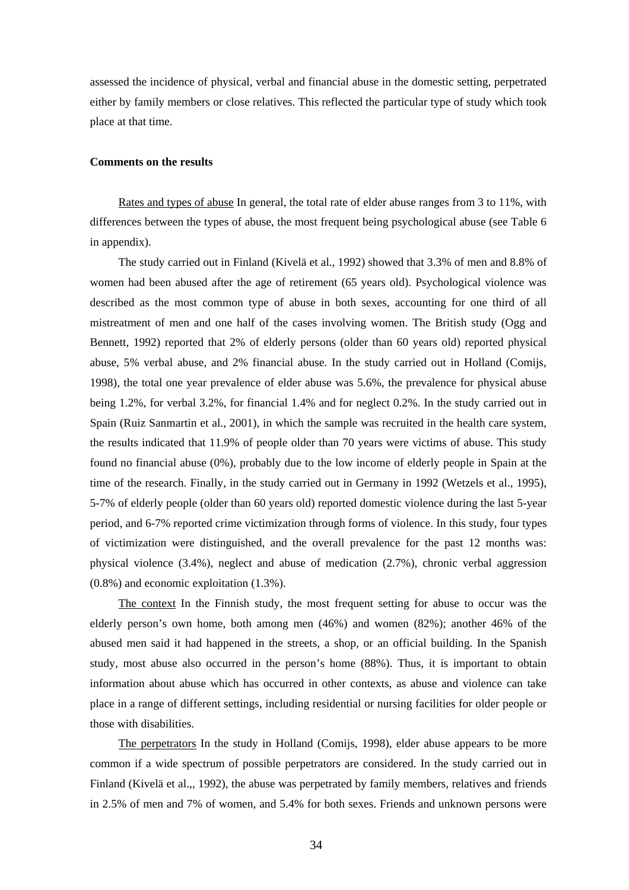assessed the incidence of physical, verbal and financial abuse in the domestic setting, perpetrated either by family members or close relatives. This reflected the particular type of study which took place at that time.

#### **Comments on the results**

Rates and types of abuse In general, the total rate of elder abuse ranges from 3 to 11%, with differences between the types of abuse, the most frequent being psychological abuse (see Table 6 in appendix).

The study carried out in Finland (Kivelä et al., 1992) showed that 3.3% of men and 8.8% of women had been abused after the age of retirement (65 years old). Psychological violence was described as the most common type of abuse in both sexes, accounting for one third of all mistreatment of men and one half of the cases involving women. The British study (Ogg and Bennett, 1992) reported that 2% of elderly persons (older than 60 years old) reported physical abuse, 5% verbal abuse, and 2% financial abuse. In the study carried out in Holland (Comijs, 1998), the total one year prevalence of elder abuse was 5.6%, the prevalence for physical abuse being 1.2%, for verbal 3.2%, for financial 1.4% and for neglect 0.2%. In the study carried out in Spain (Ruiz Sanmartin et al., 2001), in which the sample was recruited in the health care system, the results indicated that 11.9% of people older than 70 years were victims of abuse. This study found no financial abuse (0%), probably due to the low income of elderly people in Spain at the time of the research. Finally, in the study carried out in Germany in 1992 (Wetzels et al., 1995), 5-7% of elderly people (older than 60 years old) reported domestic violence during the last 5-year period, and 6-7% reported crime victimization through forms of violence. In this study, four types of victimization were distinguished, and the overall prevalence for the past 12 months was: physical violence (3.4%), neglect and abuse of medication (2.7%), chronic verbal aggression (0.8%) and economic exploitation (1.3%).

The context In the Finnish study, the most frequent setting for abuse to occur was the elderly person's own home, both among men (46%) and women (82%); another 46% of the abused men said it had happened in the streets, a shop, or an official building. In the Spanish study, most abuse also occurred in the person's home (88%). Thus, it is important to obtain information about abuse which has occurred in other contexts, as abuse and violence can take place in a range of different settings, including residential or nursing facilities for older people or those with disabilities.

The perpetrators In the study in Holland (Comijs, 1998), elder abuse appears to be more common if a wide spectrum of possible perpetrators are considered. In the study carried out in Finland (Kivelä et al.,, 1992), the abuse was perpetrated by family members, relatives and friends in 2.5% of men and 7% of women, and 5.4% for both sexes. Friends and unknown persons were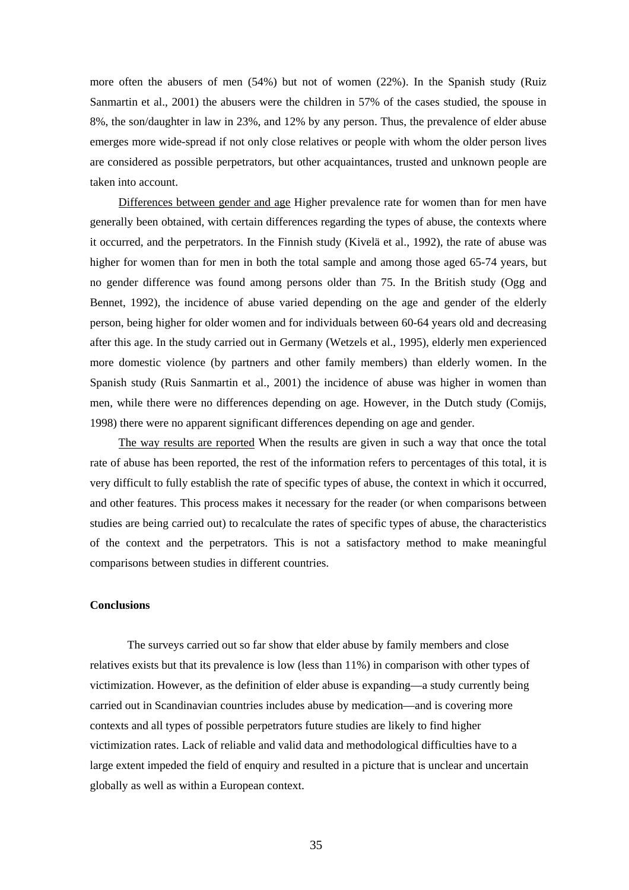more often the abusers of men (54%) but not of women (22%). In the Spanish study (Ruiz Sanmartin et al., 2001) the abusers were the children in 57% of the cases studied, the spouse in 8%, the son/daughter in law in 23%, and 12% by any person. Thus, the prevalence of elder abuse emerges more wide-spread if not only close relatives or people with whom the older person lives are considered as possible perpetrators, but other acquaintances, trusted and unknown people are taken into account.

Differences between gender and age Higher prevalence rate for women than for men have generally been obtained, with certain differences regarding the types of abuse, the contexts where it occurred, and the perpetrators. In the Finnish study (Kivelä et al., 1992), the rate of abuse was higher for women than for men in both the total sample and among those aged 65-74 years, but no gender difference was found among persons older than 75. In the British study (Ogg and Bennet, 1992), the incidence of abuse varied depending on the age and gender of the elderly person, being higher for older women and for individuals between 60-64 years old and decreasing after this age. In the study carried out in Germany (Wetzels et al., 1995), elderly men experienced more domestic violence (by partners and other family members) than elderly women. In the Spanish study (Ruis Sanmartin et al., 2001) the incidence of abuse was higher in women than men, while there were no differences depending on age. However, in the Dutch study (Comijs, 1998) there were no apparent significant differences depending on age and gender.

The way results are reported When the results are given in such a way that once the total rate of abuse has been reported, the rest of the information refers to percentages of this total, it is very difficult to fully establish the rate of specific types of abuse, the context in which it occurred, and other features. This process makes it necessary for the reader (or when comparisons between studies are being carried out) to recalculate the rates of specific types of abuse, the characteristics of the context and the perpetrators. This is not a satisfactory method to make meaningful comparisons between studies in different countries.

#### **Conclusions**

 The surveys carried out so far show that elder abuse by family members and close relatives exists but that its prevalence is low (less than 11%) in comparison with other types of victimization. However, as the definition of elder abuse is expanding—a study currently being carried out in Scandinavian countries includes abuse by medication—and is covering more contexts and all types of possible perpetrators future studies are likely to find higher victimization rates. Lack of reliable and valid data and methodological difficulties have to a large extent impeded the field of enquiry and resulted in a picture that is unclear and uncertain globally as well as within a European context.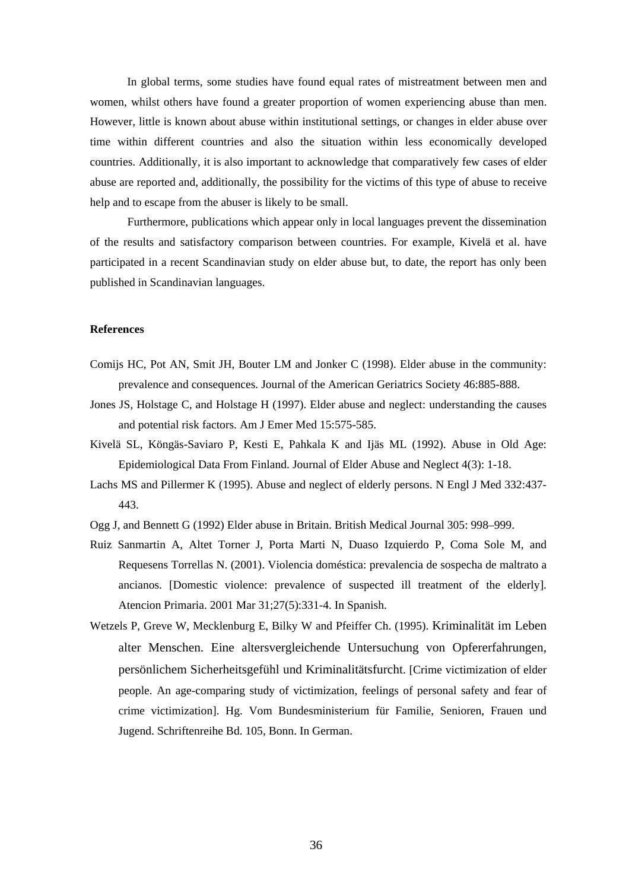In global terms, some studies have found equal rates of mistreatment between men and women, whilst others have found a greater proportion of women experiencing abuse than men. However, little is known about abuse within institutional settings, or changes in elder abuse over time within different countries and also the situation within less economically developed countries. Additionally, it is also important to acknowledge that comparatively few cases of elder abuse are reported and, additionally, the possibility for the victims of this type of abuse to receive help and to escape from the abuser is likely to be small.

Furthermore, publications which appear only in local languages prevent the dissemination of the results and satisfactory comparison between countries. For example, Kivelä et al. have participated in a recent Scandinavian study on elder abuse but, to date, the report has only been published in Scandinavian languages.

#### **References**

- Comijs HC, Pot AN, Smit JH, Bouter LM and Jonker C (1998). Elder abuse in the community: prevalence and consequences. Journal of the American Geriatrics Society 46:885-888.
- Jones JS, Holstage C, and Holstage H (1997). Elder abuse and neglect: understanding the causes and potential risk factors. Am J Emer Med 15:575-585.
- Kivelä SL, Köngäs-Saviaro P, Kesti E, Pahkala K and Ijäs ML (1992). Abuse in Old Age: Epidemiological Data From Finland. Journal of Elder Abuse and Neglect 4(3): 1-18.
- Lachs MS and Pillermer K (1995). Abuse and neglect of elderly persons. N Engl J Med 332:437- 443.
- Ogg J, and Bennett G (1992) Elder abuse in Britain. British Medical Journal 305: 998–999.
- Ruiz Sanmartin A, Altet Torner J, Porta Marti N, Duaso Izquierdo P, Coma Sole M, and Requesens Torrellas N. (2001). Violencia doméstica: prevalencia de sospecha de maltrato a ancianos. [Domestic violence: prevalence of suspected ill treatment of the elderly]. Atencion Primaria. 2001 Mar 31;27(5):331-4. In Spanish.
- Wetzels P, Greve W, Mecklenburg E, Bilky W and Pfeiffer Ch. (1995). Kriminalität im Leben alter Menschen. Eine altersvergleichende Untersuchung von Opfererfahrungen, persönlichem Sicherheitsgefühl und Kriminalitätsfurcht. [Crime victimization of elder people. An age-comparing study of victimization, feelings of personal safety and fear of crime victimization]. Hg. Vom Bundesministerium für Familie, Senioren, Frauen und Jugend. Schriftenreihe Bd. 105, Bonn. In German.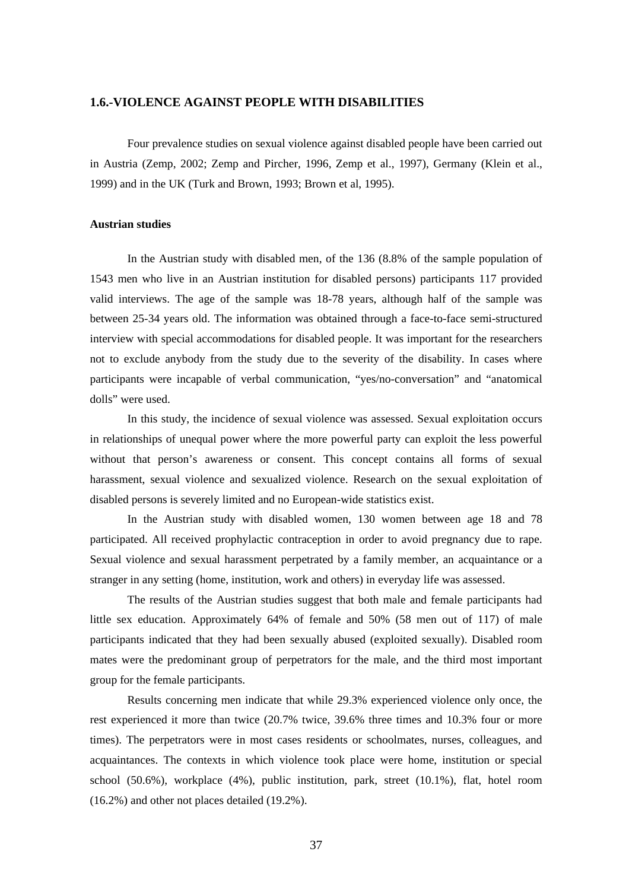## **1.6.-VIOLENCE AGAINST PEOPLE WITH DISABILITIES**

Four prevalence studies on sexual violence against disabled people have been carried out in Austria (Zemp, 2002; Zemp and Pircher, 1996, Zemp et al., 1997), Germany (Klein et al., 1999) and in the UK (Turk and Brown, 1993; Brown et al, 1995).

#### **Austrian studies**

 In the Austrian study with disabled men, of the 136 (8.8% of the sample population of 1543 men who live in an Austrian institution for disabled persons) participants 117 provided valid interviews. The age of the sample was 18-78 years, although half of the sample was between 25-34 years old. The information was obtained through a face-to-face semi-structured interview with special accommodations for disabled people. It was important for the researchers not to exclude anybody from the study due to the severity of the disability. In cases where participants were incapable of verbal communication, "yes/no-conversation" and "anatomical dolls" were used.

In this study, the incidence of sexual violence was assessed. Sexual exploitation occurs in relationships of unequal power where the more powerful party can exploit the less powerful without that person's awareness or consent. This concept contains all forms of sexual harassment, sexual violence and sexualized violence. Research on the sexual exploitation of disabled persons is severely limited and no European-wide statistics exist.

 In the Austrian study with disabled women, 130 women between age 18 and 78 participated. All received prophylactic contraception in order to avoid pregnancy due to rape. Sexual violence and sexual harassment perpetrated by a family member, an acquaintance or a stranger in any setting (home, institution, work and others) in everyday life was assessed.

The results of the Austrian studies suggest that both male and female participants had little sex education. Approximately 64% of female and 50% (58 men out of 117) of male participants indicated that they had been sexually abused (exploited sexually). Disabled room mates were the predominant group of perpetrators for the male, and the third most important group for the female participants.

Results concerning men indicate that while 29.3% experienced violence only once, the rest experienced it more than twice (20.7% twice, 39.6% three times and 10.3% four or more times). The perpetrators were in most cases residents or schoolmates, nurses, colleagues, and acquaintances. The contexts in which violence took place were home, institution or special school (50.6%), workplace (4%), public institution, park, street (10.1%), flat, hotel room (16.2%) and other not places detailed (19.2%).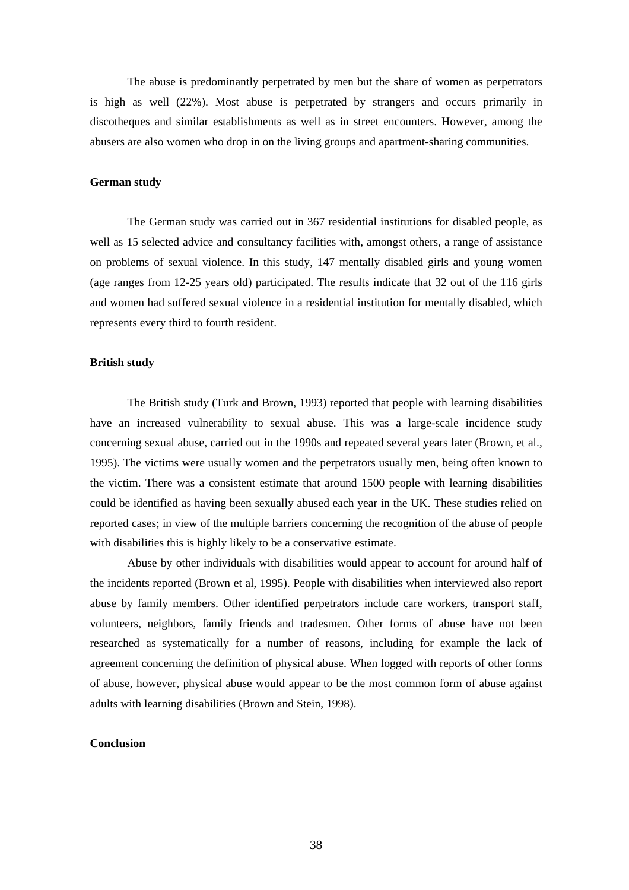The abuse is predominantly perpetrated by men but the share of women as perpetrators is high as well (22%). Most abuse is perpetrated by strangers and occurs primarily in discotheques and similar establishments as well as in street encounters. However, among the abusers are also women who drop in on the living groups and apartment-sharing communities.

## **German study**

 The German study was carried out in 367 residential institutions for disabled people, as well as 15 selected advice and consultancy facilities with, amongst others, a range of assistance on problems of sexual violence. In this study, 147 mentally disabled girls and young women (age ranges from 12-25 years old) participated. The results indicate that 32 out of the 116 girls and women had suffered sexual violence in a residential institution for mentally disabled, which represents every third to fourth resident.

#### **British study**

The British study (Turk and Brown, 1993) reported that people with learning disabilities have an increased vulnerability to sexual abuse. This was a large-scale incidence study concerning sexual abuse, carried out in the 1990s and repeated several years later (Brown, et al., 1995). The victims were usually women and the perpetrators usually men, being often known to the victim. There was a consistent estimate that around 1500 people with learning disabilities could be identified as having been sexually abused each year in the UK. These studies relied on reported cases; in view of the multiple barriers concerning the recognition of the abuse of people with disabilities this is highly likely to be a conservative estimate.

Abuse by other individuals with disabilities would appear to account for around half of the incidents reported (Brown et al, 1995). People with disabilities when interviewed also report abuse by family members. Other identified perpetrators include care workers, transport staff, volunteers, neighbors, family friends and tradesmen. Other forms of abuse have not been researched as systematically for a number of reasons, including for example the lack of agreement concerning the definition of physical abuse. When logged with reports of other forms of abuse, however, physical abuse would appear to be the most common form of abuse against adults with learning disabilities (Brown and Stein, 1998).

#### **Conclusion**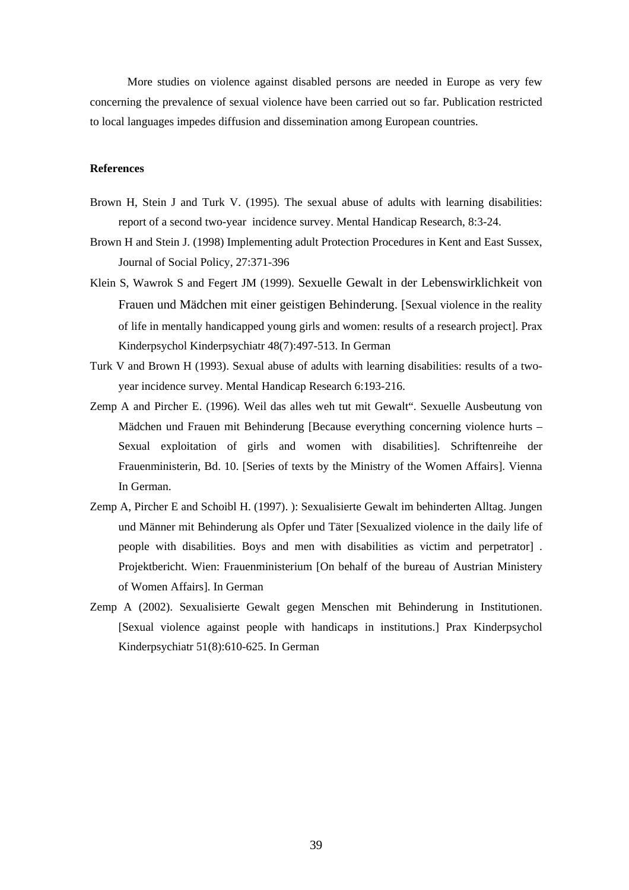More studies on violence against disabled persons are needed in Europe as very few concerning the prevalence of sexual violence have been carried out so far. Publication restricted to local languages impedes diffusion and dissemination among European countries.

## **References**

- Brown H, Stein J and Turk V. (1995). The sexual abuse of adults with learning disabilities: report of a second two-year incidence survey. Mental Handicap Research, 8:3-24.
- Brown H and Stein J. (1998) Implementing adult Protection Procedures in Kent and East Sussex, Journal of Social Policy, 27:371-396
- Klein S, Wawrok S and Fegert JM (1999). Sexuelle Gewalt in der Lebenswirklichkeit von Frauen und Mädchen mit einer geistigen Behinderung. [Sexual violence in the reality of life in mentally handicapped young girls and women: results of a research project]. Prax Kinderpsychol Kinderpsychiatr 48(7):497-513. In German
- Turk V and Brown H (1993). Sexual abuse of adults with learning disabilities: results of a twoyear incidence survey. Mental Handicap Research 6:193-216.
- Zemp A and Pircher E. (1996). Weil das alles weh tut mit Gewalt". Sexuelle Ausbeutung von Mädchen und Frauen mit Behinderung [Because everything concerning violence hurts – Sexual exploitation of girls and women with disabilities]. Schriftenreihe der Frauenministerin, Bd. 10. [Series of texts by the Ministry of the Women Affairs]. Vienna In German.
- Zemp A, Pircher E and Schoibl H. (1997). ): Sexualisierte Gewalt im behinderten Alltag. Jungen und Männer mit Behinderung als Opfer und Täter [Sexualized violence in the daily life of people with disabilities. Boys and men with disabilities as victim and perpetrator] . Projektbericht. Wien: Frauenministerium [On behalf of the bureau of Austrian Ministery of Women Affairs]. In German
- Zemp A (2002). Sexualisierte Gewalt gegen Menschen mit Behinderung in Institutionen. [Sexual violence against people with handicaps in institutions.] Prax Kinderpsychol Kinderpsychiatr 51(8):610-625. In German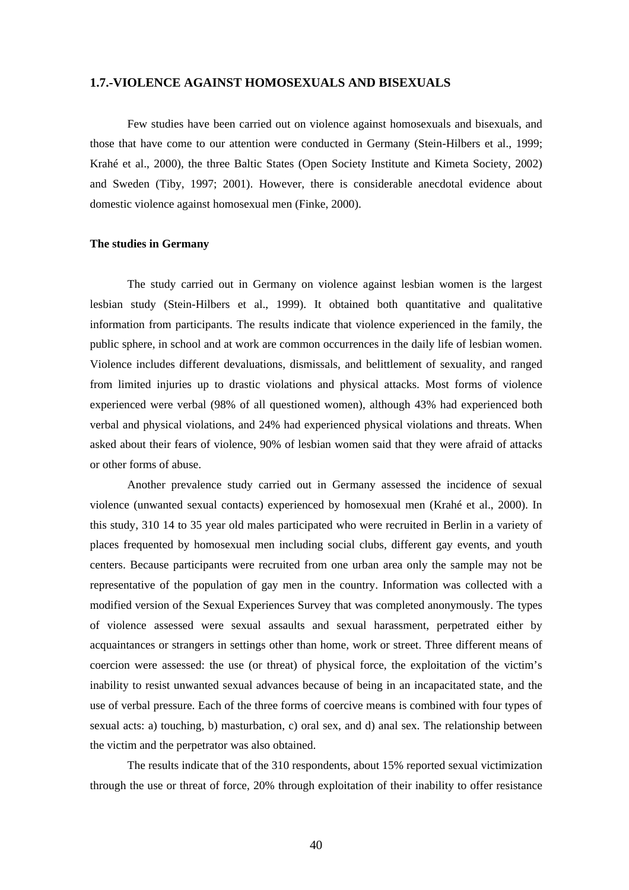## **1.7.-VIOLENCE AGAINST HOMOSEXUALS AND BISEXUALS**

Few studies have been carried out on violence against homosexuals and bisexuals, and those that have come to our attention were conducted in Germany (Stein-Hilbers et al., 1999; Krahé et al., 2000), the three Baltic States (Open Society Institute and Kimeta Society, 2002) and Sweden (Tiby, 1997; 2001). However, there is considerable anecdotal evidence about domestic violence against homosexual men (Finke, 2000).

#### **The studies in Germany**

The study carried out in Germany on violence against lesbian women is the largest lesbian study (Stein-Hilbers et al., 1999). It obtained both quantitative and qualitative information from participants. The results indicate that violence experienced in the family, the public sphere, in school and at work are common occurrences in the daily life of lesbian women. Violence includes different devaluations, dismissals, and belittlement of sexuality, and ranged from limited injuries up to drastic violations and physical attacks. Most forms of violence experienced were verbal (98% of all questioned women), although 43% had experienced both verbal and physical violations, and 24% had experienced physical violations and threats. When asked about their fears of violence, 90% of lesbian women said that they were afraid of attacks or other forms of abuse.

Another prevalence study carried out in Germany assessed the incidence of sexual violence (unwanted sexual contacts) experienced by homosexual men (Krahé et al., 2000). In this study, 310 14 to 35 year old males participated who were recruited in Berlin in a variety of places frequented by homosexual men including social clubs, different gay events, and youth centers. Because participants were recruited from one urban area only the sample may not be representative of the population of gay men in the country. Information was collected with a modified version of the Sexual Experiences Survey that was completed anonymously. The types of violence assessed were sexual assaults and sexual harassment, perpetrated either by acquaintances or strangers in settings other than home, work or street. Three different means of coercion were assessed: the use (or threat) of physical force, the exploitation of the victim's inability to resist unwanted sexual advances because of being in an incapacitated state, and the use of verbal pressure. Each of the three forms of coercive means is combined with four types of sexual acts: a) touching, b) masturbation, c) oral sex, and d) anal sex. The relationship between the victim and the perpetrator was also obtained.

The results indicate that of the 310 respondents, about 15% reported sexual victimization through the use or threat of force, 20% through exploitation of their inability to offer resistance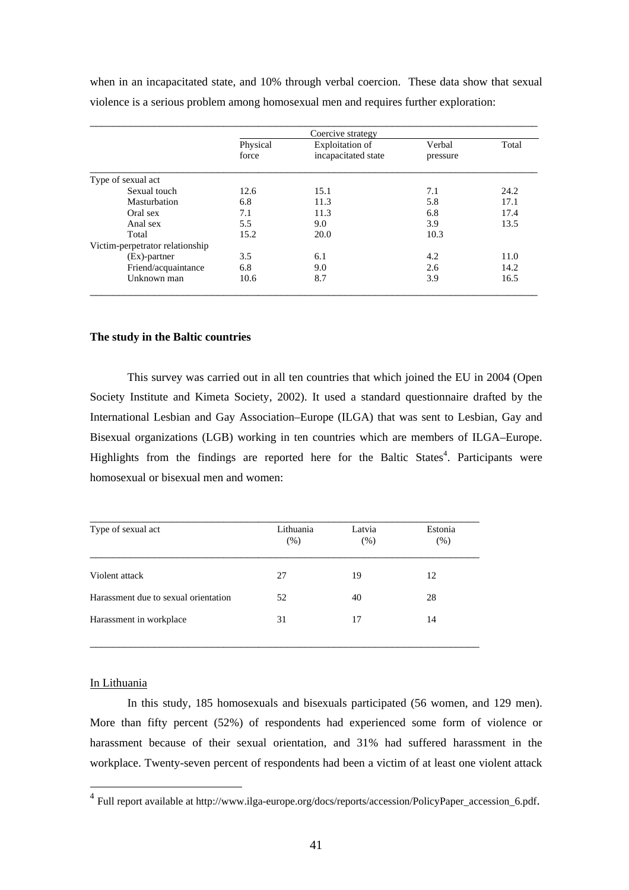|                    | Coercive strategy |                                               |                    |       |  |  |  |  |  |
|--------------------|-------------------|-----------------------------------------------|--------------------|-------|--|--|--|--|--|
|                    | Physical<br>force | <b>Exploitation</b> of<br>incapacitated state | Verbal<br>pressure | Total |  |  |  |  |  |
| Type of sexual act |                   |                                               |                    |       |  |  |  |  |  |
| Sexual touch       | 12.6              | 15.1                                          | 7.1                | 24.2  |  |  |  |  |  |
| Masturbation       | 6.8               | 11.3                                          | 5.8                | 17.1  |  |  |  |  |  |
| Oral sex           | 7.1               | 11.3                                          | 6.8                | 17.4  |  |  |  |  |  |
| Anal sex           | 5.5               | 9.0                                           | 3.9                | 13.5  |  |  |  |  |  |
| Total              | 15.2              | 20.0                                          | 10.3               |       |  |  |  |  |  |

 (Ex)-partner 3.5 6.1 4.2 11.0 Friend/acquaintance 6.8 9.0 2.6 14.2<br>
Unknown man 10.6 8.7 3.9 16.5

\_\_\_\_\_\_\_\_\_\_\_\_\_\_\_\_\_\_\_\_\_\_\_\_\_\_\_\_\_\_\_\_\_\_\_\_\_\_\_\_\_\_\_\_\_\_\_\_\_\_\_\_\_\_\_\_\_\_\_\_\_\_\_\_\_\_\_\_\_\_\_\_\_\_\_\_\_

Unknown man 10.6 8.7 3.9

when in an incapacitated state, and 10% through verbal coercion. These data show that sexual violence is a serious problem among homosexual men and requires further exploration:

## **The study in the Baltic countries**

Victim-perpetrator relationship

This survey was carried out in all ten countries that which joined the EU in 2004 (Open Society Institute and Kimeta Society, 2002). It used a standard questionnaire drafted by the International Lesbian and Gay Association–Europe (ILGA) that was sent to Lesbian, Gay and Bisexual organizations (LGB) working in ten countries which are members of ILGA–Europe. Highlights from the findings are reported here for the Baltic States<sup>4</sup>. Participants were homosexual or bisexual men and women:

| Lithuania<br>(% ) | Latvia<br>(% ) | Estonia<br>(% ) |
|-------------------|----------------|-----------------|
| 27                | 19             | 12              |
| 52                | 40             | 28              |
| 31                | 17             | 14              |
|                   |                |                 |

#### In Lithuania

 $\overline{a}$ 

 In this study, 185 homosexuals and bisexuals participated (56 women, and 129 men). More than fifty percent (52%) of respondents had experienced some form of violence or harassment because of their sexual orientation, and 31% had suffered harassment in the workplace. Twenty-seven percent of respondents had been a victim of at least one violent attack

<sup>4</sup> Full report available at http://www.ilga-europe.org/docs/reports/accession/PolicyPaper\_accession\_6.pdf.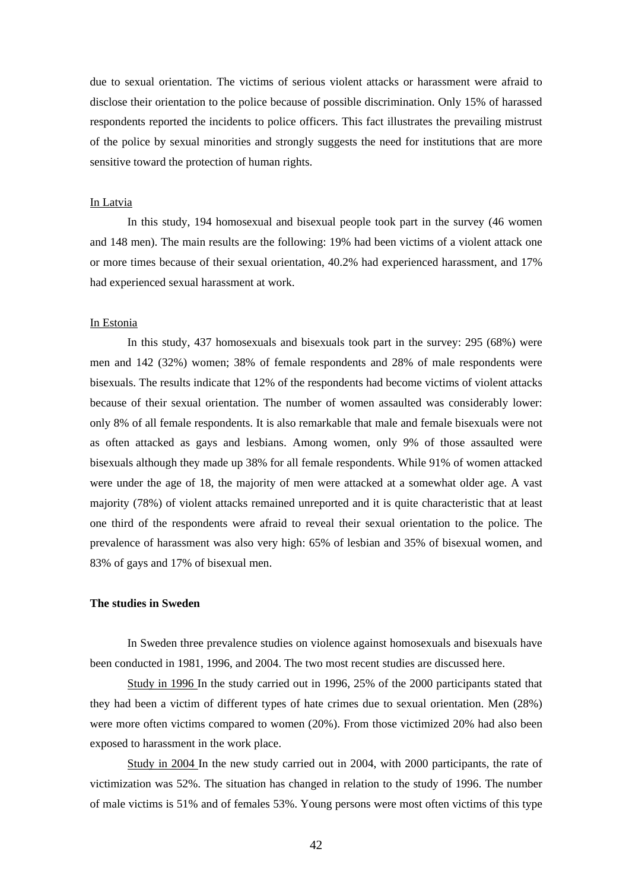due to sexual orientation. The victims of serious violent attacks or harassment were afraid to disclose their orientation to the police because of possible discrimination. Only 15% of harassed respondents reported the incidents to police officers. This fact illustrates the prevailing mistrust of the police by sexual minorities and strongly suggests the need for institutions that are more sensitive toward the protection of human rights.

#### In Latvia

 In this study, 194 homosexual and bisexual people took part in the survey (46 women and 148 men). The main results are the following: 19% had been victims of a violent attack one or more times because of their sexual orientation, 40.2% had experienced harassment, and 17% had experienced sexual harassment at work.

#### In Estonia

 In this study, 437 homosexuals and bisexuals took part in the survey: 295 (68%) were men and 142 (32%) women; 38% of female respondents and 28% of male respondents were bisexuals. The results indicate that 12% of the respondents had become victims of violent attacks because of their sexual orientation. The number of women assaulted was considerably lower: only 8% of all female respondents. It is also remarkable that male and female bisexuals were not as often attacked as gays and lesbians. Among women, only 9% of those assaulted were bisexuals although they made up 38% for all female respondents. While 91% of women attacked were under the age of 18, the majority of men were attacked at a somewhat older age. A vast majority (78%) of violent attacks remained unreported and it is quite characteristic that at least one third of the respondents were afraid to reveal their sexual orientation to the police. The prevalence of harassment was also very high: 65% of lesbian and 35% of bisexual women, and 83% of gays and 17% of bisexual men.

#### **The studies in Sweden**

 In Sweden three prevalence studies on violence against homosexuals and bisexuals have been conducted in 1981, 1996, and 2004. The two most recent studies are discussed here.

Study in 1996 In the study carried out in 1996, 25% of the 2000 participants stated that they had been a victim of different types of hate crimes due to sexual orientation. Men (28%) were more often victims compared to women (20%). From those victimized 20% had also been exposed to harassment in the work place.

Study in 2004 In the new study carried out in 2004, with 2000 participants, the rate of victimization was 52%. The situation has changed in relation to the study of 1996. The number of male victims is 51% and of females 53%. Young persons were most often victims of this type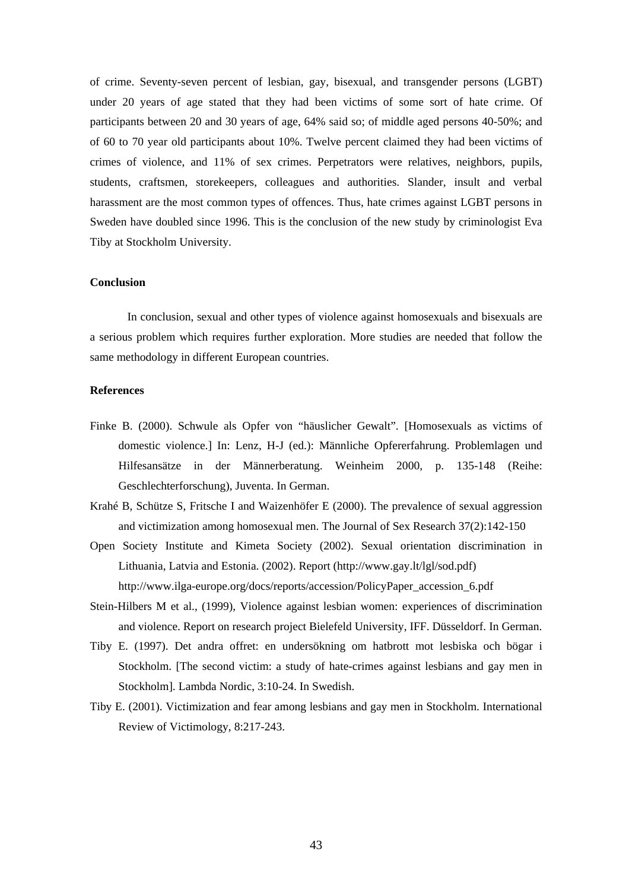of crime. Seventy-seven percent of lesbian, gay, bisexual, and transgender persons (LGBT) under 20 years of age stated that they had been victims of some sort of hate crime. Of participants between 20 and 30 years of age, 64% said so; of middle aged persons 40-50%; and of 60 to 70 year old participants about 10%. Twelve percent claimed they had been victims of crimes of violence, and 11% of sex crimes. Perpetrators were relatives, neighbors, pupils, students, craftsmen, storekeepers, colleagues and authorities. Slander, insult and verbal harassment are the most common types of offences. Thus, hate crimes against LGBT persons in Sweden have doubled since 1996. This is the conclusion of the new study by criminologist Eva Tiby at Stockholm University.

#### **Conclusion**

In conclusion, sexual and other types of violence against homosexuals and bisexuals are a serious problem which requires further exploration. More studies are needed that follow the same methodology in different European countries.

#### **References**

- Finke B. (2000). Schwule als Opfer von "häuslicher Gewalt". [Homosexuals as victims of domestic violence.] In: Lenz, H-J (ed.): Männliche Opfererfahrung. Problemlagen und Hilfesansätze in der Männerberatung. Weinheim 2000, p. 135-148 (Reihe: Geschlechterforschung), Juventa. In German.
- Krahé B, Schütze S, Fritsche I and Waizenhöfer E (2000). The prevalence of sexual aggression and victimization among homosexual men. The Journal of Sex Research 37(2):142-150
- Open Society Institute and Kimeta Society (2002). Sexual orientation discrimination in Lithuania, Latvia and Estonia. (2002). Report (http://www.gay.lt/lgl/sod.pdf) http://www.ilga-europe.org/docs/reports/accession/PolicyPaper\_accession\_6.pdf
- Stein-Hilbers M et al., (1999), Violence against lesbian women: experiences of discrimination and violence. Report on research project Bielefeld University, IFF. Düsseldorf. In German.
- Tiby E. (1997). Det andra offret: en undersökning om hatbrott mot lesbiska och bögar i Stockholm. [The second victim: a study of hate-crimes against lesbians and gay men in Stockholm]. Lambda Nordic, 3:10-24. In Swedish.
- Tiby E. (2001). Victimization and fear among lesbians and gay men in Stockholm. International Review of Victimology, 8:217-243.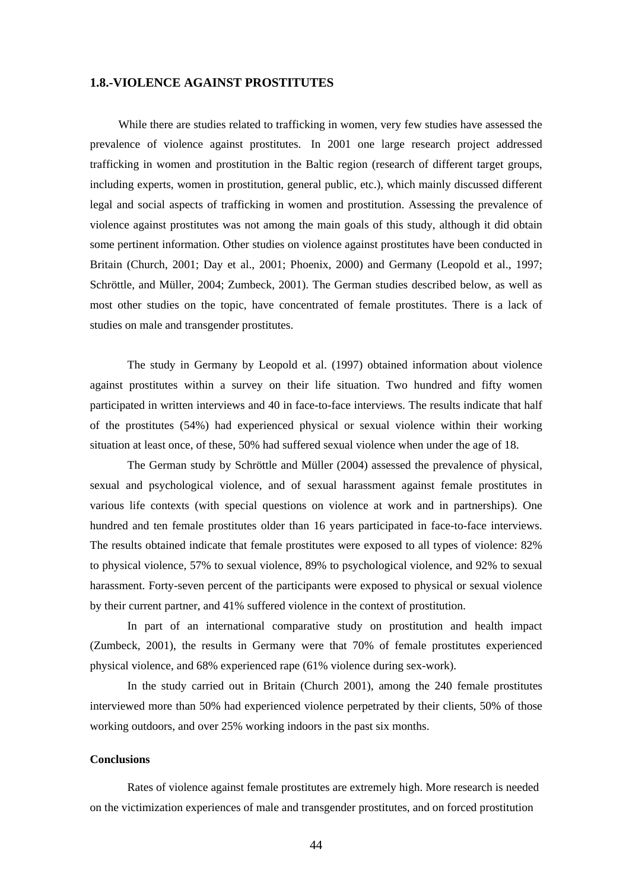## **1.8.-VIOLENCE AGAINST PROSTITUTES**

While there are studies related to trafficking in women, very few studies have assessed the prevalence of violence against prostitutes. In 2001 one large research project addressed trafficking in women and prostitution in the Baltic region (research of different target groups, including experts, women in prostitution, general public, etc.), which mainly discussed different legal and social aspects of trafficking in women and prostitution. Assessing the prevalence of violence against prostitutes was not among the main goals of this study, although it did obtain some pertinent information. Other studies on violence against prostitutes have been conducted in Britain (Church, 2001; Day et al., 2001; Phoenix, 2000) and Germany (Leopold et al., 1997; Schröttle, and Müller, 2004; Zumbeck, 2001). The German studies described below, as well as most other studies on the topic, have concentrated of female prostitutes. There is a lack of studies on male and transgender prostitutes.

 The study in Germany by Leopold et al. (1997) obtained information about violence against prostitutes within a survey on their life situation. Two hundred and fifty women participated in written interviews and 40 in face-to-face interviews. The results indicate that half of the prostitutes (54%) had experienced physical or sexual violence within their working situation at least once, of these, 50% had suffered sexual violence when under the age of 18.

 The German study by Schröttle and Müller (2004) assessed the prevalence of physical, sexual and psychological violence, and of sexual harassment against female prostitutes in various life contexts (with special questions on violence at work and in partnerships). One hundred and ten female prostitutes older than 16 years participated in face-to-face interviews. The results obtained indicate that female prostitutes were exposed to all types of violence: 82% to physical violence, 57% to sexual violence, 89% to psychological violence, and 92% to sexual harassment. Forty-seven percent of the participants were exposed to physical or sexual violence by their current partner, and 41% suffered violence in the context of prostitution.

 In part of an international comparative study on prostitution and health impact (Zumbeck, 2001), the results in Germany were that 70% of female prostitutes experienced physical violence, and 68% experienced rape (61% violence during sex-work).

 In the study carried out in Britain (Church 2001), among the 240 female prostitutes interviewed more than 50% had experienced violence perpetrated by their clients, 50% of those working outdoors, and over 25% working indoors in the past six months.

## **Conclusions**

Rates of violence against female prostitutes are extremely high. More research is needed on the victimization experiences of male and transgender prostitutes, and on forced prostitution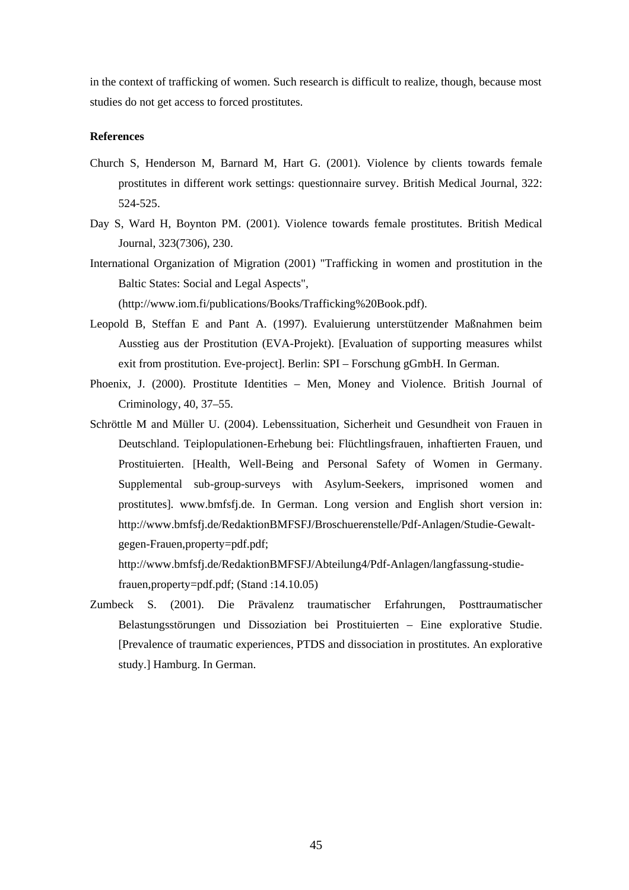in the context of trafficking of women. Such research is difficult to realize, though, because most studies do not get access to forced prostitutes.

## **References**

- Church S, Henderson M, Barnard M, Hart G. (2001). Violence by clients towards female prostitutes in different work settings: questionnaire survey. British Medical Journal, 322: 524-525.
- Day S, Ward H, Boynton PM. (2001). Violence towards female prostitutes. British Medical Journal, 323(7306), 230.
- International Organization of Migration (2001) "Trafficking in women and prostitution in the Baltic States: Social and Legal Aspects",

(http://www.iom.fi/publications/Books/Trafficking%20Book.pdf).

- Leopold B, Steffan E and Pant A. (1997). Evaluierung unterstützender Maßnahmen beim Ausstieg aus der Prostitution (EVA-Projekt). [Evaluation of supporting measures whilst exit from prostitution. Eve-project]. Berlin: SPI – Forschung gGmbH. In German.
- Phoenix, J. (2000). Prostitute Identities Men, Money and Violence. British Journal of Criminology, 40, 37–55.
- Schröttle M and Müller U. (2004). Lebenssituation, Sicherheit und Gesundheit von Frauen in Deutschland. Teiplopulationen-Erhebung bei: Flüchtlingsfrauen, inhaftierten Frauen, und Prostituierten. [Health, Well-Being and Personal Safety of Women in Germany. Supplemental sub-group-surveys with Asylum-Seekers, imprisoned women and prostitutes]. www.bmfsfj.de. In German. Long version and English short version in: http://www.bmfsfj.de/RedaktionBMFSFJ/Broschuerenstelle/Pdf-Anlagen/Studie-Gewaltgegen-Frauen,property=pdf.pdf;

http://www.bmfsfj.de/RedaktionBMFSFJ/Abteilung4/Pdf-Anlagen/langfassung-studiefrauen,property=pdf.pdf; (Stand :14.10.05)

Zumbeck S. (2001). Die Prävalenz traumatischer Erfahrungen, Posttraumatischer Belastungsstörungen und Dissoziation bei Prostituierten – Eine explorative Studie. [Prevalence of traumatic experiences, PTDS and dissociation in prostitutes. An explorative study.] Hamburg. In German.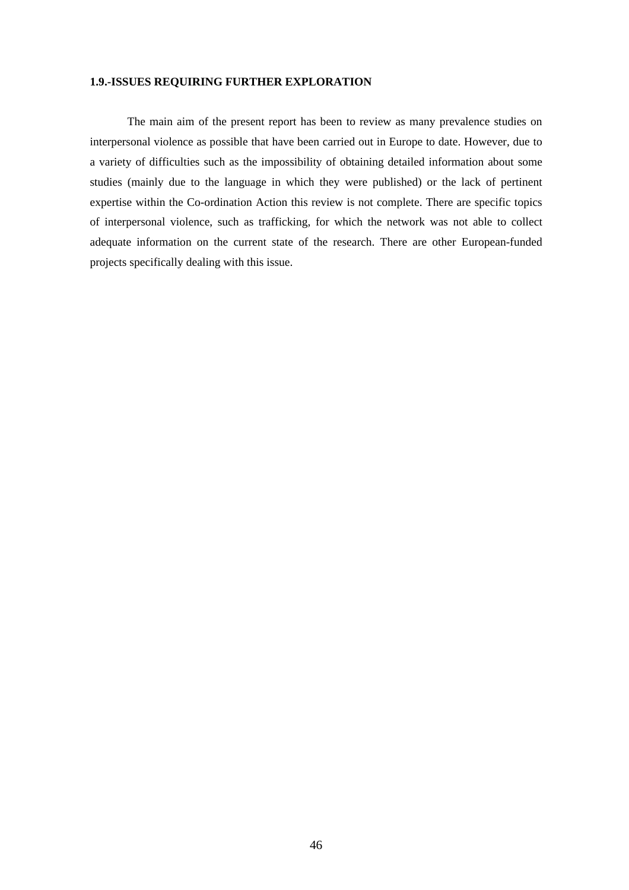## **1.9.-ISSUES REQUIRING FURTHER EXPLORATION**

The main aim of the present report has been to review as many prevalence studies on interpersonal violence as possible that have been carried out in Europe to date. However, due to a variety of difficulties such as the impossibility of obtaining detailed information about some studies (mainly due to the language in which they were published) or the lack of pertinent expertise within the Co-ordination Action this review is not complete. There are specific topics of interpersonal violence, such as trafficking, for which the network was not able to collect adequate information on the current state of the research. There are other European-funded projects specifically dealing with this issue.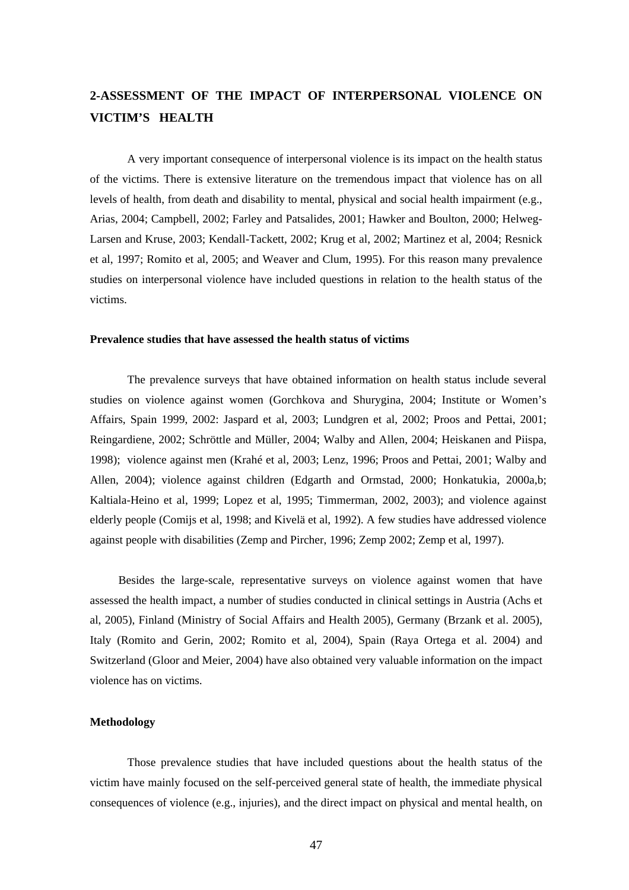## **2-ASSESSMENT OF THE IMPACT OF INTERPERSONAL VIOLENCE ON VICTIM'S HEALTH**

A very important consequence of interpersonal violence is its impact on the health status of the victims. There is extensive literature on the tremendous impact that violence has on all levels of health, from death and disability to mental, physical and social health impairment (e.g., Arias, 2004; Campbell, 2002; Farley and Patsalides, 2001; Hawker and Boulton, 2000; Helweg-Larsen and Kruse, 2003; Kendall-Tackett, 2002; Krug et al, 2002; Martinez et al, 2004; Resnick et al, 1997; Romito et al, 2005; and Weaver and Clum, 1995). For this reason many prevalence studies on interpersonal violence have included questions in relation to the health status of the victims.

#### **Prevalence studies that have assessed the health status of victims**

 The prevalence surveys that have obtained information on health status include several studies on violence against women (Gorchkova and Shurygina, 2004; Institute or Women's Affairs, Spain 1999, 2002: Jaspard et al, 2003; Lundgren et al, 2002; Proos and Pettai, 2001; Reingardiene, 2002; Schröttle and Müller, 2004; Walby and Allen, 2004; Heiskanen and Piispa, 1998); violence against men (Krahé et al, 2003; Lenz, 1996; Proos and Pettai, 2001; Walby and Allen, 2004); violence against children (Edgarth and Ormstad, 2000; Honkatukia, 2000a,b; Kaltiala-Heino et al, 1999; Lopez et al, 1995; Timmerman, 2002, 2003); and violence against elderly people (Comijs et al, 1998; and Kivelä et al, 1992). A few studies have addressed violence against people with disabilities (Zemp and Pircher, 1996; Zemp 2002; Zemp et al, 1997).

Besides the large-scale, representative surveys on violence against women that have assessed the health impact, a number of studies conducted in clinical settings in Austria (Achs et al, 2005), Finland (Ministry of Social Affairs and Health 2005), Germany (Brzank et al. 2005), Italy (Romito and Gerin, 2002; Romito et al, 2004), Spain (Raya Ortega et al. 2004) and Switzerland (Gloor and Meier, 2004) have also obtained very valuable information on the impact violence has on victims.

## **Methodology**

Those prevalence studies that have included questions about the health status of the victim have mainly focused on the self-perceived general state of health, the immediate physical consequences of violence (e.g., injuries), and the direct impact on physical and mental health, on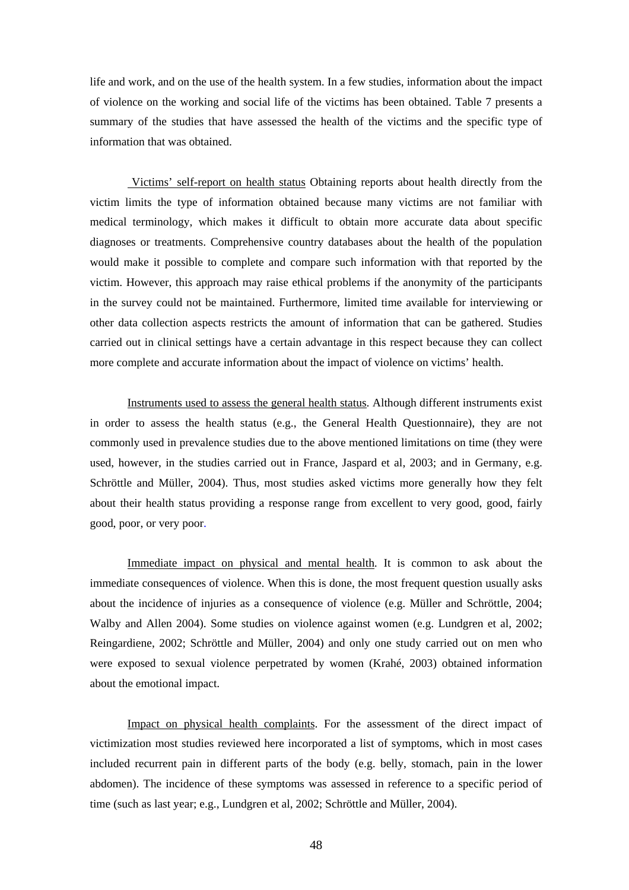life and work, and on the use of the health system. In a few studies, information about the impact of violence on the working and social life of the victims has been obtained. Table 7 presents a summary of the studies that have assessed the health of the victims and the specific type of information that was obtained.

 Victims' self-report on health status Obtaining reports about health directly from the victim limits the type of information obtained because many victims are not familiar with medical terminology, which makes it difficult to obtain more accurate data about specific diagnoses or treatments. Comprehensive country databases about the health of the population would make it possible to complete and compare such information with that reported by the victim. However, this approach may raise ethical problems if the anonymity of the participants in the survey could not be maintained. Furthermore, limited time available for interviewing or other data collection aspects restricts the amount of information that can be gathered. Studies carried out in clinical settings have a certain advantage in this respect because they can collect more complete and accurate information about the impact of violence on victims' health.

Instruments used to assess the general health status. Although different instruments exist in order to assess the health status (e.g., the General Health Questionnaire), they are not commonly used in prevalence studies due to the above mentioned limitations on time (they were used, however, in the studies carried out in France, Jaspard et al, 2003; and in Germany, e.g. Schröttle and Müller, 2004). Thus, most studies asked victims more generally how they felt about their health status providing a response range from excellent to very good, good, fairly good, poor, or very poor.

Immediate impact on physical and mental health. It is common to ask about the immediate consequences of violence. When this is done, the most frequent question usually asks about the incidence of injuries as a consequence of violence (e.g. Müller and Schröttle, 2004; Walby and Allen 2004). Some studies on violence against women (e.g. Lundgren et al, 2002; Reingardiene, 2002; Schröttle and Müller, 2004) and only one study carried out on men who were exposed to sexual violence perpetrated by women (Krahé, 2003) obtained information about the emotional impact.

Impact on physical health complaints. For the assessment of the direct impact of victimization most studies reviewed here incorporated a list of symptoms, which in most cases included recurrent pain in different parts of the body (e.g. belly, stomach, pain in the lower abdomen). The incidence of these symptoms was assessed in reference to a specific period of time (such as last year; e.g., Lundgren et al, 2002; Schröttle and Müller, 2004).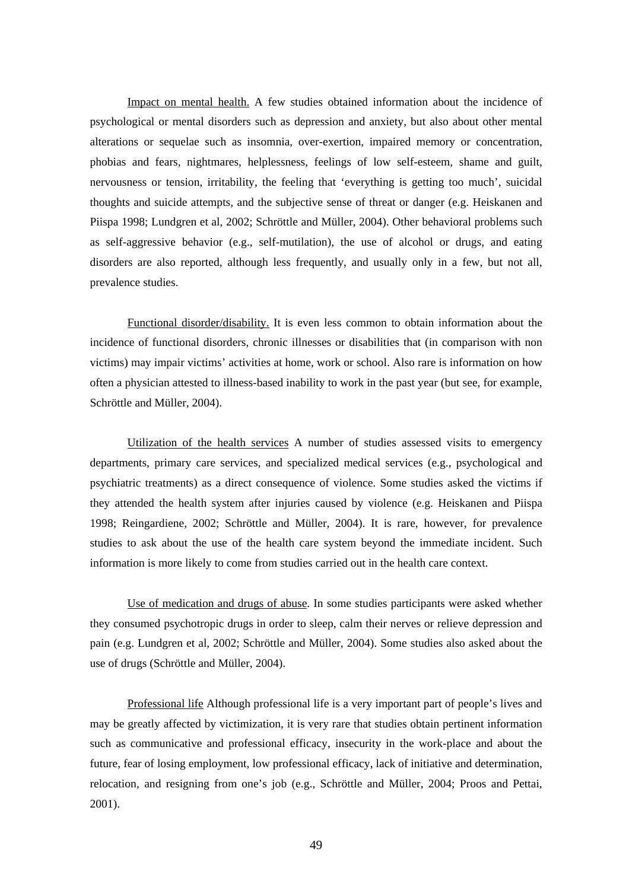Impact on mental health. A few studies obtained information about the incidence of psychological or mental disorders such as depression and anxiety, but also about other mental alterations or sequelae such as insomnia, over-exertion, impaired memory or concentration, phobias and fears, nightmares, helplessness, feelings of low self-esteem, shame and guilt, nervousness or tension, irritability, the feeling that 'everything is getting too much', suicidal thoughts and suicide attempts, and the subjective sense of threat or danger (e.g. Heiskanen and Piispa 1998; Lundgren et al, 2002; Schröttle and Müller, 2004). Other behavioral problems such as self-aggressive behavior (e.g., self-mutilation), the use of alcohol or drugs, and eating disorders are also reported, although less frequently, and usually only in a few, but not all, prevalence studies.

Functional disorder/disability. It is even less common to obtain information about the incidence of functional disorders, chronic illnesses or disabilities that (in comparison with non victims) may impair victims' activities at home, work or school. Also rare is information on how often a physician attested to illness-based inability to work in the past year (but see, for example, Schröttle and Müller, 2004).

Utilization of the health services A number of studies assessed visits to emergency departments, primary care services, and specialized medical services (e.g., psychological and psychiatric treatments) as a direct consequence of violence. Some studies asked the victims if they attended the health system after injuries caused by violence (e.g. Heiskanen and Piispa 1998; Reingardiene, 2002; Schröttle and Müller, 2004). It is rare, however, for prevalence studies to ask about the use of the health care system beyond the immediate incident. Such information is more likely to come from studies carried out in the health care context.

Use of medication and drugs of abuse. In some studies participants were asked whether they consumed psychotropic drugs in order to sleep, calm their nerves or relieve depression and pain (e.g. Lundgren et al, 2002; Schröttle and Müller, 2004). Some studies also asked about the use of drugs (Schröttle and Müller, 2004).

Professional life Although professional life is a very important part of people's lives and may be greatly affected by victimization, it is very rare that studies obtain pertinent information such as communicative and professional efficacy, insecurity in the work-place and about the future, fear of losing employment, low professional efficacy, lack of initiative and determination, relocation, and resigning from one's job (e.g., Schröttle and Müller, 2004; Proos and Pettai, 2001).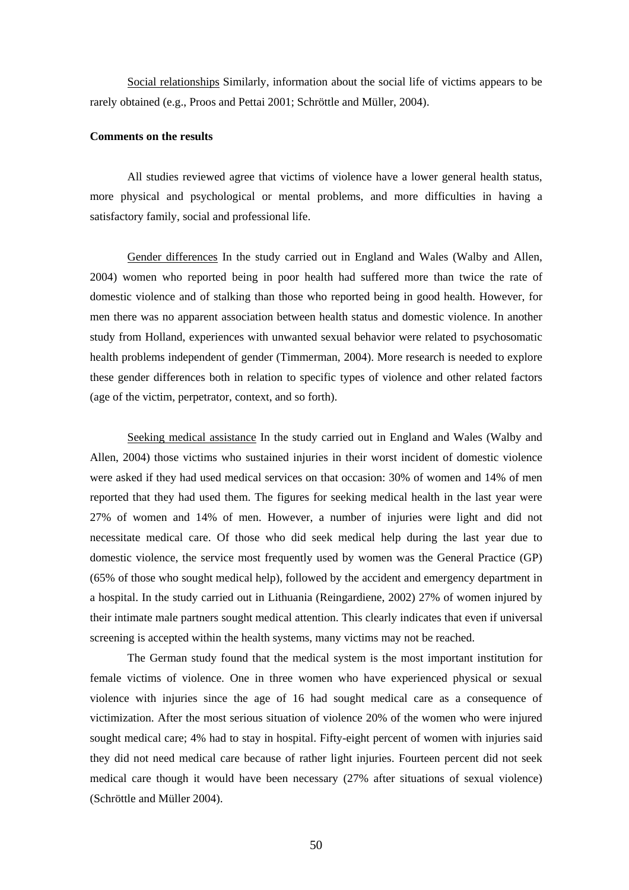Social relationships Similarly, information about the social life of victims appears to be rarely obtained (e.g., Proos and Pettai 2001; Schröttle and Müller, 2004).

## **Comments on the results**

 All studies reviewed agree that victims of violence have a lower general health status, more physical and psychological or mental problems, and more difficulties in having a satisfactory family, social and professional life.

Gender differences In the study carried out in England and Wales (Walby and Allen, 2004) women who reported being in poor health had suffered more than twice the rate of domestic violence and of stalking than those who reported being in good health. However, for men there was no apparent association between health status and domestic violence. In another study from Holland, experiences with unwanted sexual behavior were related to psychosomatic health problems independent of gender (Timmerman, 2004). More research is needed to explore these gender differences both in relation to specific types of violence and other related factors (age of the victim, perpetrator, context, and so forth).

Seeking medical assistance In the study carried out in England and Wales (Walby and Allen, 2004) those victims who sustained injuries in their worst incident of domestic violence were asked if they had used medical services on that occasion: 30% of women and 14% of men reported that they had used them. The figures for seeking medical health in the last year were 27% of women and 14% of men. However, a number of injuries were light and did not necessitate medical care. Of those who did seek medical help during the last year due to domestic violence, the service most frequently used by women was the General Practice (GP) (65% of those who sought medical help), followed by the accident and emergency department in a hospital. In the study carried out in Lithuania (Reingardiene, 2002) 27% of women injured by their intimate male partners sought medical attention. This clearly indicates that even if universal screening is accepted within the health systems, many victims may not be reached.

The German study found that the medical system is the most important institution for female victims of violence. One in three women who have experienced physical or sexual violence with injuries since the age of 16 had sought medical care as a consequence of victimization. After the most serious situation of violence 20% of the women who were injured sought medical care; 4% had to stay in hospital. Fifty-eight percent of women with injuries said they did not need medical care because of rather light injuries. Fourteen percent did not seek medical care though it would have been necessary (27% after situations of sexual violence) (Schröttle and Müller 2004).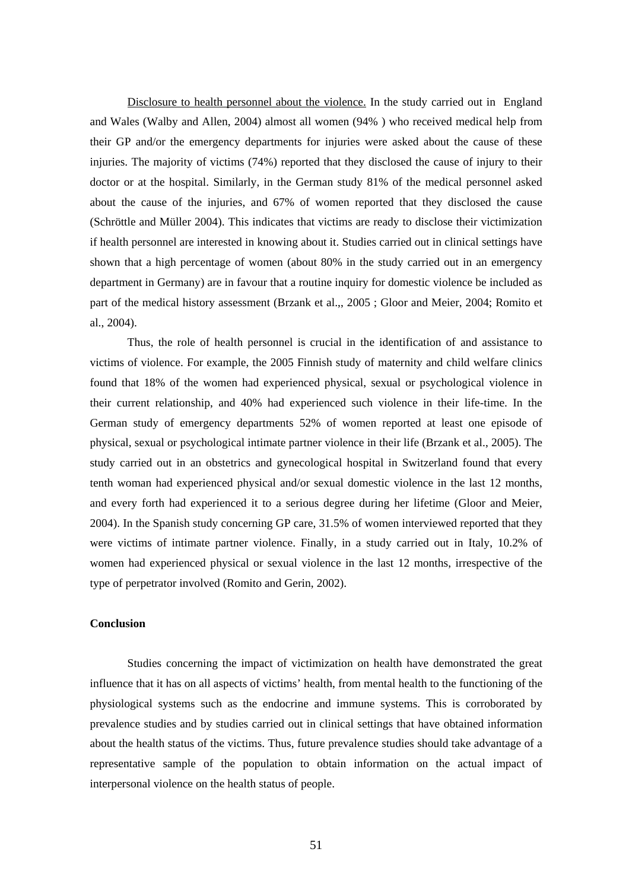Disclosure to health personnel about the violence. In the study carried out in England and Wales (Walby and Allen, 2004) almost all women (94% ) who received medical help from their GP and/or the emergency departments for injuries were asked about the cause of these injuries. The majority of victims (74%) reported that they disclosed the cause of injury to their doctor or at the hospital. Similarly, in the German study 81% of the medical personnel asked about the cause of the injuries, and 67% of women reported that they disclosed the cause (Schröttle and Müller 2004). This indicates that victims are ready to disclose their victimization if health personnel are interested in knowing about it. Studies carried out in clinical settings have shown that a high percentage of women (about 80% in the study carried out in an emergency department in Germany) are in favour that a routine inquiry for domestic violence be included as part of the medical history assessment (Brzank et al.,, 2005 ; Gloor and Meier, 2004; Romito et al., 2004).

Thus, the role of health personnel is crucial in the identification of and assistance to victims of violence. For example, the 2005 Finnish study of maternity and child welfare clinics found that 18% of the women had experienced physical, sexual or psychological violence in their current relationship, and 40% had experienced such violence in their life-time. In the German study of emergency departments 52% of women reported at least one episode of physical, sexual or psychological intimate partner violence in their life (Brzank et al., 2005). The study carried out in an obstetrics and gynecological hospital in Switzerland found that every tenth woman had experienced physical and/or sexual domestic violence in the last 12 months, and every forth had experienced it to a serious degree during her lifetime (Gloor and Meier, 2004). In the Spanish study concerning GP care, 31.5% of women interviewed reported that they were victims of intimate partner violence. Finally, in a study carried out in Italy, 10.2% of women had experienced physical or sexual violence in the last 12 months, irrespective of the type of perpetrator involved (Romito and Gerin, 2002).

## **Conclusion**

Studies concerning the impact of victimization on health have demonstrated the great influence that it has on all aspects of victims' health, from mental health to the functioning of the physiological systems such as the endocrine and immune systems. This is corroborated by prevalence studies and by studies carried out in clinical settings that have obtained information about the health status of the victims. Thus, future prevalence studies should take advantage of a representative sample of the population to obtain information on the actual impact of interpersonal violence on the health status of people.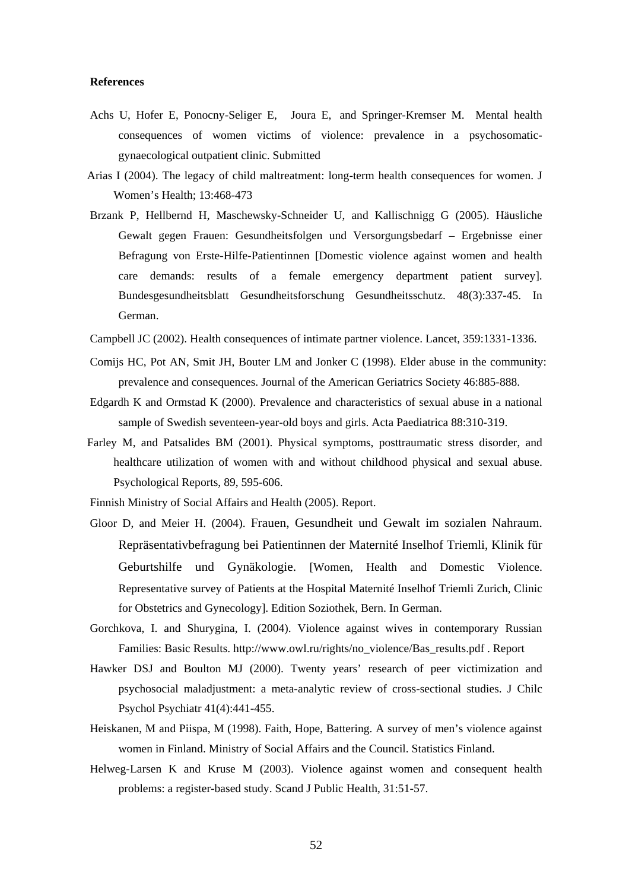#### **References**

- Achs U, Hofer E, Ponocny-Seliger E, Joura E, and Springer-Kremser M. Mental health consequences of women victims of violence: prevalence in a psychosomaticgynaecological outpatient clinic. Submitted
- Arias I (2004). The legacy of child maltreatment: long-term health consequences for women. J Women's Health; 13:468-473
- Brzank P, Hellbernd H, Maschewsky-Schneider U, and Kallischnigg G (2005). Häusliche Gewalt gegen Frauen: Gesundheitsfolgen und Versorgungsbedarf – Ergebnisse einer Befragung von Erste-Hilfe-Patientinnen [Domestic violence against women and health care demands: results of a female emergency department patient survey]. Bundesgesundheitsblatt Gesundheitsforschung Gesundheitsschutz. 48(3):337-45. In German.
- Campbell JC (2002). Health consequences of intimate partner violence. Lancet, 359:1331-1336.
- Comijs HC, Pot AN, Smit JH, Bouter LM and Jonker C (1998). Elder abuse in the community: prevalence and consequences. Journal of the American Geriatrics Society 46:885-888.
- Edgardh K and Ormstad K (2000). Prevalence and characteristics of sexual abuse in a national sample of Swedish seventeen-year-old boys and girls. Acta Paediatrica 88:310-319.
- Farley M, and Patsalides BM (2001). Physical symptoms, posttraumatic stress disorder, and healthcare utilization of women with and without childhood physical and sexual abuse. Psychological Reports, 89, 595-606.

Finnish Ministry of Social Affairs and Health (2005). Report.

- Gloor D, and Meier H. (2004). Frauen, Gesundheit und Gewalt im sozialen Nahraum. Repräsentativbefragung bei Patientinnen der Maternité Inselhof Triemli, Klinik für Geburtshilfe und Gynäkologie. [Women, Health and Domestic Violence. Representative survey of Patients at the Hospital Maternité Inselhof Triemli Zurich, Clinic for Obstetrics and Gynecology]. Edition Soziothek, Bern. In German.
- Gorchkova, I. and Shurygina, I. (2004). Violence against wives in contemporary Russian Families: Basic Results. http://www.owl.ru/rights/no\_violence/Bas\_results.pdf . Report
- Hawker DSJ and Boulton MJ (2000). Twenty years' research of peer victimization and psychosocial maladjustment: a meta-analytic review of cross-sectional studies. J Chilc Psychol Psychiatr 41(4):441-455.
- Heiskanen, M and Piispa, M (1998). Faith, Hope, Battering. A survey of men's violence against women in Finland. Ministry of Social Affairs and the Council. Statistics Finland.
- Helweg-Larsen K and Kruse M (2003). Violence against women and consequent health problems: a register-based study. Scand J Public Health, 31:51-57.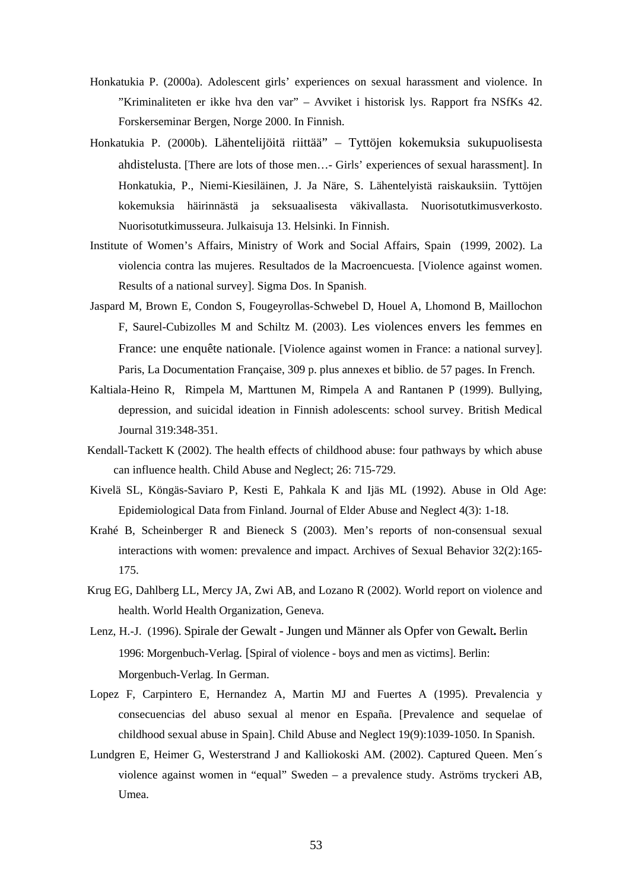- Honkatukia P. (2000a). Adolescent girls' experiences on sexual harassment and violence. In "Kriminaliteten er ikke hva den var" – Avviket i historisk lys. Rapport fra NSfKs 42. Forskerseminar Bergen, Norge 2000. In Finnish.
- Honkatukia P. (2000b). Lähentelijöitä riittää" Tyttöjen kokemuksia sukupuolisesta ahdistelusta. [There are lots of those men…- Girls' experiences of sexual harassment]. In Honkatukia, P., Niemi-Kiesiläinen, J. Ja Näre, S. Lähentelyistä raiskauksiin. Tyttöjen kokemuksia häirinnästä ja seksuaalisesta väkivallasta. Nuorisotutkimusverkosto. Nuorisotutkimusseura. Julkaisuja 13. Helsinki. In Finnish.
- Institute of Women's Affairs, Ministry of Work and Social Affairs, Spain (1999, 2002). La violencia contra las mujeres. Resultados de la Macroencuesta. [Violence against women. Results of a national survey]. Sigma Dos. In Spanish.
- Jaspard M, Brown E, Condon S, Fougeyrollas-Schwebel D, Houel A, Lhomond B, Maillochon F, Saurel-Cubizolles M and Schiltz M. (2003). Les violences envers les femmes en France: une enquête nationale. [Violence against women in France: a national survey]. Paris, La Documentation Française, 309 p. plus annexes et biblio. de 57 pages. In French.
- Kaltiala-Heino R, Rimpela M, Marttunen M, Rimpela A and Rantanen P (1999). Bullying, depression, and suicidal ideation in Finnish adolescents: school survey. British Medical Journal 319:348-351.
- Kendall-Tackett K (2002). The health effects of childhood abuse: four pathways by which abuse can influence health. Child Abuse and Neglect; 26: 715-729.
- Kivelä SL, Köngäs-Saviaro P, Kesti E, Pahkala K and Ijäs ML (1992). Abuse in Old Age: Epidemiological Data from Finland. Journal of Elder Abuse and Neglect 4(3): 1-18.
- Krahé B, Scheinberger R and Bieneck S (2003). Men's reports of non-consensual sexual interactions with women: prevalence and impact. Archives of Sexual Behavior 32(2):165- 175.
- Krug EG, Dahlberg LL, Mercy JA, Zwi AB, and Lozano R (2002). World report on violence and health. World Health Organization, Geneva.
- Lenz, H.-J. (1996). Spirale der Gewalt Jungen und Männer als Opfer von Gewalt**.** Berlin 1996: Morgenbuch-Verlag. [Spiral of violence - boys and men as victims]. Berlin: Morgenbuch-Verlag. In German.
- Lopez F, Carpintero E, Hernandez A, Martin MJ and Fuertes A (1995). Prevalencia y consecuencias del abuso sexual al menor en España. [Prevalence and sequelae of childhood sexual abuse in Spain]. Child Abuse and Neglect 19(9):1039-1050. In Spanish.
- Lundgren E, Heimer G, Westerstrand J and Kalliokoski AM. (2002). Captured Queen. Men´s violence against women in "equal" Sweden – a prevalence study. Aströms tryckeri AB, Umea.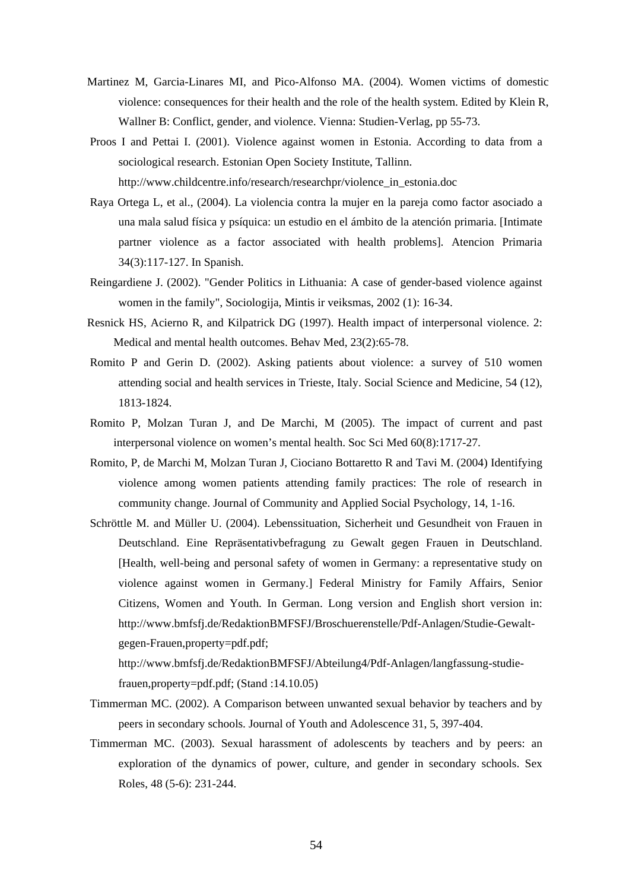- Martinez M, Garcia-Linares MI, and Pico-Alfonso MA. (2004). Women victims of domestic violence: consequences for their health and the role of the health system. Edited by Klein R, Wallner B: Conflict, gender, and violence. Vienna: Studien-Verlag, pp 55-73.
- Proos I and Pettai I. (2001). Violence against women in Estonia. According to data from a sociological research. Estonian Open Society Institute, Tallinn. http://www.childcentre.info/research/researchpr/violence\_in\_estonia.doc

Raya Ortega L, et al., (2004). La violencia contra la mujer en la pareja como factor asociado a

- una mala salud física y psíquica: un estudio en el ámbito de la atención primaria. [Intimate partner violence as a factor associated with health problems]. Atencion Primaria 34(3):117-127. In Spanish.
- Reingardiene J. (2002). "Gender Politics in Lithuania: A case of gender-based violence against women in the family", Sociologija, Mintis ir veiksmas, 2002 (1): 16-34.
- Resnick HS, Acierno R, and Kilpatrick DG (1997). Health impact of interpersonal violence. 2: Medical and mental health outcomes. Behav Med, 23(2):65-78.
- Romito P and Gerin D. (2002). Asking patients about violence: a survey of 510 women attending social and health services in Trieste, Italy. Social Science and Medicine, 54 (12), 1813-1824.
- Romito P, Molzan Turan J, and De Marchi, M (2005). The impact of current and past interpersonal violence on women's mental health. Soc Sci Med 60(8):1717-27.
- Romito, P, de Marchi M, Molzan Turan J, Ciociano Bottaretto R and Tavi M. (2004) Identifying violence among women patients attending family practices: The role of research in community change. Journal of Community and Applied Social Psychology, 14, 1-16.
- Schröttle M. and Müller U. (2004). Lebenssituation, Sicherheit und Gesundheit von Frauen in Deutschland. Eine Repräsentativbefragung zu Gewalt gegen Frauen in Deutschland. [Health, well-being and personal safety of women in Germany: a representative study on violence against women in Germany.] Federal Ministry for Family Affairs, Senior Citizens, Women and Youth. In German. Long version and English short version in: http://www.bmfsfj.de/RedaktionBMFSFJ/Broschuerenstelle/Pdf-Anlagen/Studie-Gewaltgegen-Frauen,property=pdf.pdf;

http://www.bmfsfj.de/RedaktionBMFSFJ/Abteilung4/Pdf-Anlagen/langfassung-studiefrauen,property=pdf.pdf; (Stand :14.10.05)

- Timmerman MC. (2002). A Comparison between unwanted sexual behavior by teachers and by peers in secondary schools. Journal of Youth and Adolescence 31, 5, 397-404.
- Timmerman MC. (2003). Sexual harassment of adolescents by teachers and by peers: an exploration of the dynamics of power, culture, and gender in secondary schools. Sex Roles, 48 (5-6): 231-244.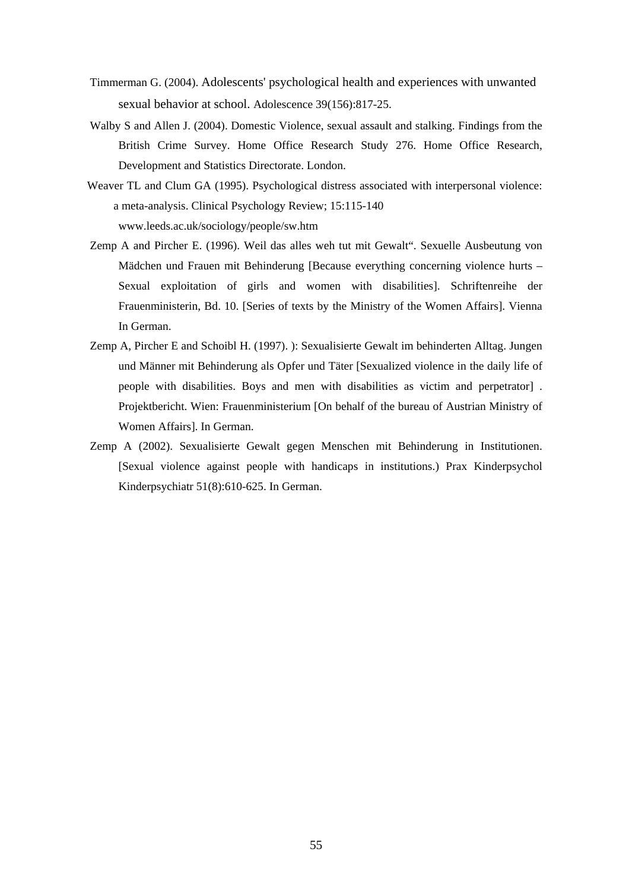- Timmerman G. (2004). Adolescents' psychological health and experiences with unwanted sexual behavior at school. Adolescence 39(156):817-25.
- Walby S and Allen J. (2004). Domestic Violence, sexual assault and stalking. Findings from the British Crime Survey. Home Office Research Study 276. Home Office Research, Development and Statistics Directorate. London.
- Weaver TL and Clum GA (1995). Psychological distress associated with interpersonal violence: a meta-analysis. Clinical Psychology Review; 15:115-140 www.leeds.ac.uk/sociology/people/sw.htm
- Zemp A and Pircher E. (1996). Weil das alles weh tut mit Gewalt". Sexuelle Ausbeutung von Mädchen und Frauen mit Behinderung [Because everything concerning violence hurts – Sexual exploitation of girls and women with disabilities]. Schriftenreihe der Frauenministerin, Bd. 10. [Series of texts by the Ministry of the Women Affairs]. Vienna In German.
- Zemp A, Pircher E and Schoibl H. (1997). ): Sexualisierte Gewalt im behinderten Alltag. Jungen und Männer mit Behinderung als Opfer und Täter [Sexualized violence in the daily life of people with disabilities. Boys and men with disabilities as victim and perpetrator] . Projektbericht. Wien: Frauenministerium [On behalf of the bureau of Austrian Ministry of Women Affairs]. In German.
- Zemp A (2002). Sexualisierte Gewalt gegen Menschen mit Behinderung in Institutionen. [Sexual violence against people with handicaps in institutions.) Prax Kinderpsychol Kinderpsychiatr 51(8):610-625. In German.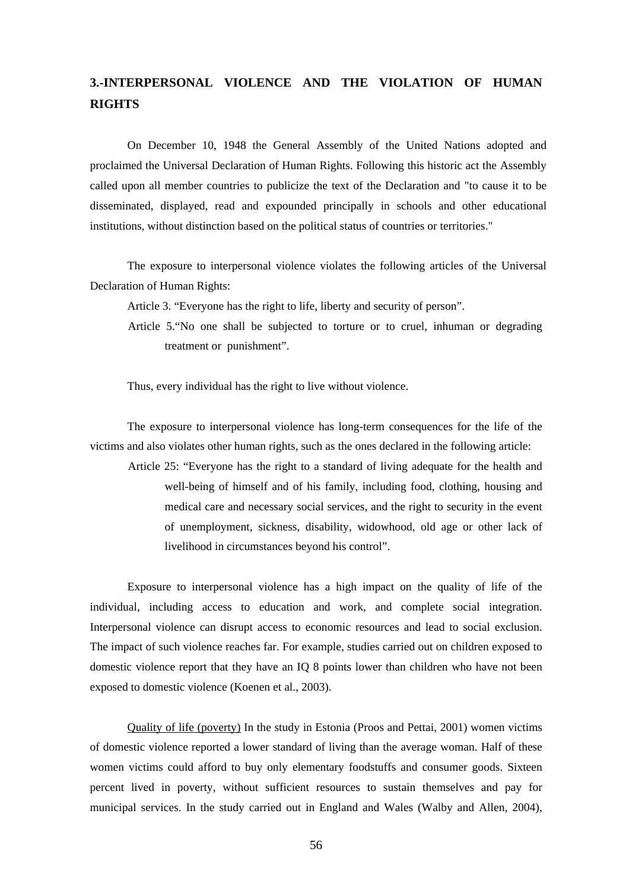## **3.-INTERPERSONAL VIOLENCE AND THE VIOLATION OF HUMAN RIGHTS**

On December 10, 1948 the General Assembly of the United Nations adopted and proclaimed the Universal Declaration of Human Rights. Following this historic act the Assembly called upon all member countries to publicize the text of the Declaration and "to cause it to be disseminated, displayed, read and expounded principally in schools and other educational institutions, without distinction based on the political status of countries or territories."

The exposure to interpersonal violence violates the following articles of the Universal Declaration of Human Rights:

Article 3. "Everyone has the right to life, liberty and security of person".

Article 5."No one shall be subjected to torture or to cruel, inhuman or degrading treatment or punishment".

Thus, every individual has the right to live without violence.

The exposure to interpersonal violence has long-term consequences for the life of the victims and also violates other human rights, such as the ones declared in the following article:

Article 25: "Everyone has the right to a standard of living adequate for the health and well-being of himself and of his family, including food, clothing, housing and medical care and necessary social services, and the right to security in the event of unemployment, sickness, disability, widowhood, old age or other lack of livelihood in circumstances beyond his control".

 Exposure to interpersonal violence has a high impact on the quality of life of the individual, including access to education and work, and complete social integration. Interpersonal violence can disrupt access to economic resources and lead to social exclusion. The impact of such violence reaches far. For example, studies carried out on children exposed to domestic violence report that they have an IQ 8 points lower than children who have not been exposed to domestic violence (Koenen et al., 2003).

Quality of life (poverty) In the study in Estonia (Proos and Pettai, 2001) women victims of domestic violence reported a lower standard of living than the average woman. Half of these women victims could afford to buy only elementary foodstuffs and consumer goods. Sixteen percent lived in poverty, without sufficient resources to sustain themselves and pay for municipal services. In the study carried out in England and Wales (Walby and Allen, 2004),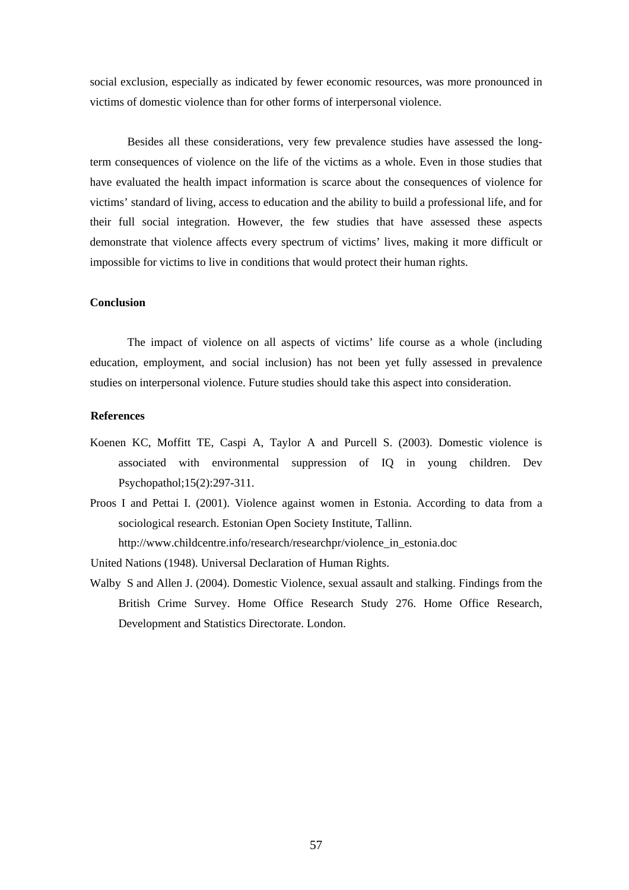social exclusion, especially as indicated by fewer economic resources, was more pronounced in victims of domestic violence than for other forms of interpersonal violence.

 Besides all these considerations, very few prevalence studies have assessed the longterm consequences of violence on the life of the victims as a whole. Even in those studies that have evaluated the health impact information is scarce about the consequences of violence for victims' standard of living, access to education and the ability to build a professional life, and for their full social integration. However, the few studies that have assessed these aspects demonstrate that violence affects every spectrum of victims' lives, making it more difficult or impossible for victims to live in conditions that would protect their human rights.

#### **Conclusion**

The impact of violence on all aspects of victims' life course as a whole (including education, employment, and social inclusion) has not been yet fully assessed in prevalence studies on interpersonal violence. Future studies should take this aspect into consideration.

## **References**

- Koenen KC, Moffitt TE, Caspi A, Taylor A and Purcell S. (2003). Domestic violence is associated with environmental suppression of IQ in young children. Dev Psychopathol;15(2):297-311.
- Proos I and Pettai I. (2001). Violence against women in Estonia. According to data from a sociological research. Estonian Open Society Institute, Tallinn. http://www.childcentre.info/research/researchpr/violence\_in\_estonia.doc

United Nations (1948). Universal Declaration of Human Rights.

Walby S and Allen J. (2004). Domestic Violence, sexual assault and stalking. Findings from the British Crime Survey. Home Office Research Study 276. Home Office Research, Development and Statistics Directorate. London.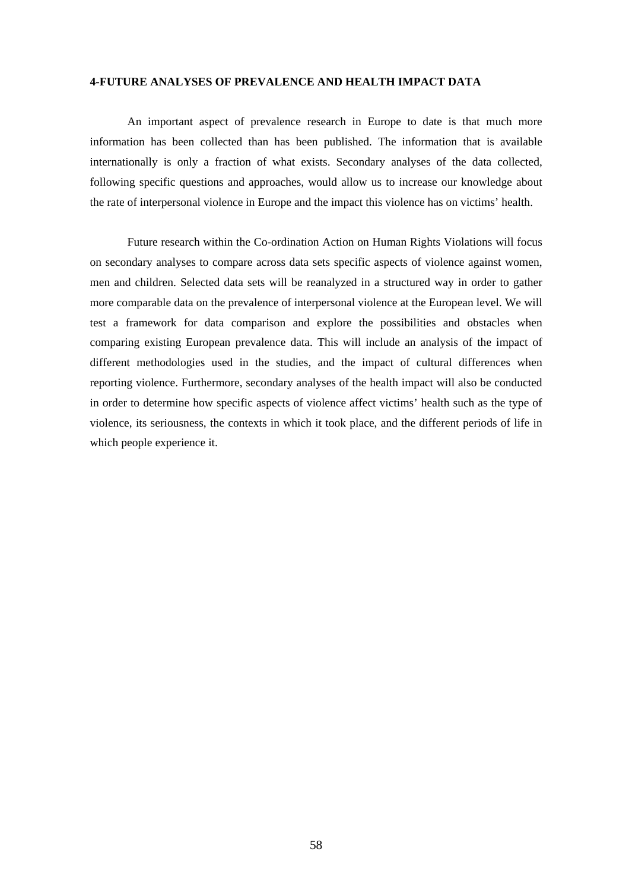## **4-FUTURE ANALYSES OF PREVALENCE AND HEALTH IMPACT DATA**

An important aspect of prevalence research in Europe to date is that much more information has been collected than has been published. The information that is available internationally is only a fraction of what exists. Secondary analyses of the data collected, following specific questions and approaches, would allow us to increase our knowledge about the rate of interpersonal violence in Europe and the impact this violence has on victims' health.

Future research within the Co-ordination Action on Human Rights Violations will focus on secondary analyses to compare across data sets specific aspects of violence against women, men and children. Selected data sets will be reanalyzed in a structured way in order to gather more comparable data on the prevalence of interpersonal violence at the European level. We will test a framework for data comparison and explore the possibilities and obstacles when comparing existing European prevalence data. This will include an analysis of the impact of different methodologies used in the studies, and the impact of cultural differences when reporting violence. Furthermore, secondary analyses of the health impact will also be conducted in order to determine how specific aspects of violence affect victims' health such as the type of violence, its seriousness, the contexts in which it took place, and the different periods of life in which people experience it.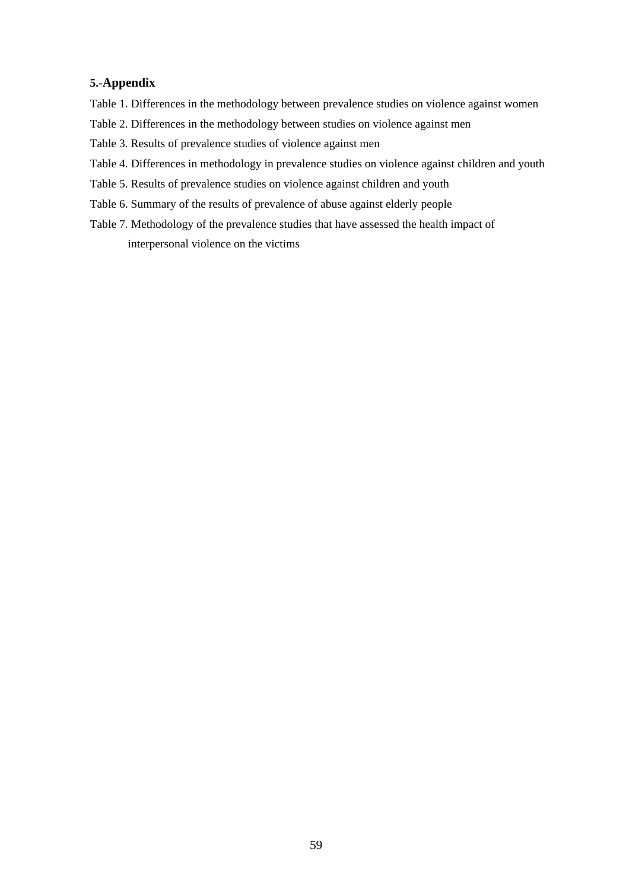## **5.-Appendix**

- Table 1. Differences in the methodology between prevalence studies on violence against women
- Table 2. Differences in the methodology between studies on violence against men
- Table 3. Results of prevalence studies of violence against men
- Table 4. Differences in methodology in prevalence studies on violence against children and youth
- Table 5. Results of prevalence studies on violence against children and youth
- Table 6. Summary of the results of prevalence of abuse against elderly people
- Table 7. Methodology of the prevalence studies that have assessed the health impact of interpersonal violence on the victims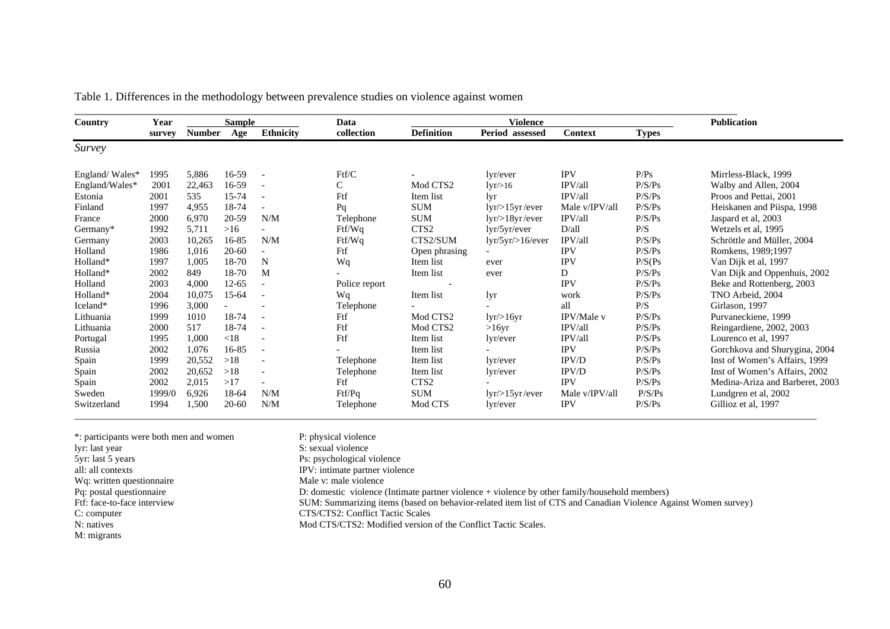| Country        | Year   |               | <b>Sample</b> |                          | Data          |                   | Violence                 |                   |              | <b>Publication</b>              |
|----------------|--------|---------------|---------------|--------------------------|---------------|-------------------|--------------------------|-------------------|--------------|---------------------------------|
|                | survey | <b>Number</b> | Age           | <b>Ethnicity</b>         | collection    | <b>Definition</b> | Period assessed          | <b>Context</b>    | <b>Types</b> |                                 |
| Survey         |        |               |               |                          |               |                   |                          |                   |              |                                 |
| England/Wales* | 1995   | 5,886         | 16-59         | $\overline{\phantom{a}}$ | Ftf/C         |                   | lyr/ever                 | <b>IPV</b>        | P/Ps         | Mirrless-Black, 1999            |
| England/Wales* | 2001   | 22,463        | 16-59         | $\overline{\phantom{a}}$ | C             | Mod CTS2          | $lyr\llap/316$           | IPV/all           | P/S/Ps       | Walby and Allen, 2004           |
| Estonia        | 2001   | 535           | 15-74         | $\blacksquare$           | Ftf           | Item list         | lyr                      | IPV/all           | P/S/Ps       | Proos and Pettai, 2001          |
| Finland        | 1997   | 4,955         | 18-74         |                          | Pq            | <b>SUM</b>        | $lyr$ />15yr /ever       | Male v/IPV/all    | P/S/Ps       | Heiskanen and Piispa, 1998      |
| France         | 2000   | 6,970         | 20-59         | N/M                      | Telephone     | <b>SUM</b>        | $lyr$ />18yr /ever       | IPV/all           | P/S/Ps       | Jaspard et al, 2003             |
| Germany*       | 1992   | 5,711         | >16           |                          | Ftf/Wq        | CTS <sub>2</sub>  | lyr/5yr/ever             | D/all             | P/S          | Wetzels et al, 1995             |
| Germany        | 2003   | 10,265        | 16-85         | N/M                      | Ftf/Wq        | CTS2/SUM          | lyr/5yr/5/6/ever         | IPV/all           | P/S/Ps       | Schröttle and Müller, 2004      |
| Holland        | 1986   | 1,016         | $20 - 60$     |                          | Ftf           | Open phrasing     | $\overline{\phantom{a}}$ | <b>IPV</b>        | P/S/Ps       | Romkens, 1989;1997              |
| Holland*       | 1997   | 1,005         | 18-70         | N                        | Wq            | Item list         | ever                     | <b>IPV</b>        | P/S(Ps)      | Van Dijk et al, 1997            |
| Holland*       | 2002   | 849           | 18-70         | M                        |               | Item list         | ever                     | D                 | P/S/Ps       | Van Dijk and Oppenhuis, 2002    |
| Holland        | 2003   | 4,000         | $12 - 65$     |                          | Police report |                   |                          | <b>IPV</b>        | P/S/Ps       | Beke and Rottenberg, 2003       |
| Holland*       | 2004   | 10,075        | 15-64         | $\overline{\phantom{a}}$ | Wq            | Item list         | lyr                      | work              | P/S/Ps       | TNO Arbeid, 2004                |
| Iceland*       | 1996   | 3,000         |               | $\overline{\phantom{a}}$ | Telephone     |                   |                          | all               | P/S          | Girlason, 1997                  |
| Lithuania      | 1999   | 1010          | 18-74         |                          | Ftf           | Mod CTS2          | $lyr$ />16yr             | <b>IPV/Male v</b> | P/S/Ps       | Purvaneckiene, 1999             |
| Lithuania      | 2000   | 517           | 18-74         | $\blacksquare$           | Ftf           | Mod CTS2          | >16yr                    | IPV/all           | P/S/Ps       | Reingardiene, 2002, 2003        |
| Portugal       | 1995   | 1,000         | < 18          |                          | Ftf           | Item list         | lvr/ever                 | IPV/all           | P/S/Ps       | Lourenco et al, 1997            |
| Russia         | 2002   | 1,076         | 16-85         | $\overline{\phantom{a}}$ |               | Item list         |                          | <b>IPV</b>        | P/S/Ps       | Gorchkova and Shurygina, 2004   |
| Spain          | 1999   | 20,552        | >18           | $\overline{\phantom{a}}$ | Telephone     | Item list         | lyr/ever                 | IPV/D             | P/S/Ps       | Inst of Women's Affairs, 1999   |
| Spain          | 2002   | 20,652        | >18           | $\overline{\phantom{a}}$ | Telephone     | Item list         | lvr/ever                 | IPV/D             | P/S/Ps       | Inst of Women's Affairs, 2002   |
| Spain          | 2002   | 2,015         | >17           |                          | Ftf           | CTS <sub>2</sub>  |                          | <b>IPV</b>        | P/S/Ps       | Medina-Ariza and Barberet, 2003 |
| Sweden         | 1999/0 | 6,926         | 18-64         | N/M                      | Ftf/Pq        | <b>SUM</b>        | $lyr$ />15yr /ever       | Male v/IPV/all    | P/S/Ps       | Lundgren et al, 2002            |
| Switzerland    | 1994   | 1,500         | $20 - 60$     | N/M                      | Telephone     | Mod CTS           | lyr/ever                 | <b>IPV</b>        | P/S/Ps       | Gillioz et al, 1997             |

|  |  |  |  |  |  | Table 1. Differences in the methodology between prevalence studies on violence against women |  |  |  |  |
|--|--|--|--|--|--|----------------------------------------------------------------------------------------------|--|--|--|--|
|  |  |  |  |  |  |                                                                                              |  |  |  |  |
|  |  |  |  |  |  |                                                                                              |  |  |  |  |
|  |  |  |  |  |  |                                                                                              |  |  |  |  |

| *: participants were both men and women | P: physical violence                                                                                           |
|-----------------------------------------|----------------------------------------------------------------------------------------------------------------|
| lyr: last year                          | S: sexual violence                                                                                             |
| 5yr: last 5 years                       | Ps: psychological violence                                                                                     |
| all: all contexts                       | IPV: intimate partner violence                                                                                 |
| Wq: written questionnaire               | Male v: male violence                                                                                          |
| Pq: postal questionnaire                | D: domestic violence (Intimate partner violence + violence by other family/household members)                  |
| Ftf: face-to-face interview             | SUM: Summarizing items (based on behavior-related item list of CTS and Canadian Violence Against Women survey) |
| C: computer                             | CTS/CTS2: Conflict Tactic Scales                                                                               |
| N: natives                              | Mod CTS/CTS2: Modified version of the Conflict Tactic Scales.                                                  |
| M: migrants                             |                                                                                                                |

 $\mathcal{L}_\mathcal{L} = \mathcal{L}_\mathcal{L} = \mathcal{L}_\mathcal{L} = \mathcal{L}_\mathcal{L} = \mathcal{L}_\mathcal{L} = \mathcal{L}_\mathcal{L} = \mathcal{L}_\mathcal{L} = \mathcal{L}_\mathcal{L} = \mathcal{L}_\mathcal{L} = \mathcal{L}_\mathcal{L} = \mathcal{L}_\mathcal{L} = \mathcal{L}_\mathcal{L} = \mathcal{L}_\mathcal{L} = \mathcal{L}_\mathcal{L} = \mathcal{L}_\mathcal{L} = \mathcal{L}_\mathcal{L} = \mathcal{L}_\mathcal{L}$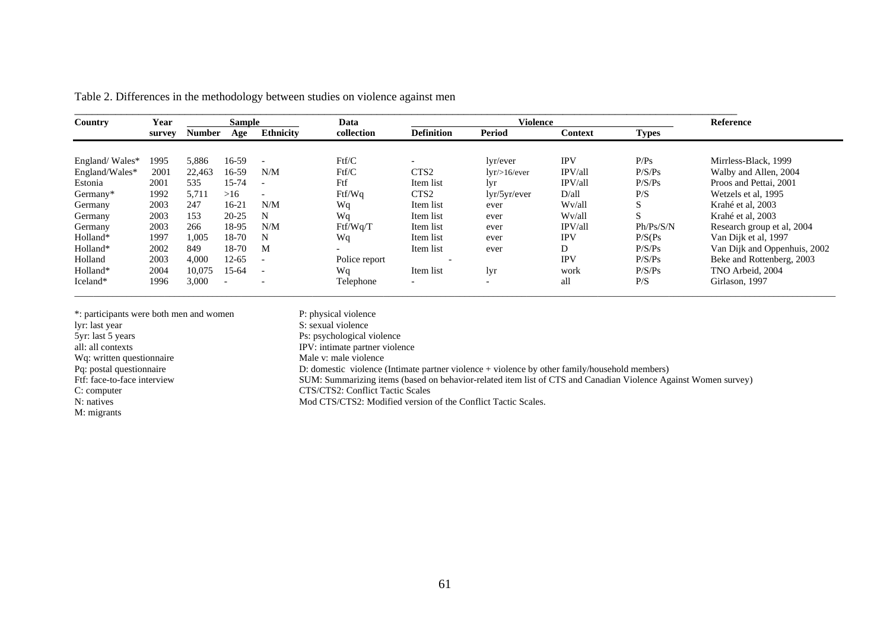| Country        | Year   |        | <b>Sample</b> |                          | Data          |                   | <b>Violence</b>          |                |              | <b>Reference</b>             |
|----------------|--------|--------|---------------|--------------------------|---------------|-------------------|--------------------------|----------------|--------------|------------------------------|
|                | survey | Number | Age           | <b>Ethnicity</b>         | collection    | <b>Definition</b> | <b>Period</b>            | <b>Context</b> | <b>Types</b> |                              |
|                |        |        |               |                          |               |                   |                          |                |              |                              |
| England/Wales* | 1995   | 5,886  | 16-59         | $\overline{\phantom{a}}$ | Ftf/C         |                   | lvr/ever                 | <b>IPV</b>     | P/Ps         | Mirrless-Black, 1999         |
| England/Wales* | 2001   | 22,463 | 16-59         | N/M                      | Ftf/C         | CTS <sub>2</sub>  | $lyr$ />16/ever          | IPV/all        | P/S/Ps       | Walby and Allen, 2004        |
| Estonia        | 2001   | 535    | 15-74         | $\overline{\phantom{a}}$ | Ftf           | Item list         | lyr                      | IPV/all        | P/S/Ps       | Proos and Pettai, 2001       |
| Germany*       | 1992   | 5,711  | >16           | $\overline{\phantom{a}}$ | Ftf/Wq        | CTS <sub>2</sub>  | 1yr/5yr/ever             | D/all          | P/S          | Wetzels et al, 1995          |
| Germany        | 2003   | 247    | $16 - 21$     | N/M                      | Wq            | Item list         | ever                     | Wv/all         | S.           | Krahé et al. 2003            |
| Germany        | 2003   | 153    | $20 - 25$     | N                        | Wq            | Item list         | ever                     | Wv/all         | S.           | Krahé et al. 2003            |
| Germany        | 2003   | 266    | 18-95         | N/M                      | Ftf/Wq/T      | Item list         | ever                     | IPV/all        | Ph/Ps/S/N    | Research group et al, 2004   |
| Holland*       | 1997   | 1.005  | 18-70         | N                        | Wq            | Item list         | ever                     | <b>IPV</b>     | P/S(Ps)      | Van Dijk et al, 1997         |
| Holland*       | 2002   | 849    | 18-70         | M                        | $\sim$        | Item list         | ever                     | D              | P/S/Ps       | Van Dijk and Oppenhuis, 2002 |
| Holland        | 2003   | 4,000  | $12 - 65$     | $\overline{\phantom{a}}$ | Police report |                   |                          | <b>IPV</b>     | P/S/Ps       | Beke and Rottenberg, 2003    |
| Holland*       | 2004   | 10,075 | $15-64$       | $\overline{\phantom{a}}$ | Wa            | Item list         | lyr                      | work           | P/S/Ps       | TNO Arbeid, 2004             |
| Iceland*       | 1996   | 3,000  |               | $\overline{\phantom{a}}$ | Telephone     | $\overline{a}$    | $\overline{\phantom{0}}$ | all            | P/S          | Girlason, 1997               |

 $\mathcal{L}_\text{max} = \mathcal{L}_\text{max} = \mathcal{L}_\text{max} = \mathcal{L}_\text{max} = \mathcal{L}_\text{max} = \mathcal{L}_\text{max} = \mathcal{L}_\text{max} = \mathcal{L}_\text{max} = \mathcal{L}_\text{max} = \mathcal{L}_\text{max} = \mathcal{L}_\text{max} = \mathcal{L}_\text{max} = \mathcal{L}_\text{max} = \mathcal{L}_\text{max} = \mathcal{L}_\text{max} = \mathcal{L}_\text{max} = \mathcal{L}_\text{max} = \mathcal{L}_\text{max} = \mathcal{$ 

Table 2. Differences in the methodology between studies on violence against men

| *: participants were both men and women | P: physical violence                                                                                           |
|-----------------------------------------|----------------------------------------------------------------------------------------------------------------|
| lyr: last year                          | S: sexual violence                                                                                             |
| 5yr: last 5 years                       | Ps: psychological violence                                                                                     |
| all: all contexts                       | IPV: intimate partner violence                                                                                 |
| Wq: written questionnaire               | Male y: male violence                                                                                          |
| Pq: postal questionnaire                | D: domestic violence (Intimate partner violence + violence by other family/household members)                  |
| Ftf: face-to-face interview             | SUM: Summarizing items (based on behavior-related item list of CTS and Canadian Violence Against Women survey) |
| C: computer                             | CTS/CTS2: Conflict Tactic Scales                                                                               |
| N: natives                              | Mod CTS/CTS2: Modified version of the Conflict Tactic Scales.                                                  |
| M: migrants                             |                                                                                                                |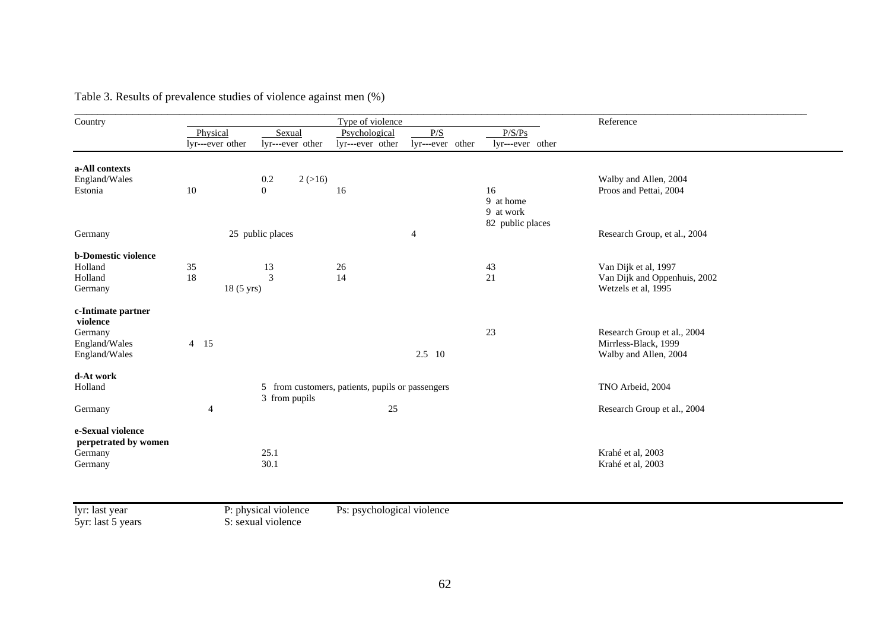| Country                    |                  |                  | Type of violence                                 |                  |                  | Reference                    |
|----------------------------|------------------|------------------|--------------------------------------------------|------------------|------------------|------------------------------|
|                            | Physical         | Sexual           | Psychological                                    | P/S              | P/S/Ps           |                              |
|                            | lyr---ever other | lyr---ever other | lyr---ever other                                 | lyr---ever other | lyr---ever other |                              |
| a-All contexts             |                  |                  |                                                  |                  |                  |                              |
| England/Wales              |                  | 2(>16)<br>0.2    |                                                  |                  |                  | Walby and Allen, 2004        |
| Estonia                    | 10               | $\overline{0}$   | 16                                               |                  | 16               | Proos and Pettai, 2004       |
|                            |                  |                  |                                                  |                  | 9 at home        |                              |
|                            |                  |                  |                                                  |                  | 9 at work        |                              |
|                            |                  |                  |                                                  |                  | 82 public places |                              |
| Germany                    |                  | 25 public places |                                                  | 4                |                  | Research Group, et al., 2004 |
|                            |                  |                  |                                                  |                  |                  |                              |
| <b>b-Domestic violence</b> |                  |                  |                                                  |                  |                  |                              |
| Holland                    | 35               | 13               | 26                                               |                  | 43               | Van Dijk et al, 1997         |
| Holland                    | 18               | $\overline{3}$   | 14                                               |                  | 21               | Van Dijk and Oppenhuis, 2002 |
| Germany                    | 18 (5 yrs)       |                  |                                                  |                  |                  | Wetzels et al, 1995          |
| c-Intimate partner         |                  |                  |                                                  |                  |                  |                              |
| violence                   |                  |                  |                                                  |                  |                  |                              |
| Germany                    |                  |                  |                                                  |                  | 23               | Research Group et al., 2004  |
| England/Wales              | 4 15             |                  |                                                  |                  |                  | Mirrless-Black, 1999         |
| England/Wales              |                  |                  |                                                  | $2.5 \quad 10$   |                  | Walby and Allen, 2004        |
|                            |                  |                  |                                                  |                  |                  |                              |
| d-At work                  |                  |                  |                                                  |                  |                  |                              |
| Holland                    |                  |                  | 5 from customers, patients, pupils or passengers |                  |                  | TNO Arbeid, 2004             |
|                            |                  | 3 from pupils    |                                                  |                  |                  |                              |
| Germany                    | 4                |                  | 25                                               |                  |                  | Research Group et al., 2004  |
| e-Sexual violence          |                  |                  |                                                  |                  |                  |                              |
| perpetrated by women       |                  |                  |                                                  |                  |                  |                              |
| Germany                    |                  | 25.1             |                                                  |                  |                  | Krahé et al, 2003            |
| Germany                    |                  | 30.1             |                                                  |                  |                  | Krahé et al, 2003            |
|                            |                  |                  |                                                  |                  |                  |                              |

Table 3. Results of prevalence studies of violence against men (%)

lyr: last year<br>5yr: last 5 years

nce

Ps: psychological violence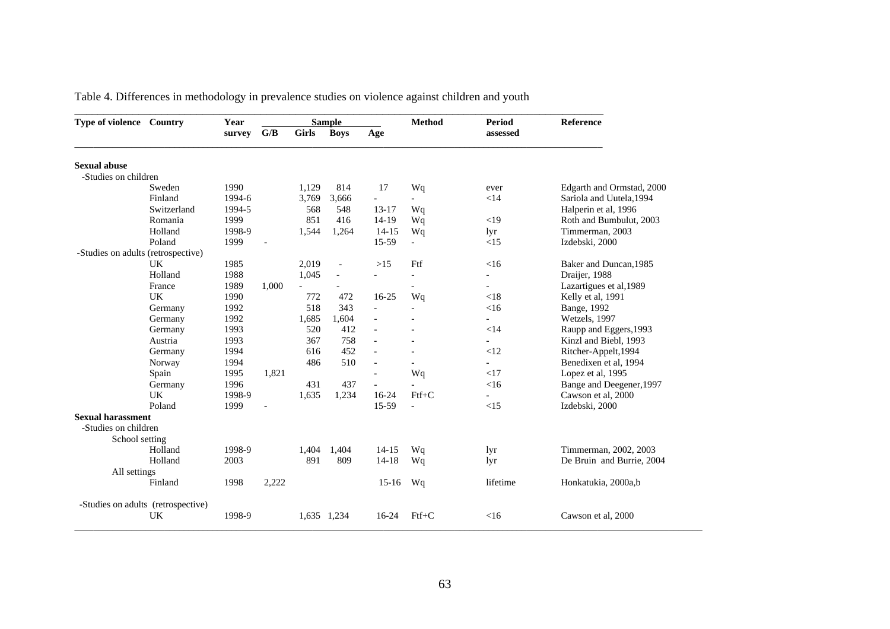| Type of violence Country           |                                    | Year   |       |              | <b>Sample</b>            |                          | <b>Method</b>            | <b>Period</b>            | Reference                 |
|------------------------------------|------------------------------------|--------|-------|--------------|--------------------------|--------------------------|--------------------------|--------------------------|---------------------------|
|                                    |                                    | survey | G/B   | <b>Girls</b> | <b>Boys</b>              | Age                      |                          | assessed                 |                           |
| <b>Sexual abuse</b>                |                                    |        |       |              |                          |                          |                          |                          |                           |
| -Studies on children               |                                    |        |       |              |                          |                          |                          |                          |                           |
|                                    | Sweden                             | 1990   |       | 1,129        | 814                      | 17                       | Wq                       | ever                     | Edgarth and Ormstad, 2000 |
|                                    | Finland                            | 1994-6 |       | 3,769        | 3,666                    | $\blacksquare$           |                          | <14                      | Sariola and Uutela, 1994  |
|                                    | Switzerland                        | 1994-5 |       | 568          | 548                      | $13 - 17$                | Wq                       |                          | Halperin et al, 1996      |
|                                    | Romania                            | 1999   |       | 851          | 416                      | $14-19$                  | Wq                       | $<$ 19                   | Roth and Bumbulut, 2003   |
|                                    | Holland                            | 1998-9 |       | 1,544        | 1,264                    | $14 - 15$                | Wq                       | lyr                      | Timmerman, 2003           |
|                                    | Poland                             | 1999   |       |              |                          | 15-59                    | $\blacksquare$           | <15                      | Izdebski, 2000            |
| -Studies on adults (retrospective) |                                    |        |       |              |                          |                          |                          |                          |                           |
|                                    | UK                                 | 1985   |       | 2,019        | $\overline{\phantom{a}}$ | $>15$                    | Ftf                      | $<$ 16                   | Baker and Duncan, 1985    |
|                                    | Holland                            | 1988   |       | 1,045        | $\overline{a}$           | $\overline{a}$           | $\overline{\phantom{a}}$ | $\overline{\phantom{0}}$ | Draijer, 1988             |
|                                    | France                             | 1989   | 1,000 |              |                          |                          |                          | $\overline{\phantom{0}}$ | Lazartigues et al, 1989   |
|                                    | UK                                 | 1990   |       | 772          | 472                      | $16 - 25$                | Wq                       | < 18                     | Kelly et al, 1991         |
|                                    | Germany                            | 1992   |       | 518          | 343                      | $\blacksquare$           |                          | <16                      | Bange, 1992               |
|                                    | Germany                            | 1992   |       | 1,685        | 1,604                    | $\overline{\phantom{a}}$ |                          | $\overline{\phantom{0}}$ | Wetzels, 1997             |
|                                    | Germany                            | 1993   |       | 520          | 412                      | $\overline{\phantom{a}}$ |                          | $<$ 14                   | Raupp and Eggers, 1993    |
|                                    | Austria                            | 1993   |       | 367          | 758                      | $\overline{\phantom{a}}$ |                          |                          | Kinzl and Biebl, 1993     |
|                                    | Germany                            | 1994   |       | 616          | 452                      |                          |                          | <12                      | Ritcher-Appelt, 1994      |
|                                    | Norway                             | 1994   |       | 486          | 510                      | $\overline{\phantom{a}}$ |                          |                          | Benedixen et al, 1994     |
|                                    | Spain                              | 1995   | 1,821 |              |                          |                          | Wq                       | <17                      | Lopez et al, 1995         |
|                                    | Germany                            | 1996   |       | 431          | 437                      |                          |                          | <16                      | Bange and Deegener, 1997  |
|                                    | UK                                 | 1998-9 |       | 1,635        | 1,234                    | $16-24$                  | $Ftf+C$                  |                          | Cawson et al, 2000        |
|                                    | Poland                             | 1999   |       |              |                          | 15-59                    | $\overline{a}$           | <15                      | Izdebski, 2000            |
| <b>Sexual harassment</b>           |                                    |        |       |              |                          |                          |                          |                          |                           |
| -Studies on children               |                                    |        |       |              |                          |                          |                          |                          |                           |
| School setting                     |                                    |        |       |              |                          |                          |                          |                          |                           |
|                                    | Holland                            | 1998-9 |       | 1.404        | 1.404                    | $14 - 15$                | Wq                       | lyr                      | Timmerman, 2002, 2003     |
|                                    | Holland                            | 2003   |       | 891          | 809                      | $14 - 18$                | Wq                       | lyr                      | De Bruin and Burrie, 2004 |
| All settings                       |                                    |        |       |              |                          |                          |                          |                          |                           |
|                                    | Finland                            | 1998   | 2,222 |              |                          | $15-16$                  | Wq                       | lifetime                 | Honkatukia, 2000a,b       |
|                                    | -Studies on adults (retrospective) |        |       |              |                          |                          |                          |                          |                           |
|                                    | UK                                 | 1998-9 |       |              | 1,635 1,234              | $16-24$                  | $Ftf+C$                  | $<$ 16                   | Cawson et al, 2000        |

Table 4. Differences in methodology in prevalence studies on violence against children and youth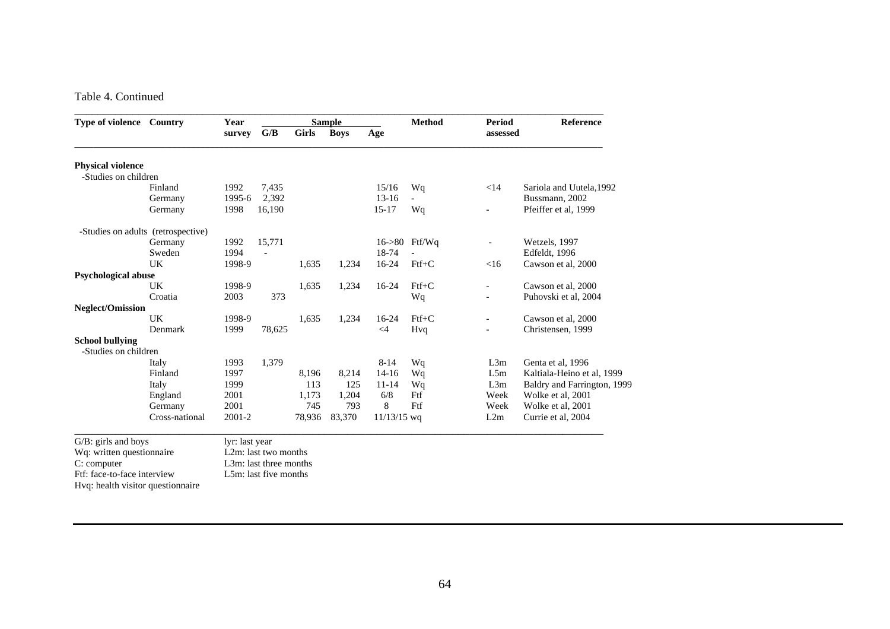#### Table 4. Continued

| Type of violence Country          |                                    | Year           |                          |              | <b>Sample</b> |               | <b>Method</b>  | Period                   | <b>Reference</b>            |
|-----------------------------------|------------------------------------|----------------|--------------------------|--------------|---------------|---------------|----------------|--------------------------|-----------------------------|
|                                   |                                    | survey         | G/B                      | <b>Girls</b> | <b>Boys</b>   | Age           |                | assessed                 |                             |
| <b>Physical violence</b>          |                                    |                |                          |              |               |               |                |                          |                             |
| -Studies on children              |                                    |                |                          |              |               |               |                |                          |                             |
|                                   | Finland                            | 1992           | 7,435                    |              |               | 15/16         | Wq             | <14                      | Sariola and Uutela, 1992    |
|                                   | Germany                            | 1995-6         | 2,392                    |              |               | $13-16$       | $\overline{a}$ |                          | Bussmann, 2002              |
|                                   | Germany                            | 1998           | 16,190                   |              |               | $15 - 17$     | Wq             |                          | Pfeiffer et al, 1999        |
|                                   | -Studies on adults (retrospective) |                |                          |              |               |               |                |                          |                             |
|                                   | Germany                            | 1992           | 15,771                   |              |               |               | 16->80 Ftf/Wq  | $\overline{a}$           | Wetzels, 1997               |
|                                   | Sweden                             | 1994           | $\overline{\phantom{a}}$ |              |               | 18-74         |                |                          | Edfeldt, 1996               |
|                                   | <b>UK</b>                          | 1998-9         |                          | 1,635        | 1,234         | $16-24$       | $Ftf+C$        | <16                      | Cawson et al, 2000          |
| <b>Psychological abuse</b>        |                                    |                |                          |              |               |               |                |                          |                             |
|                                   | <b>UK</b>                          | 1998-9         |                          | 1,635        | 1,234         | 16-24         | $Ftf+C$        | $\overline{\phantom{a}}$ | Cawson et al, 2000          |
|                                   | Croatia                            | 2003           | 373                      |              |               |               | Wq             |                          | Puhovski et al, 2004        |
| <b>Neglect/Omission</b>           |                                    |                |                          |              |               |               |                |                          |                             |
|                                   | <b>UK</b>                          | 1998-9         |                          | 1,635        | 1,234         | $16-24$       | $Ftf+C$        | $\overline{\phantom{a}}$ | Cawson et al. 2000          |
|                                   | Denmark                            | 1999           | 78,625                   |              |               | $\leq$ 4      | Hvq            |                          | Christensen, 1999           |
| <b>School bullying</b>            |                                    |                |                          |              |               |               |                |                          |                             |
| -Studies on children              |                                    |                |                          |              |               |               |                |                          |                             |
|                                   | Italy                              | 1993           | 1,379                    |              |               | $8 - 14$      | Wq             | L3m                      | Genta et al, 1996           |
|                                   | Finland                            | 1997           |                          | 8,196        | 8,214         | $14-16$       | Wq             | L5m                      | Kaltiala-Heino et al, 1999  |
|                                   | Italy                              | 1999           |                          | 113          | 125           | $11 - 14$     | Wq             | L3m                      | Baldry and Farrington, 1999 |
|                                   | England                            | 2001           |                          | 1,173        | 1,204         | 6/8           | Ftf            | Week                     | Wolke et al, 2001           |
|                                   | Germany                            | 2001           |                          | 745          | 793           | 8             | Ftf            | Week                     | Wolke et al, 2001           |
|                                   | Cross-national                     | 2001-2         |                          | 78,936       | 83,370        | $11/13/15$ wq |                | L2m                      | Currie et al, 2004          |
| G/B: girls and boys               |                                    | lyr: last year |                          |              |               |               |                |                          |                             |
| Wq: written questionnaire         |                                    |                | L2m: last two months     |              |               |               |                |                          |                             |
| C: computer                       |                                    |                | L3m: last three months   |              |               |               |                |                          |                             |
| Ftf: face-to-face interview       |                                    |                | L5m: last five months    |              |               |               |                |                          |                             |
| Hvq: health visitor questionnaire |                                    |                |                          |              |               |               |                |                          |                             |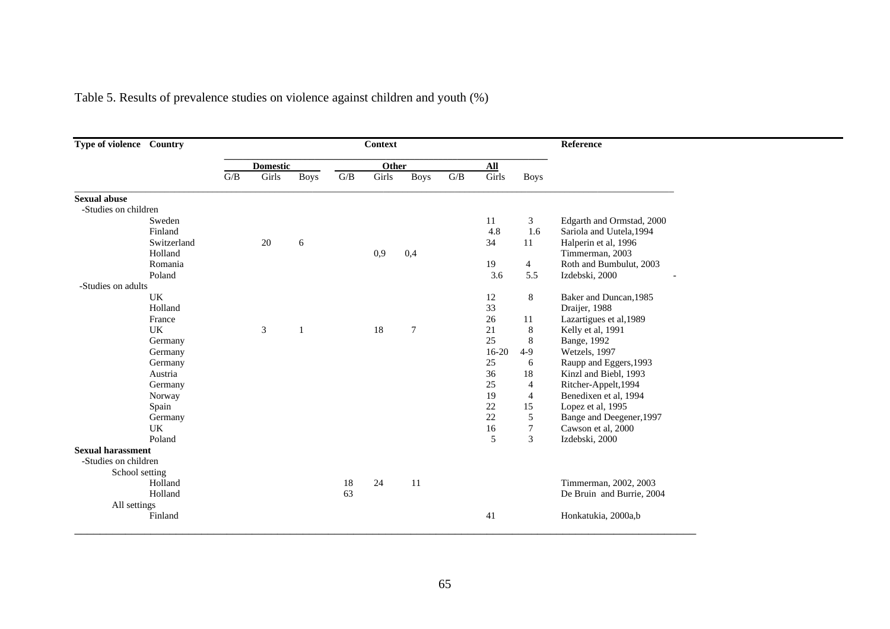| Type of violence Country |             |                  |                 |             |     | <b>Context</b> |                |                         |                |                | Reference                 |
|--------------------------|-------------|------------------|-----------------|-------------|-----|----------------|----------------|-------------------------|----------------|----------------|---------------------------|
|                          |             |                  | <b>Domestic</b> |             |     | Other          |                |                         | $\mathbf{All}$ |                |                           |
|                          |             | $\overline{G/B}$ | Girls           | <b>Boys</b> | G/B | Girls          | <b>Boys</b>    | $\mathrm{G}/\mathrm{B}$ | Girls          | <b>Boys</b>    |                           |
| <b>Sexual abuse</b>      |             |                  |                 |             |     |                |                |                         |                |                |                           |
| -Studies on children     |             |                  |                 |             |     |                |                |                         |                |                |                           |
|                          | Sweden      |                  |                 |             |     |                |                |                         | 11             | 3              | Edgarth and Ormstad, 2000 |
|                          | Finland     |                  |                 |             |     |                |                |                         | 4.8            | 1.6            | Sariola and Uutela, 1994  |
|                          | Switzerland |                  | 20              | 6           |     |                |                |                         | 34             | 11             | Halperin et al, 1996      |
|                          | Holland     |                  |                 |             |     | 0,9            | 0,4            |                         |                |                | Timmerman, 2003           |
|                          | Romania     |                  |                 |             |     |                |                |                         | 19             | $\overline{4}$ | Roth and Bumbulut, 2003   |
|                          | Poland      |                  |                 |             |     |                |                |                         | 3.6            | 5.5            | Izdebski, 2000            |
| -Studies on adults       |             |                  |                 |             |     |                |                |                         |                |                |                           |
|                          | UK          |                  |                 |             |     |                |                |                         | 12             | 8              | Baker and Duncan, 1985    |
|                          | Holland     |                  |                 |             |     |                |                |                         | 33             |                | Draijer, 1988             |
|                          | France      |                  |                 |             |     |                |                |                         | 26             | 11             | Lazartigues et al, 1989   |
|                          | UK          |                  | 3               | -1          |     | 18             | $\overline{7}$ |                         | 21             | 8              | Kelly et al, 1991         |
|                          | Germany     |                  |                 |             |     |                |                |                         | 25             | 8              | Bange, 1992               |
|                          | Germany     |                  |                 |             |     |                |                |                         | $16-20$        | $4-9$          | Wetzels, 1997             |
|                          | Germany     |                  |                 |             |     |                |                |                         | 25             | 6              | Raupp and Eggers, 1993    |
|                          | Austria     |                  |                 |             |     |                |                |                         | 36             | 18             | Kinzl and Biebl, 1993     |
|                          | Germany     |                  |                 |             |     |                |                |                         | 25             | 4              | Ritcher-Appelt, 1994      |
|                          | Norway      |                  |                 |             |     |                |                |                         | 19             | $\overline{4}$ | Benedixen et al, 1994     |
|                          | Spain       |                  |                 |             |     |                |                |                         | 22             | 15             | Lopez et al, 1995         |
|                          | Germany     |                  |                 |             |     |                |                |                         | 22             | $\sqrt{5}$     | Bange and Deegener, 1997  |
|                          | UK          |                  |                 |             |     |                |                |                         | 16             | $\tau$         | Cawson et al, 2000        |
|                          | Poland      |                  |                 |             |     |                |                |                         | 5              | 3              | Izdebski, 2000            |
| <b>Sexual harassment</b> |             |                  |                 |             |     |                |                |                         |                |                |                           |
| -Studies on children     |             |                  |                 |             |     |                |                |                         |                |                |                           |
| School setting           |             |                  |                 |             |     |                |                |                         |                |                |                           |
|                          | Holland     |                  |                 |             | 18  | 24             | -11            |                         |                |                | Timmerman, 2002, 2003     |
|                          | Holland     |                  |                 |             | 63  |                |                |                         |                |                | De Bruin and Burrie, 2004 |
| All settings             |             |                  |                 |             |     |                |                |                         |                |                |                           |
|                          | Finland     |                  |                 |             |     |                |                |                         | 41             |                | Honkatukia, 2000a,b       |
|                          |             |                  |                 |             |     |                |                |                         |                |                |                           |

e.

Table 5. Results of prevalence studies on violence against children and youth (%)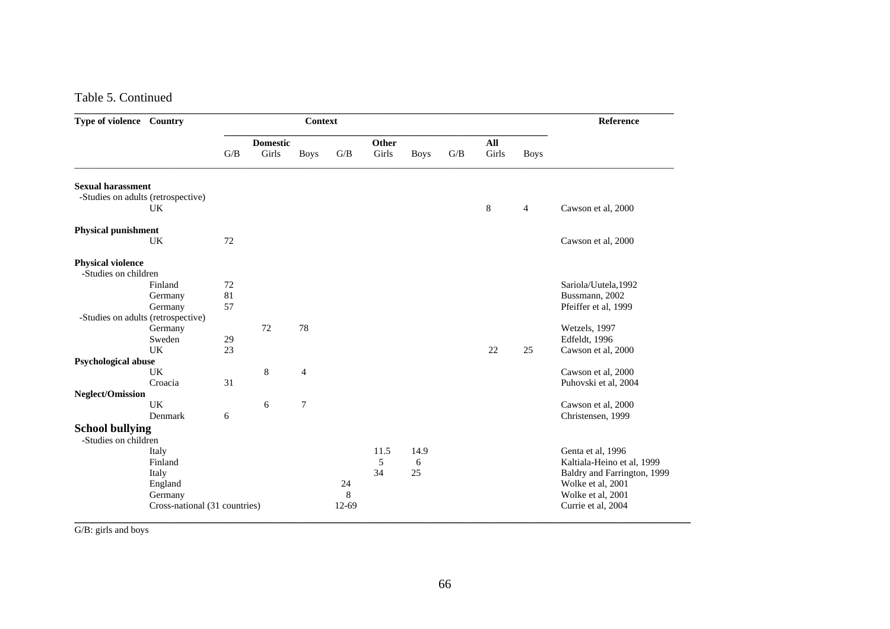#### Table 5. Continued

| Type of violence Country           |                               | <b>Context</b>  |       |                |         |       |             |     |         | Reference      |                             |
|------------------------------------|-------------------------------|-----------------|-------|----------------|---------|-------|-------------|-----|---------|----------------|-----------------------------|
|                                    |                               | <b>Domestic</b> |       |                | Other   |       |             | All |         |                |                             |
|                                    |                               | G/B             | Girls | <b>Boys</b>    | G/B     | Girls | <b>Boys</b> | G/B | Girls   | <b>Boys</b>    |                             |
| <b>Sexual harassment</b>           |                               |                 |       |                |         |       |             |     |         |                |                             |
| -Studies on adults (retrospective) |                               |                 |       |                |         |       |             |     |         |                |                             |
|                                    | UK.                           |                 |       |                |         |       |             |     | $\,8\,$ | $\overline{4}$ | Cawson et al, 2000          |
| Physical punishment                |                               |                 |       |                |         |       |             |     |         |                |                             |
|                                    | UK                            | 72              |       |                |         |       |             |     |         |                | Cawson et al, 2000          |
| <b>Physical violence</b>           |                               |                 |       |                |         |       |             |     |         |                |                             |
| -Studies on children               |                               |                 |       |                |         |       |             |     |         |                |                             |
|                                    | Finland                       | 72              |       |                |         |       |             |     |         |                | Sariola/Uutela, 1992        |
|                                    | Germany                       | 81              |       |                |         |       |             |     |         |                | Bussmann, 2002              |
|                                    | Germany                       | 57              |       |                |         |       |             |     |         |                | Pfeiffer et al, 1999        |
| -Studies on adults (retrospective) |                               |                 |       |                |         |       |             |     |         |                |                             |
|                                    | Germany                       |                 | 72    | 78             |         |       |             |     |         |                | Wetzels, 1997               |
|                                    | Sweden                        | 29              |       |                |         |       |             |     |         |                | Edfeldt, 1996               |
|                                    | UK                            | 23              |       |                |         |       |             |     | 22      | 25             | Cawson et al, 2000          |
| Psychological abuse                |                               |                 |       |                |         |       |             |     |         |                |                             |
|                                    | UK                            |                 | 8     | $\overline{4}$ |         |       |             |     |         |                | Cawson et al, 2000          |
|                                    | Croacia                       | 31              |       |                |         |       |             |     |         |                | Puhovski et al, 2004        |
| <b>Neglect/Omission</b>            |                               |                 |       |                |         |       |             |     |         |                |                             |
|                                    | <b>UK</b>                     |                 | 6     | $\overline{7}$ |         |       |             |     |         |                | Cawson et al, 2000          |
|                                    | Denmark                       | 6               |       |                |         |       |             |     |         |                | Christensen, 1999           |
| <b>School bullying</b>             |                               |                 |       |                |         |       |             |     |         |                |                             |
| -Studies on children               |                               |                 |       |                |         |       |             |     |         |                |                             |
|                                    | Italy                         |                 |       |                |         | 11.5  | 14.9        |     |         |                | Genta et al, 1996           |
|                                    | Finland                       |                 |       |                |         | 5     | 6           |     |         |                | Kaltiala-Heino et al, 1999  |
|                                    | Italy                         |                 |       |                |         | 34    | 25          |     |         |                | Baldry and Farrington, 1999 |
|                                    | England                       |                 |       |                | 24      |       |             |     |         |                | Wolke et al, 2001           |
|                                    | Germany                       |                 |       |                | $\,8\,$ |       |             |     |         |                | Wolke et al, 2001           |
|                                    | Cross-national (31 countries) |                 |       |                | $12-69$ |       |             |     |         |                | Currie et al, 2004          |

**\_\_\_\_\_\_\_\_\_\_\_\_\_\_\_\_\_\_\_\_\_\_\_\_\_\_\_\_\_\_\_\_\_\_\_\_\_\_\_\_\_\_\_\_\_\_\_\_\_\_\_\_\_\_\_\_\_\_\_\_\_\_\_\_\_\_\_\_\_\_\_\_\_\_\_\_\_\_\_\_\_\_\_\_\_\_\_\_\_\_\_\_\_\_\_\_\_\_\_\_\_\_\_\_\_\_**  G/B: girls and boys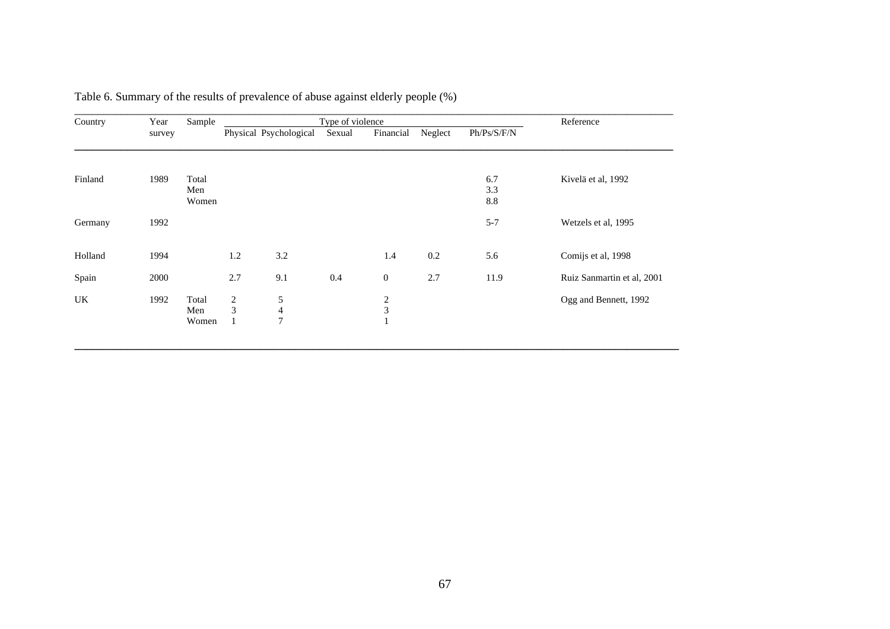| Country | Year<br>survey | Sample                |                          | Type of violence         | Reference |                              |         |             |                            |
|---------|----------------|-----------------------|--------------------------|--------------------------|-----------|------------------------------|---------|-------------|----------------------------|
|         |                |                       |                          | Physical Psychological   | Sexual    | Financial                    | Neglect | Ph/Ps/S/F/N |                            |
| Finland | 1989           | Total                 |                          |                          |           |                              |         | 6.7         | Kivelä et al, 1992         |
|         |                | Men<br>Women          |                          |                          |           |                              |         | 3.3<br>8.8  |                            |
| Germany | 1992           |                       |                          |                          |           |                              |         | $5 - 7$     | Wetzels et al, 1995        |
| Holland | 1994           |                       | $1.2\,$                  | 3.2                      |           | 1.4                          | 0.2     | 5.6         | Comijs et al, 1998         |
| Spain   | 2000           |                       | 2.7                      | 9.1                      | 0.4       | $\mathbf{0}$                 | 2.7     | 11.9        | Ruiz Sanmartin et al, 2001 |
| UK      | 1992           | Total<br>Men<br>Women | $\overline{c}$<br>3<br>1 | 5<br>4<br>$\overline{7}$ |           | $\overline{\mathbf{c}}$<br>3 |         |             | Ogg and Bennett, 1992      |

**\_\_\_\_\_\_\_\_\_\_\_\_\_\_\_\_\_\_\_\_\_\_\_\_\_\_\_\_\_\_\_\_\_\_\_\_\_\_\_\_\_\_\_\_\_\_\_\_\_\_\_\_\_\_\_\_\_\_\_\_\_\_\_\_\_\_\_\_\_\_\_\_\_\_\_\_\_\_\_\_\_\_\_\_\_\_\_\_\_\_\_\_\_\_\_\_\_\_\_\_\_\_\_\_** 

Table 6. Summary of the results of prevalence of abuse against elderly people (%)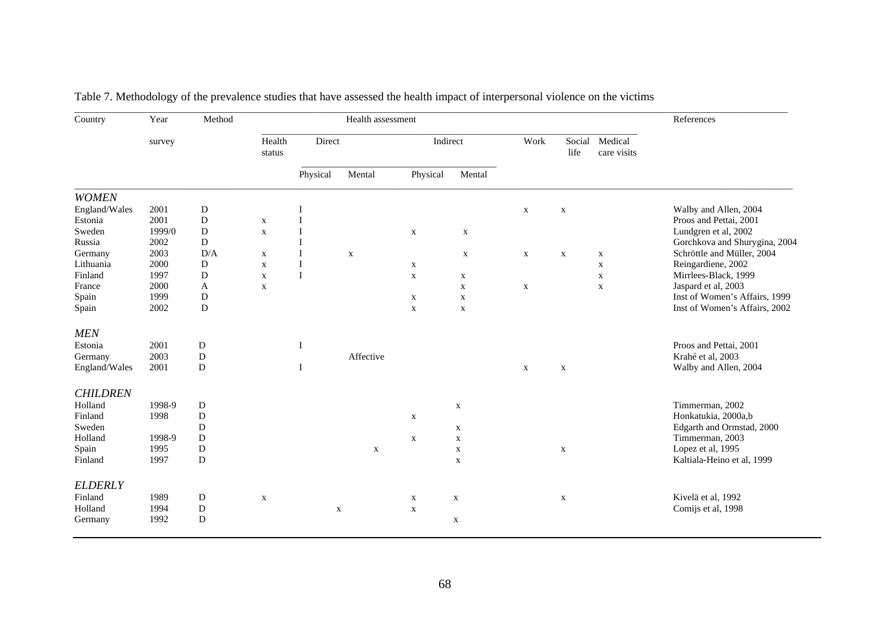| Country         | Year<br>survey | Method      | Health assessment |             |              |             |             |             |                | References             |                               |
|-----------------|----------------|-------------|-------------------|-------------|--------------|-------------|-------------|-------------|----------------|------------------------|-------------------------------|
|                 |                |             | Health<br>status  | Direct      |              | Indirect    |             | Work        | Social<br>life | Medical<br>care visits |                               |
|                 |                |             |                   |             | Physical     | Mental      | Physical    | Mental      |                |                        |                               |
| <b>WOMEN</b>    |                |             |                   |             |              |             |             |             |                |                        |                               |
| England/Wales   | 2001           | D           |                   |             |              |             |             | $\mathbf x$ | $\mathbf X$    |                        | Walby and Allen, 2004         |
| Estonia         | 2001           | D           | $\mathbf X$       |             |              |             |             |             |                |                        | Proos and Pettai, 2001        |
| Sweden          | 1999/0         | $\mathbf D$ | $\mathbf X$       |             |              | $\mathbf X$ | $\mathbf X$ |             |                |                        | Lundgren et al, 2002          |
| Russia          | 2002           | D           |                   |             |              |             |             |             |                |                        | Gorchkova and Shurygina, 2004 |
| Germany         | 2003           | D/A         | $\mathbf x$       | I           | $\mathbf{X}$ |             | $\mathbf X$ | $\mathbf X$ | $\mathbf X$    | $\mathbf X$            | Schröttle and Müller, 2004    |
| Lithuania       | 2000           | D           | $\mathbf X$       | I           |              | $\mathbf X$ |             |             |                | $\mathbf X$            | Reingardiene, 2002            |
| Finland         | 1997           | D           | $\mathbf X$       | $\mathbf I$ |              | $\mathbf X$ | $\mathbf x$ |             |                | $\mathbf X$            | Mirrlees-Black, 1999          |
| France          | 2000           | Α           | $\mathbf X$       |             |              |             | $\mathbf X$ | $\mathbf X$ |                | $\mathbf X$            | Jaspard et al, 2003           |
| Spain           | 1999           | D           |                   |             |              | $\mathbf X$ | $\mathbf X$ |             |                |                        | Inst of Women's Affairs, 1999 |
| Spain           | 2002           | D           |                   |             |              | $\mathbf X$ | $\mathbf X$ |             |                |                        | Inst of Women's Affairs, 2002 |
| <b>MEN</b>      |                |             |                   |             |              |             |             |             |                |                        |                               |
| Estonia         | 2001           | D           |                   | $\bf{I}$    |              |             |             |             |                |                        | Proos and Pettai, 2001        |
| Germany         | 2003           | ${\bf D}$   |                   |             | Affective    |             |             |             |                |                        | Krahé et al, 2003             |
| England/Wales   | 2001           | D           |                   | Ι.          |              |             |             | $\mathbf X$ | $\mathbf X$    |                        | Walby and Allen, 2004         |
| <b>CHILDREN</b> |                |             |                   |             |              |             |             |             |                |                        |                               |
| Holland         | 1998-9         | D           |                   |             |              |             | $\mathbf X$ |             |                |                        | Timmerman, 2002               |
| Finland         | 1998           | D           |                   |             |              | $\mathbf X$ |             |             |                |                        | Honkatukia, 2000a,b           |
| Sweden          |                | D           |                   |             |              |             | $\mathbf X$ |             |                |                        | Edgarth and Ormstad, 2000     |
| Holland         | 1998-9         | D           |                   |             |              | $\mathbf X$ | $\mathbf X$ |             |                |                        | Timmerman, 2003               |
| Spain           | 1995           | ${\bf D}$   |                   |             | $\mathbf X$  |             | $\mathbf X$ |             | $\mathbf X$    |                        | Lopez et al, 1995             |
| Finland         | 1997           | D           |                   |             |              |             | $\mathbf X$ |             |                |                        | Kaltiala-Heino et al, 1999    |
|                 |                |             |                   |             |              |             |             |             |                |                        |                               |
| <b>ELDERLY</b>  |                |             |                   |             |              |             |             |             |                |                        |                               |
| Finland         | 1989           | ${\bf D}$   | $\mathbf X$       |             |              | $\mathbf X$ | $\mathbf X$ |             | $\mathbf X$    |                        | Kivelä et al, 1992            |
| Holland         | 1994           | ${\bf D}$   |                   |             | $\mathbf X$  | $\mathbf X$ |             |             |                |                        | Comijs et al, 1998            |
| Germany         | 1992           | D           |                   |             |              |             | $\mathbf X$ |             |                |                        |                               |
|                 |                |             |                   |             |              |             |             |             |                |                        |                               |

|  | Table 7. Methodology of the prevalence studies that have assessed the health impact of interpersonal violence on the victims |  |
|--|------------------------------------------------------------------------------------------------------------------------------|--|
|  |                                                                                                                              |  |